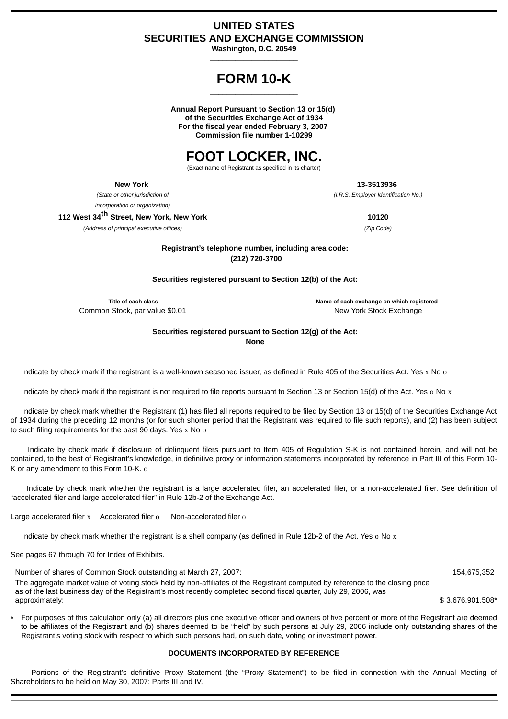## **UNITED STATES SECURITIES AND EXCHANGE COMMISSION**

**Washington, D.C. 20549 \_\_\_\_\_\_\_\_\_\_\_\_\_\_\_\_\_\_\_\_\_**

## **FORM 10-K \_\_\_\_\_\_\_\_\_\_\_\_\_\_\_\_\_\_\_\_\_**

**Annual Report Pursuant to Section 13 or 15(d) of the Securities Exchange Act of 1934 For the fiscal year ended February 3, 2007 Commission file number 1-10299**

# **FOOT LOCKER, INC.**

(Exact name of Registrant as specified in its charter)

*incorporation or organization)*

**New York 13-3513936**

*(State or other jurisdiction of (I.R.S. Employer Identification No.)*

**112 West 34th Street, New York, New York <sup>10120</sup>**

*(Address of principal executive offices) (Zip Code)*

**Registrant's telephone number, including area code: (212) 720-3700**

**Securities registered pursuant to Section 12(b) of the Act:**

Common Stock, par value \$0.01 New York Stock Exchange

**Title of each class Name of each exchange on which registered**

154,675,352

## **Securities registered pursuant to Section 12(g) of the Act: None**

Indicate by check mark if the registrant is a well-known seasoned issuer, as defined in Rule 405 of the Securities Act. Yes x No o

Indicate by check mark if the registrant is not required to file reports pursuant to Section 13 or Section 15(d) of the Act. Yes o No x

 Indicate by check mark whether the Registrant (1) has filed all reports required to be filed by Section 13 or 15(d) of the Securities Exchange Act of 1934 during the preceding 12 months (or for such shorter period that the Registrant was required to file such reports), and (2) has been subject to such filing requirements for the past 90 days. Yes x No o

Indicate by check mark if disclosure of delinquent filers pursuant to Item 405 of Regulation S-K is not contained herein, and will not be contained, to the best of Registrant's knowledge, in definitive proxy or information statements incorporated by reference in Part III of this Form 10- K or any amendment to this Form 10-K. o

Indicate by check mark whether the registrant is a large accelerated filer, an accelerated filer, or a non-accelerated filer. See definition of "accelerated filer and large accelerated filer" in Rule 12b-2 of the Exchange Act.

Large accelerated filer x Accelerated filer o Non-accelerated filer o

Indicate by check mark whether the registrant is a shell company (as defined in Rule 12b-2 of the Act. Yes o No x

See pages 67 through 70 for Index of Exhibits.

Number of shares of Common Stock outstanding at March 27, 2007:

The aggregate market value of voting stock held by non-affiliates of the Registrant computed by reference to the closing price as of the last business day of the Registrant's most recently completed second fiscal quarter, July 29, 2006, was approximately: \$ 3,676,901,508\*

\* For purposes of this calculation only (a) all directors plus one executive officer and owners of five percent or more of the Registrant are deemed to be affiliates of the Registrant and (b) shares deemed to be "held" by such persons at July 29, 2006 include only outstanding shares of the Registrant's voting stock with respect to which such persons had, on such date, voting or investment power.

## **DOCUMENTS INCORPORATED BY REFERENCE**

Portions of the Registrant's definitive Proxy Statement (the "Proxy Statement") to be filed in connection with the Annual Meeting of Shareholders to be held on May 30, 2007: Parts III and IV.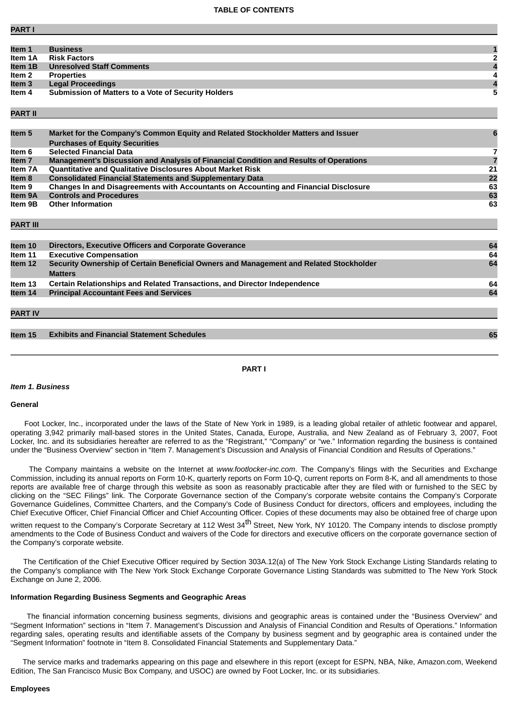#### **TABLE OF CONTENTS**

| Item 1            | <b>Business</b>                                     |   |
|-------------------|-----------------------------------------------------|---|
| Item 1A           | <b>Risk Factors</b>                                 |   |
| Item 1B           | <b>Unresolved Staff Comments</b>                    |   |
| Item 2            | <b>Properties</b>                                   | 4 |
| Item <sub>3</sub> | <b>Legal Proceedings</b>                            |   |
| Item 4            | Submission of Matters to a Vote of Security Holders |   |

## **PART II**

**PART I**

| ltem 5  | Market for the Company's Common Equity and Related Stockholder Matters and Issuer     |    |
|---------|---------------------------------------------------------------------------------------|----|
|         | <b>Purchases of Equity Securities</b>                                                 |    |
| Item 6  | <b>Selected Financial Data</b>                                                        |    |
| Item 7  | Management's Discussion and Analysis of Financial Condition and Results of Operations |    |
| Item 7A | Quantitative and Qualitative Disclosures About Market Risk                            | 21 |
| ltem 8  | <b>Consolidated Financial Statements and Supplementary Data</b>                       | 22 |
| Item 9  | Changes In and Disagreements with Accountants on Accounting and Financial Disclosure  | 63 |
| Item 9A | <b>Controls and Procedures</b>                                                        | 63 |
| Item 9B | <b>Other Information</b>                                                              | 63 |

#### **PART III**

| ltem 10 | Directors, Executive Officers and Corporate Goverance                                  | 64 |
|---------|----------------------------------------------------------------------------------------|----|
| Item 11 | <b>Executive Compensation</b>                                                          | 64 |
| Item 12 | Security Ownership of Certain Beneficial Owners and Management and Related Stockholder | 64 |
|         | <b>Matters</b>                                                                         |    |
| Item 13 | Certain Relationships and Related Transactions, and Director Independence              | 64 |
| Item 14 | <b>Principal Accountant Fees and Services</b>                                          | 64 |
|         |                                                                                        |    |

#### **PART IV**

**Item 15 Exhibits and Financial Statement Schedules 65**

#### **PART I**

#### *Item 1. Business*

#### **General**

Foot Locker, Inc., incorporated under the laws of the State of New York in 1989, is a leading global retailer of athletic footwear and apparel, operating 3,942 primarily mall-based stores in the United States, Canada, Europe, Australia, and New Zealand as of February 3, 2007, Foot Locker, Inc. and its subsidiaries hereafter are referred to as the "Registrant," "Company" or "we." Information regarding the business is contained under the "Business Overview" section in "Item 7. Management's Discussion and Analysis of Financial Condition and Results of Operations."

The Company maintains a website on the Internet at *www.footlocker-inc.com*. The Company's filings with the Securities and Exchange Commission, including its annual reports on Form 10-K, quarterly reports on Form 10-Q, current reports on Form 8-K, and all amendments to those reports are available free of charge through this website as soon as reasonably practicable after they are filed with or furnished to the SEC by clicking on the "SEC Filings" link. The Corporate Governance section of the Company's corporate website contains the Company's Corporate Governance Guidelines, Committee Charters, and the Company's Code of Business Conduct for directors, officers and employees, including the Chief Executive Officer, Chief Financial Officer and Chief Accounting Officer. Copies of these documents may also be obtained free of charge upon written request to the Company's Corporate Secretary at 112 West 34<sup>th</sup> Street. New York, NY 10120. The Company intends to disclose promptly amendments to the Code of Business Conduct and waivers of the Code for directors and executive officers on the corporate governance section of the Company's corporate website.

The Certification of the Chief Executive Officer required by Section 303A.12(a) of The New York Stock Exchange Listing Standards relating to the Company's compliance with The New York Stock Exchange Corporate Governance Listing Standards was submitted to The New York Stock Exchange on June 2, 2006.

#### **Information Regarding Business Segments and Geographic Areas**

The financial information concerning business segments, divisions and geographic areas is contained under the "Business Overview" and "Segment Information" sections in "Item 7. Management's Discussion and Analysis of Financial Condition and Results of Operations." Information regarding sales, operating results and identifiable assets of the Company by business segment and by geographic area is contained under the "Segment Information" footnote in "Item 8. Consolidated Financial Statements and Supplementary Data."

The service marks and trademarks appearing on this page and elsewhere in this report (except for ESPN, NBA, Nike, Amazon.com, Weekend Edition, The San Francisco Music Box Company, and USOC) are owned by Foot Locker, Inc. or its subsidiaries.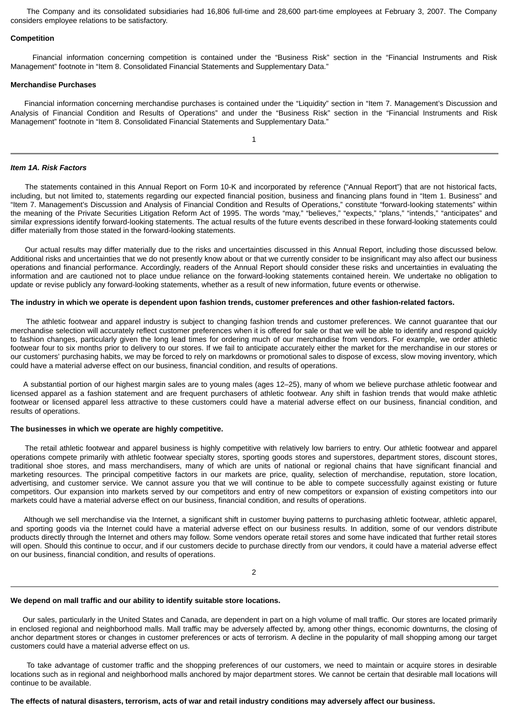The Company and its consolidated subsidiaries had 16,806 full-time and 28,600 part-time employees at February 3, 2007. The Company considers employee relations to be satisfactory.

#### **Competition**

Financial information concerning competition is contained under the "Business Risk" section in the "Financial Instruments and Risk Management" footnote in "Item 8. Consolidated Financial Statements and Supplementary Data."

#### **Merchandise Purchases**

Financial information concerning merchandise purchases is contained under the "Liquidity" section in "Item 7. Management's Discussion and Analysis of Financial Condition and Results of Operations" and under the "Business Risk" section in the "Financial Instruments and Risk Management" footnote in "Item 8. Consolidated Financial Statements and Supplementary Data."

1

#### *Item 1A. Risk Factors*

The statements contained in this Annual Report on Form 10-K and incorporated by reference ("Annual Report") that are not historical facts, including, but not limited to, statements regarding our expected financial position, business and financing plans found in "Item 1. Business" and "Item 7. Management's Discussion and Analysis of Financial Condition and Results of Operations," constitute "forward-looking statements" within the meaning of the Private Securities Litigation Reform Act of 1995. The words "may," "believes," "expects," "plans," "intends," "anticipates" and similar expressions identify forward-looking statements. The actual results of the future events described in these forward-looking statements could differ materially from those stated in the forward-looking statements.

Our actual results may differ materially due to the risks and uncertainties discussed in this Annual Report, including those discussed below. Additional risks and uncertainties that we do not presently know about or that we currently consider to be insignificant may also affect our business operations and financial performance. Accordingly, readers of the Annual Report should consider these risks and uncertainties in evaluating the information and are cautioned not to place undue reliance on the forward-looking statements contained herein. We undertake no obligation to update or revise publicly any forward-looking statements, whether as a result of new information, future events or otherwise.

#### **The industry in which we operate is dependent upon fashion trends, customer preferences and other fashion-related factors.**

The athletic footwear and apparel industry is subject to changing fashion trends and customer preferences. We cannot guarantee that our merchandise selection will accurately reflect customer preferences when it is offered for sale or that we will be able to identify and respond quickly to fashion changes, particularly given the long lead times for ordering much of our merchandise from vendors. For example, we order athletic footwear four to six months prior to delivery to our stores. If we fail to anticipate accurately either the market for the merchandise in our stores or our customers' purchasing habits, we may be forced to rely on markdowns or promotional sales to dispose of excess, slow moving inventory, which could have a material adverse effect on our business, financial condition, and results of operations.

A substantial portion of our highest margin sales are to young males (ages 12–25), many of whom we believe purchase athletic footwear and licensed apparel as a fashion statement and are frequent purchasers of athletic footwear. Any shift in fashion trends that would make athletic footwear or licensed apparel less attractive to these customers could have a material adverse effect on our business, financial condition, and results of operations.

#### **The businesses in which we operate are highly competitive.**

The retail athletic footwear and apparel business is highly competitive with relatively low barriers to entry. Our athletic footwear and apparel operations compete primarily with athletic footwear specialty stores, sporting goods stores and superstores, department stores, discount stores, traditional shoe stores, and mass merchandisers, many of which are units of national or regional chains that have significant financial and marketing resources. The principal competitive factors in our markets are price, quality, selection of merchandise, reputation, store location, advertising, and customer service. We cannot assure you that we will continue to be able to compete successfully against existing or future competitors. Our expansion into markets served by our competitors and entry of new competitors or expansion of existing competitors into our markets could have a material adverse effect on our business, financial condition, and results of operations.

Although we sell merchandise via the Internet, a significant shift in customer buying patterns to purchasing athletic footwear, athletic apparel, and sporting goods via the Internet could have a material adverse effect on our business results. In addition, some of our vendors distribute products directly through the Internet and others may follow. Some vendors operate retail stores and some have indicated that further retail stores will open. Should this continue to occur, and if our customers decide to purchase directly from our vendors, it could have a material adverse effect on our business, financial condition, and results of operations.

2

## **We depend on mall traffic and our ability to identify suitable store locations.**

Our sales, particularly in the United States and Canada, are dependent in part on a high volume of mall traffic. Our stores are located primarily in enclosed regional and neighborhood malls. Mall traffic may be adversely affected by, among other things, economic downturns, the closing of anchor department stores or changes in customer preferences or acts of terrorism. A decline in the popularity of mall shopping among our target customers could have a material adverse effect on us.

To take advantage of customer traffic and the shopping preferences of our customers, we need to maintain or acquire stores in desirable locations such as in regional and neighborhood malls anchored by major department stores. We cannot be certain that desirable mall locations will continue to be available.

## **The effects of natural disasters, terrorism, acts of war and retail industry conditions may adversely affect our business.**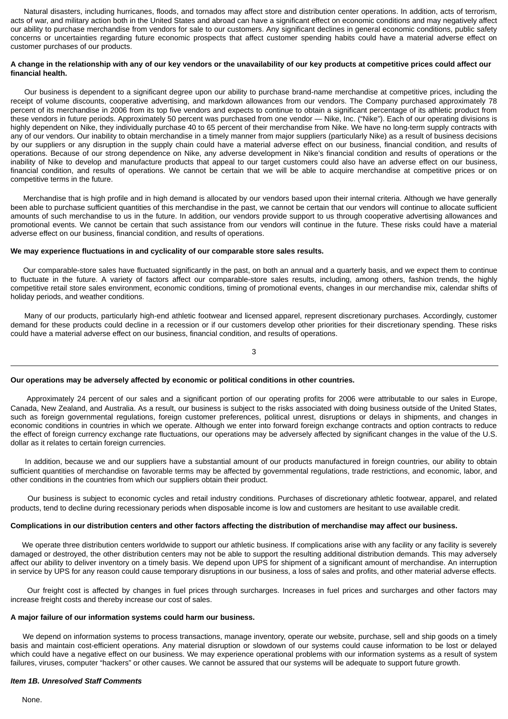Natural disasters, including hurricanes, floods, and tornados may affect store and distribution center operations. In addition, acts of terrorism, acts of war, and military action both in the United States and abroad can have a significant effect on economic conditions and may negatively affect our ability to purchase merchandise from vendors for sale to our customers. Any significant declines in general economic conditions, public safety concerns or uncertainties regarding future economic prospects that affect customer spending habits could have a material adverse effect on customer purchases of our products.

#### **A change in the relationship with any of our key vendors or the unavailability of our key products at competitive prices could affect our financial health.**

Our business is dependent to a significant degree upon our ability to purchase brand-name merchandise at competitive prices, including the receipt of volume discounts, cooperative advertising, and markdown allowances from our vendors. The Company purchased approximately 78 percent of its merchandise in 2006 from its top five vendors and expects to continue to obtain a significant percentage of its athletic product from these vendors in future periods. Approximately 50 percent was purchased from one vendor — Nike, Inc. ("Nike"). Each of our operating divisions is highly dependent on Nike, they individually purchase 40 to 65 percent of their merchandise from Nike. We have no long-term supply contracts with any of our vendors. Our inability to obtain merchandise in a timely manner from major suppliers (particularly Nike) as a result of business decisions by our suppliers or any disruption in the supply chain could have a material adverse effect on our business, financial condition, and results of operations. Because of our strong dependence on Nike, any adverse development in Nike's financial condition and results of operations or the inability of Nike to develop and manufacture products that appeal to our target customers could also have an adverse effect on our business, financial condition, and results of operations. We cannot be certain that we will be able to acquire merchandise at competitive prices or on competitive terms in the future.

Merchandise that is high profile and in high demand is allocated by our vendors based upon their internal criteria. Although we have generally been able to purchase sufficient quantities of this merchandise in the past, we cannot be certain that our vendors will continue to allocate sufficient amounts of such merchandise to us in the future. In addition, our vendors provide support to us through cooperative advertising allowances and promotional events. We cannot be certain that such assistance from our vendors will continue in the future. These risks could have a material adverse effect on our business, financial condition, and results of operations.

#### **We may experience fluctuations in and cyclicality of our comparable store sales results.**

Our comparable-store sales have fluctuated significantly in the past, on both an annual and a quarterly basis, and we expect them to continue to fluctuate in the future. A variety of factors affect our comparable-store sales results, including, among others, fashion trends, the highly competitive retail store sales environment, economic conditions, timing of promotional events, changes in our merchandise mix, calendar shifts of holiday periods, and weather conditions.

Many of our products, particularly high-end athletic footwear and licensed apparel, represent discretionary purchases. Accordingly, customer demand for these products could decline in a recession or if our customers develop other priorities for their discretionary spending. These risks could have a material adverse effect on our business, financial condition, and results of operations.

3

## **Our operations may be adversely affected by economic or political conditions in other countries.**

Approximately 24 percent of our sales and a significant portion of our operating profits for 2006 were attributable to our sales in Europe, Canada, New Zealand, and Australia. As a result, our business is subject to the risks associated with doing business outside of the United States, such as foreign governmental regulations, foreign customer preferences, political unrest, disruptions or delays in shipments, and changes in economic conditions in countries in which we operate. Although we enter into forward foreign exchange contracts and option contracts to reduce the effect of foreign currency exchange rate fluctuations, our operations may be adversely affected by significant changes in the value of the U.S. dollar as it relates to certain foreign currencies.

In addition, because we and our suppliers have a substantial amount of our products manufactured in foreign countries, our ability to obtain sufficient quantities of merchandise on favorable terms may be affected by governmental regulations, trade restrictions, and economic, labor, and other conditions in the countries from which our suppliers obtain their product.

Our business is subject to economic cycles and retail industry conditions. Purchases of discretionary athletic footwear, apparel, and related products, tend to decline during recessionary periods when disposable income is low and customers are hesitant to use available credit.

## **Complications in our distribution centers and other factors affecting the distribution of merchandise may affect our business.**

 We operate three distribution centers worldwide to support our athletic business. If complications arise with any facility or any facility is severely damaged or destroyed, the other distribution centers may not be able to support the resulting additional distribution demands. This may adversely affect our ability to deliver inventory on a timely basis. We depend upon UPS for shipment of a significant amount of merchandise. An interruption in service by UPS for any reason could cause temporary disruptions in our business, a loss of sales and profits, and other material adverse effects.

Our freight cost is affected by changes in fuel prices through surcharges. Increases in fuel prices and surcharges and other factors may increase freight costs and thereby increase our cost of sales.

## **A major failure of our information systems could harm our business.**

We depend on information systems to process transactions, manage inventory, operate our website, purchase, sell and ship goods on a timely basis and maintain cost-efficient operations. Any material disruption or slowdown of our systems could cause information to be lost or delayed which could have a negative effect on our business. We may experience operational problems with our information systems as a result of system failures, viruses, computer "hackers" or other causes. We cannot be assured that our systems will be adequate to support future growth.

## *Item 1B. Unresolved Staff Comments*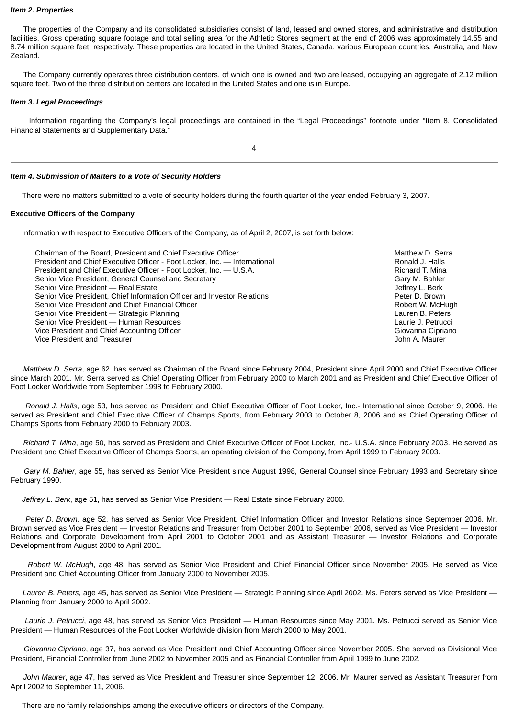#### *Item 2. Properties*

The properties of the Company and its consolidated subsidiaries consist of land, leased and owned stores, and administrative and distribution facilities. Gross operating square footage and total selling area for the Athletic Stores segment at the end of 2006 was approximately 14.55 and 8.74 million square feet, respectively. These properties are located in the United States, Canada, various European countries, Australia, and New Zealand.

The Company currently operates three distribution centers, of which one is owned and two are leased, occupying an aggregate of 2.12 million square feet. Two of the three distribution centers are located in the United States and one is in Europe.

#### *Item 3. Legal Proceedings*

Information regarding the Company's legal proceedings are contained in the "Legal Proceedings" footnote under "Item 8. Consolidated Financial Statements and Supplementary Data."

4

#### *Item 4. Submission of Matters to a Vote of Security Holders*

There were no matters submitted to a vote of security holders during the fourth quarter of the year ended February 3, 2007.

#### **Executive Officers of the Company**

Information with respect to Executive Officers of the Company, as of April 2, 2007, is set forth below:

| Chairman of the Board, President and Chief Executive Officer              | Matthew D. Serra   |
|---------------------------------------------------------------------------|--------------------|
| President and Chief Executive Officer - Foot Locker, Inc. — International | Ronald J. Halls    |
| President and Chief Executive Officer - Foot Locker, Inc. - U.S.A.        | Richard T. Mina    |
| Senior Vice President, General Counsel and Secretary                      | Gary M. Bahler     |
| Senior Vice President - Real Estate                                       | Jeffrey L. Berk    |
| Senior Vice President, Chief Information Officer and Investor Relations   | Peter D. Brown     |
| Senior Vice President and Chief Financial Officer                         | Robert W. McHugh   |
| Senior Vice President - Strategic Planning                                | Lauren B. Peters   |
| Senior Vice President - Human Resources                                   | Laurie J. Petrucci |
| Vice President and Chief Accounting Officer                               | Giovanna Cipriano  |
| Vice President and Treasurer                                              | John A. Maurer     |

*Matthew D. Serra*, age 62, has served as Chairman of the Board since February 2004, President since April 2000 and Chief Executive Officer since March 2001. Mr. Serra served as Chief Operating Officer from February 2000 to March 2001 and as President and Chief Executive Officer of Foot Locker Worldwide from September 1998 to February 2000.

*Ronald J. Halls*, age 53, has served as President and Chief Executive Officer of Foot Locker, Inc.- International since October 9, 2006. He served as President and Chief Executive Officer of Champs Sports, from February 2003 to October 8, 2006 and as Chief Operating Officer of Champs Sports from February 2000 to February 2003.

*Richard T. Mina*, age 50, has served as President and Chief Executive Officer of Foot Locker, Inc.- U.S.A. since February 2003. He served as President and Chief Executive Officer of Champs Sports, an operating division of the Company, from April 1999 to February 2003.

*Gary M. Bahler*, age 55, has served as Senior Vice President since August 1998, General Counsel since February 1993 and Secretary since February 1990.

*Jeffrey L. Berk*, age 51, has served as Senior Vice President — Real Estate since February 2000.

*Peter D. Brown*, age 52, has served as Senior Vice President, Chief Information Officer and Investor Relations since September 2006. Mr. Brown served as Vice President — Investor Relations and Treasurer from October 2001 to September 2006, served as Vice President — Investor Relations and Corporate Development from April 2001 to October 2001 and as Assistant Treasurer — Investor Relations and Corporate Development from August 2000 to April 2001.

*Robert W. McHugh*, age 48, has served as Senior Vice President and Chief Financial Officer since November 2005. He served as Vice President and Chief Accounting Officer from January 2000 to November 2005.

*Lauren B. Peters*, age 45, has served as Senior Vice President — Strategic Planning since April 2002. Ms. Peters served as Vice President — Planning from January 2000 to April 2002.

*Laurie J. Petrucci*, age 48, has served as Senior Vice President — Human Resources since May 2001. Ms. Petrucci served as Senior Vice President — Human Resources of the Foot Locker Worldwide division from March 2000 to May 2001.

*Giovanna Cipriano*, age 37, has served as Vice President and Chief Accounting Officer since November 2005. She served as Divisional Vice President, Financial Controller from June 2002 to November 2005 and as Financial Controller from April 1999 to June 2002.

*John Maurer*, age 47, has served as Vice President and Treasurer since September 12, 2006. Mr. Maurer served as Assistant Treasurer from April 2002 to September 11, 2006.

There are no family relationships among the executive officers or directors of the Company.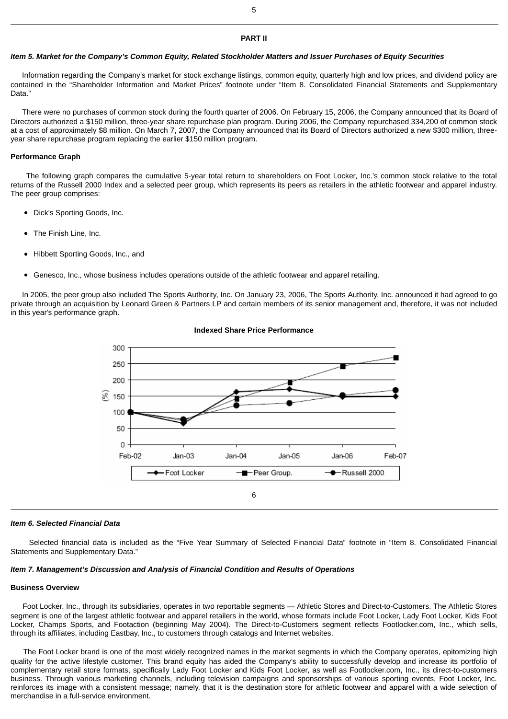#### **PART II**

## *Item 5. Market for the Company's Common Equity, Related Stockholder Matters and Issuer Purchases of Equity Securities*

 Information regarding the Company's market for stock exchange listings, common equity, quarterly high and low prices, and dividend policy are contained in the "Shareholder Information and Market Prices" footnote under "Item 8. Consolidated Financial Statements and Supplementary Data."

 There were no purchases of common stock during the fourth quarter of 2006. On February 15, 2006, the Company announced that its Board of Directors authorized a \$150 million, three-year share repurchase plan program. During 2006, the Company repurchased 334,200 of common stock at a cost of approximately \$8 million. On March 7, 2007, the Company announced that its Board of Directors authorized a new \$300 million, threeyear share repurchase program replacing the earlier \$150 million program.

## **Performance Graph**

The following graph compares the cumulative 5-year total return to shareholders on Foot Locker, Inc.'s common stock relative to the total returns of the Russell 2000 Index and a selected peer group, which represents its peers as retailers in the athletic footwear and apparel industry. The peer group comprises:

- Dick's Sporting Goods, Inc.
- The Finish Line, Inc.
- Hibbett Sporting Goods, Inc., and
- Genesco, Inc., whose business includes operations outside of the athletic footwear and apparel retailing.

 In 2005, the peer group also included The Sports Authority, Inc. On January 23, 2006, The Sports Authority, Inc. announced it had agreed to go private through an acquisition by Leonard Green & Partners LP and certain members of its senior management and, therefore, it was not included in this year's performance graph.



## **Indexed Share Price Performance**

## *Item 6. Selected Financial Data*

Selected financial data is included as the "Five Year Summary of Selected Financial Data" footnote in "Item 8. Consolidated Financial Statements and Supplementary Data."

## *Item 7. Management's Discussion and Analysis of Financial Condition and Results of Operations*

## **Business Overview**

Foot Locker, Inc., through its subsidiaries, operates in two reportable segments — Athletic Stores and Direct-to-Customers. The Athletic Stores segment is one of the largest athletic footwear and apparel retailers in the world, whose formats include Foot Locker, Lady Foot Locker, Kids Foot Locker, Champs Sports, and Footaction (beginning May 2004). The Direct-to-Customers segment reflects Footlocker.com, Inc., which sells, through its affiliates, including Eastbay, Inc., to customers through catalogs and Internet websites.

The Foot Locker brand is one of the most widely recognized names in the market segments in which the Company operates, epitomizing high quality for the active lifestyle customer. This brand equity has aided the Company's ability to successfully develop and increase its portfolio of complementary retail store formats, specifically Lady Foot Locker and Kids Foot Locker, as well as Footlocker.com, Inc., its direct-to-customers business. Through various marketing channels, including television campaigns and sponsorships of various sporting events, Foot Locker, Inc. reinforces its image with a consistent message; namely, that it is the destination store for athletic footwear and apparel with a wide selection of merchandise in a full-service environment.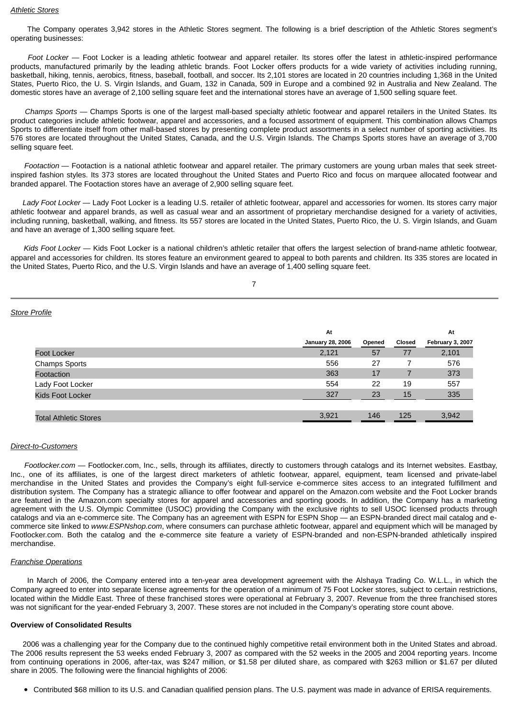#### *Athletic Stores*

The Company operates 3,942 stores in the Athletic Stores segment. The following is a brief description of the Athletic Stores segment's operating businesses:

*Foot Locker* — Foot Locker is a leading athletic footwear and apparel retailer. Its stores offer the latest in athletic-inspired performance products, manufactured primarily by the leading athletic brands. Foot Locker offers products for a wide variety of activities including running, basketball, hiking, tennis, aerobics, fitness, baseball, football, and soccer. Its 2,101 stores are located in 20 countries including 1,368 in the United States, Puerto Rico, the U. S. Virgin Islands, and Guam, 132 in Canada, 509 in Europe and a combined 92 in Australia and New Zealand. The domestic stores have an average of 2,100 selling square feet and the international stores have an average of 1,500 selling square feet.

*Champs Sports* — Champs Sports is one of the largest mall-based specialty athletic footwear and apparel retailers in the United States. Its product categories include athletic footwear, apparel and accessories, and a focused assortment of equipment. This combination allows Champs Sports to differentiate itself from other mall-based stores by presenting complete product assortments in a select number of sporting activities. Its 576 stores are located throughout the United States, Canada, and the U.S. Virgin Islands. The Champs Sports stores have an average of 3,700 selling square feet.

*Footaction* — Footaction is a national athletic footwear and apparel retailer. The primary customers are young urban males that seek streetinspired fashion styles. Its 373 stores are located throughout the United States and Puerto Rico and focus on marquee allocated footwear and branded apparel. The Footaction stores have an average of 2,900 selling square feet.

*Lady Foot Locker* — Lady Foot Locker is a leading U.S. retailer of athletic footwear, apparel and accessories for women. Its stores carry major athletic footwear and apparel brands, as well as casual wear and an assortment of proprietary merchandise designed for a variety of activities, including running, basketball, walking, and fitness. Its 557 stores are located in the United States, Puerto Rico, the U. S. Virgin Islands, and Guam and have an average of 1,300 selling square feet.

*Kids Foot Locker* — Kids Foot Locker is a national children's athletic retailer that offers the largest selection of brand-name athletic footwear, apparel and accessories for children. Its stores feature an environment geared to appeal to both parents and children. Its 335 stores are located in the United States, Puerto Rico, and the U.S. Virgin Islands and have an average of 1,400 selling square feet.

#### 7

#### *Store Profile*

|                              | At                      |        |        | At               |
|------------------------------|-------------------------|--------|--------|------------------|
|                              | <b>January 28, 2006</b> | Opened | Closed | February 3, 2007 |
| Foot Locker                  | 2,121                   | 57     | 77     | 2,101            |
| <b>Champs Sports</b>         | 556                     | 27     |        | 576              |
| Footaction                   | 363                     | 17     |        | 373              |
| Lady Foot Locker             | 554                     | 22     | 19     | 557              |
| Kids Foot Locker             | 327                     | 23     | 15     | 335              |
|                              |                         |        |        |                  |
| <b>Total Athletic Stores</b> | 3,921                   | 146    | 125    | 3,942            |

#### *Direct-to-Customers*

*Footlocker.com* — Footlocker.com, Inc., sells, through its affiliates, directly to customers through catalogs and its Internet websites. Eastbay, Inc., one of its affiliates, is one of the largest direct marketers of athletic footwear, apparel, equipment, team licensed and private-label merchandise in the United States and provides the Company's eight full-service e-commerce sites access to an integrated fulfillment and distribution system. The Company has a strategic alliance to offer footwear and apparel on the Amazon.com website and the Foot Locker brands are featured in the Amazon.com specialty stores for apparel and accessories and sporting goods. In addition, the Company has a marketing agreement with the U.S. Olympic Committee (USOC) providing the Company with the exclusive rights to sell USOC licensed products through catalogs and via an e-commerce site. The Company has an agreement with ESPN for ESPN Shop — an ESPN-branded direct mail catalog and ecommerce site linked to *www.ESPNshop.com*, where consumers can purchase athletic footwear, apparel and equipment which will be managed by Footlocker.com. Both the catalog and the e-commerce site feature a variety of ESPN-branded and non-ESPN-branded athletically inspired merchandise.

#### *Franchise Operations*

In March of 2006, the Company entered into a ten-year area development agreement with the Alshaya Trading Co. W.L.L., in which the Company agreed to enter into separate license agreements for the operation of a minimum of 75 Foot Locker stores, subject to certain restrictions, located within the Middle East. Three of these franchised stores were operational at February 3, 2007. Revenue from the three franchised stores was not significant for the year-ended February 3, 2007. These stores are not included in the Company's operating store count above.

#### **Overview of Consolidated Results**

2006 was a challenging year for the Company due to the continued highly competitive retail environment both in the United States and abroad. The 2006 results represent the 53 weeks ended February 3, 2007 as compared with the 52 weeks in the 2005 and 2004 reporting years. Income from continuing operations in 2006, after-tax, was \$247 million, or \$1.58 per diluted share, as compared with \$263 million or \$1.67 per diluted share in 2005. The following were the financial highlights of 2006:

Contributed \$68 million to its U.S. and Canadian qualified pension plans. The U.S. payment was made in advance of ERISA requirements.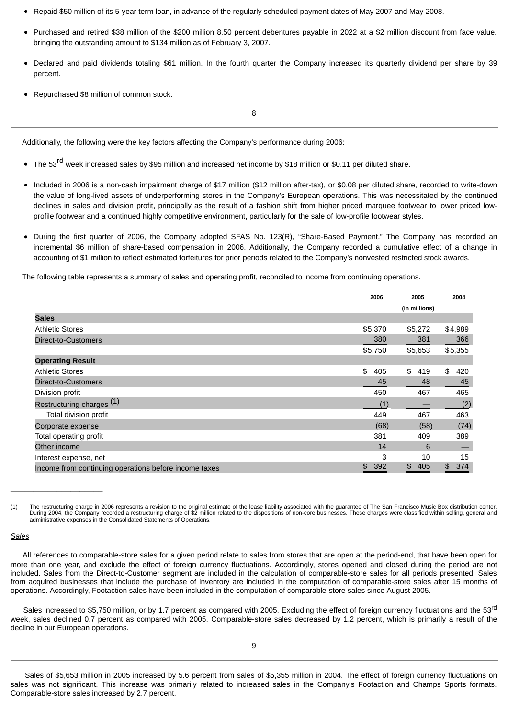- Repaid \$50 million of its 5-year term loan, in advance of the regularly scheduled payment dates of May 2007 and May 2008.
- Purchased and retired \$38 million of the \$200 million 8.50 percent debentures payable in 2022 at a \$2 million discount from face value, bringing the outstanding amount to \$134 million as of February 3, 2007.
- Declared and paid dividends totaling \$61 million. In the fourth quarter the Company increased its quarterly dividend per share by 39  $\bullet$ percent.
- Repurchased \$8 million of common stock.

Additionally, the following were the key factors affecting the Company's performance during 2006:

- The 53<sup>rd</sup> week increased sales by \$95 million and increased net income by \$18 million or \$0.11 per diluted share.
- Included in 2006 is a non-cash impairment charge of \$17 million (\$12 million after-tax), or \$0.08 per diluted share, recorded to write-down the value of long-lived assets of underperforming stores in the Company's European operations. This was necessitated by the continued declines in sales and division profit, principally as the result of a fashion shift from higher priced marquee footwear to lower priced lowprofile footwear and a continued highly competitive environment, particularly for the sale of low-profile footwear styles.
- During the first quarter of 2006, the Company adopted SFAS No. 123(R), "Share-Based Payment." The Company has recorded an incremental \$6 million of share-based compensation in 2006. Additionally, the Company recorded a cumulative effect of a change in accounting of \$1 million to reflect estimated forfeitures for prior periods related to the Company's nonvested restricted stock awards.

The following table represents a summary of sales and operating profit, reconciled to income from continuing operations.

|                                                       | 2006      | 2005                 | 2004      |
|-------------------------------------------------------|-----------|----------------------|-----------|
|                                                       |           | (in millions)        |           |
| <b>Sales</b>                                          |           |                      |           |
| <b>Athletic Stores</b>                                | \$5,370   | \$5,272              | \$4,989   |
| Direct-to-Customers                                   | 380       | 381                  | 366       |
|                                                       | \$5,750   | \$5,653              | \$5,355   |
| <b>Operating Result</b>                               |           |                      |           |
| <b>Athletic Stores</b>                                | \$<br>405 | \$<br>419            | \$<br>420 |
| Direct-to-Customers                                   | 45        | 48                   | 45        |
| Division profit                                       | 450       | 467                  | 465       |
| Restructuring charges (1)                             | (1)       |                      | (2)       |
| Total division profit                                 | 449       | 467                  | 463       |
| Corporate expense                                     | (68)      | (58)                 | (74)      |
| Total operating profit                                | 381       | 409                  | 389       |
| Other income                                          | 14        | 6                    |           |
| Interest expense, net                                 | 3         | 10                   | 15        |
| Income from continuing operations before income taxes | \$<br>392 | $\frac{2}{3}$<br>405 | \$<br>374 |

<sup>(1)</sup> The restructuring charge in 2006 represents a revision to the original estimate of the lease liability associated with the guarantee of The San Francisco Music Box distribution center. During 2004, the Company recorded a restructuring charge of \$2 million related to the dispositions of non-core businesses. These charges were classified within selling, general and administrative expenses in the Consolidated Statements of Operations.

#### *Sales*

\_\_\_\_\_\_\_\_\_\_\_\_\_\_\_\_\_\_\_\_

All references to comparable-store sales for a given period relate to sales from stores that are open at the period-end, that have been open for more than one year, and exclude the effect of foreign currency fluctuations. Accordingly, stores opened and closed during the period are not included. Sales from the Direct-to-Customer segment are included in the calculation of comparable-store sales for all periods presented. Sales from acquired businesses that include the purchase of inventory are included in the computation of comparable-store sales after 15 months of operations. Accordingly, Footaction sales have been included in the computation of comparable-store sales since August 2005.

Sales increased to \$5,750 million, or by 1.7 percent as compared with 2005. Excluding the effect of foreign currency fluctuations and the 53<sup>rd</sup> week, sales declined 0.7 percent as compared with 2005. Comparable-store sales decreased by 1.2 percent, which is primarily a result of the decline in our European operations.

Sales of \$5,653 million in 2005 increased by 5.6 percent from sales of \$5,355 million in 2004. The effect of foreign currency fluctuations on sales was not significant. This increase was primarily related to increased sales in the Company's Footaction and Champs Sports formats. Comparable-store sales increased by 2.7 percent.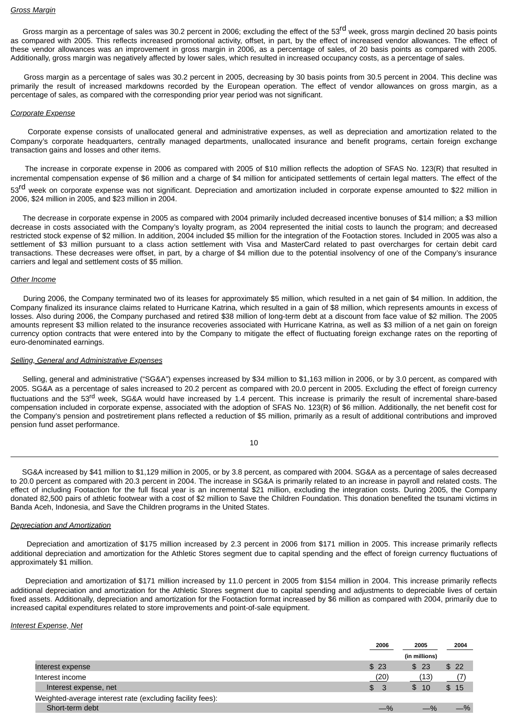#### *Gross Margin*

Gross margin as a percentage of sales was 30.2 percent in 2006; excluding the effect of the 53<sup>rd</sup> week, gross margin declined 20 basis points as compared with 2005. This reflects increased promotional activity, offset, in part, by the effect of increased vendor allowances. The effect of these vendor allowances was an improvement in gross margin in 2006, as a percentage of sales, of 20 basis points as compared with 2005. Additionally, gross margin was negatively affected by lower sales, which resulted in increased occupancy costs, as a percentage of sales.

Gross margin as a percentage of sales was 30.2 percent in 2005, decreasing by 30 basis points from 30.5 percent in 2004. This decline was primarily the result of increased markdowns recorded by the European operation. The effect of vendor allowances on gross margin, as a percentage of sales, as compared with the corresponding prior year period was not significant.

#### *Corporate Expense*

Corporate expense consists of unallocated general and administrative expenses, as well as depreciation and amortization related to the Company's corporate headquarters, centrally managed departments, unallocated insurance and benefit programs, certain foreign exchange transaction gains and losses and other items.

The increase in corporate expense in 2006 as compared with 2005 of \$10 million reflects the adoption of SFAS No. 123(R) that resulted in incremental compensation expense of \$6 million and a charge of \$4 million for anticipated settlements of certain legal matters. The effect of the 53<sup>rd</sup> week on corporate expense was not significant. Depreciation and amortization included in corporate expense amounted to \$22 million in

The decrease in corporate expense in 2005 as compared with 2004 primarily included decreased incentive bonuses of \$14 million; a \$3 million decrease in costs associated with the Company's loyalty program, as 2004 represented the initial costs to launch the program; and decreased restricted stock expense of \$2 million. In addition, 2004 included \$5 million for the integration of the Footaction stores. Included in 2005 was also a settlement of \$3 million pursuant to a class action settlement with Visa and MasterCard related to past overcharges for certain debit card transactions. These decreases were offset, in part, by a charge of \$4 million due to the potential insolvency of one of the Company's insurance carriers and legal and settlement costs of \$5 million.

#### *Other Income*

During 2006, the Company terminated two of its leases for approximately \$5 million, which resulted in a net gain of \$4 million. In addition, the Company finalized its insurance claims related to Hurricane Katrina, which resulted in a gain of \$8 million, which represents amounts in excess of losses. Also during 2006, the Company purchased and retired \$38 million of long-term debt at a discount from face value of \$2 million. The 2005 amounts represent \$3 million related to the insurance recoveries associated with Hurricane Katrina, as well as \$3 million of a net gain on foreign currency option contracts that were entered into by the Company to mitigate the effect of fluctuating foreign exchange rates on the reporting of euro-denominated earnings.

#### *Selling, General and Administrative Expenses*

2006, \$24 million in 2005, and \$23 million in 2004.

Selling, general and administrative ("SG&A") expenses increased by \$34 million to \$1,163 million in 2006, or by 3.0 percent, as compared with 2005. SG&A as a percentage of sales increased to 20.2 percent as compared with 20.0 percent in 2005. Excluding the effect of foreign currency fluctuations and the 53<sup>rd</sup> week, SG&A would have increased by 1.4 percent. This increase is primarily the result of incremental share-based compensation included in corporate expense, associated with the adoption of SFAS No. 123(R) of \$6 million. Additionally, the net benefit cost for the Company's pension and postretirement plans reflected a reduction of \$5 million, primarily as a result of additional contributions and improved pension fund asset performance.

10

 SG&A increased by \$41 million to \$1,129 million in 2005, or by 3.8 percent, as compared with 2004. SG&A as a percentage of sales decreased to 20.0 percent as compared with 20.3 percent in 2004. The increase in SG&A is primarily related to an increase in payroll and related costs. The effect of including Footaction for the full fiscal year is an incremental \$21 million, excluding the integration costs. During 2005, the Company donated 82,500 pairs of athletic footwear with a cost of \$2 million to Save the Children Foundation. This donation benefited the tsunami victims in Banda Aceh, Indonesia, and Save the Children programs in the United States.

## *Depreciation and Amortization*

Depreciation and amortization of \$175 million increased by 2.3 percent in 2006 from \$171 million in 2005. This increase primarily reflects additional depreciation and amortization for the Athletic Stores segment due to capital spending and the effect of foreign currency fluctuations of approximately \$1 million.

Depreciation and amortization of \$171 million increased by 11.0 percent in 2005 from \$154 million in 2004. This increase primarily reflects additional depreciation and amortization for the Athletic Stores segment due to capital spending and adjustments to depreciable lives of certain fixed assets. Additionally, depreciation and amortization for the Footaction format increased by \$6 million as compared with 2004, primarily due to increased capital expenditures related to store improvements and point-of-sale equipment.

## *Interest Expense, Net*

|                                                           | 2006     | 2005                | 2004  |
|-----------------------------------------------------------|----------|---------------------|-------|
|                                                           |          | (in millions)       |       |
| Interest expense                                          | \$23     | \$23                | \$22  |
| Interest income                                           | (20)     | (13)                |       |
| Interest expense, net                                     | \$<br>-3 | \$<br><sup>10</sup> | \$15  |
| Weighted-average interest rate (excluding facility fees): |          |                     |       |
| Short-term debt                                           | $-$ %    |                     | $-$ % |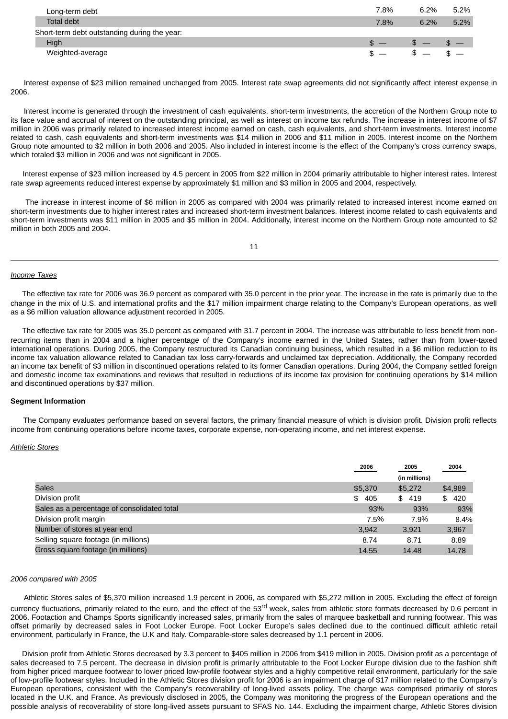| Long-term debt                               | 7.8% | $6.2\%$ | 5.2% |
|----------------------------------------------|------|---------|------|
| Total debt                                   | 7.8% | $6.2\%$ | 5.2% |
| Short-term debt outstanding during the year: |      |         |      |
| <b>High</b>                                  |      |         |      |
| Weighted-average                             |      | $s =$   |      |

Interest expense of \$23 million remained unchanged from 2005. Interest rate swap agreements did not significantly affect interest expense in 2006.

Interest income is generated through the investment of cash equivalents, short-term investments, the accretion of the Northern Group note to its face value and accrual of interest on the outstanding principal, as well as interest on income tax refunds. The increase in interest income of \$7 million in 2006 was primarily related to increased interest income earned on cash, cash equivalents, and short-term investments. Interest income related to cash, cash equivalents and short-term investments was \$14 million in 2006 and \$11 million in 2005. Interest income on the Northern Group note amounted to \$2 million in both 2006 and 2005. Also included in interest income is the effect of the Company's cross currency swaps, which totaled \$3 million in 2006 and was not significant in 2005.

Interest expense of \$23 million increased by 4.5 percent in 2005 from \$22 million in 2004 primarily attributable to higher interest rates. Interest rate swap agreements reduced interest expense by approximately \$1 million and \$3 million in 2005 and 2004, respectively.

The increase in interest income of \$6 million in 2005 as compared with 2004 was primarily related to increased interest income earned on short-term investments due to higher interest rates and increased short-term investment balances. Interest income related to cash equivalents and short-term investments was \$11 million in 2005 and \$5 million in 2004. Additionally, interest income on the Northern Group note amounted to \$2 million in both 2005 and 2004.

11

## *Income Taxes*

 The effective tax rate for 2006 was 36.9 percent as compared with 35.0 percent in the prior year. The increase in the rate is primarily due to the change in the mix of U.S. and international profits and the \$17 million impairment charge relating to the Company's European operations, as well as a \$6 million valuation allowance adjustment recorded in 2005.

 The effective tax rate for 2005 was 35.0 percent as compared with 31.7 percent in 2004. The increase was attributable to less benefit from nonrecurring items than in 2004 and a higher percentage of the Company's income earned in the United States, rather than from lower-taxed international operations. During 2005, the Company restructured its Canadian continuing business, which resulted in a \$6 million reduction to its income tax valuation allowance related to Canadian tax loss carry-forwards and unclaimed tax depreciation. Additionally, the Company recorded an income tax benefit of \$3 million in discontinued operations related to its former Canadian operations. During 2004, the Company settled foreign and domestic income tax examinations and reviews that resulted in reductions of its income tax provision for continuing operations by \$14 million and discontinued operations by \$37 million.

#### **Segment Information**

The Company evaluates performance based on several factors, the primary financial measure of which is division profit. Division profit reflects income from continuing operations before income taxes, corporate expense, non-operating income, and net interest expense.

#### *Athletic Stores*

|                                             | 2006      | 2005          | 2004      |
|---------------------------------------------|-----------|---------------|-----------|
|                                             |           | (in millions) |           |
| Sales                                       | \$5,370   | \$5,272       | \$4,989   |
| Division profit                             | 405<br>\$ | \$419         | 420<br>\$ |
| Sales as a percentage of consolidated total | 93%       | 93%           | 93%       |
| Division profit margin                      | 7.5%      | 7.9%          | 8.4%      |
| Number of stores at year end                | 3.942     | 3.921         | 3,967     |
| Selling square footage (in millions)        | 8.74      | 8.71          | 8.89      |
| Gross square footage (in millions)          | 14.55     | 14.48         | 14.78     |

#### *2006 compared with 2005*

Athletic Stores sales of \$5,370 million increased 1.9 percent in 2006, as compared with \$5,272 million in 2005. Excluding the effect of foreign currency fluctuations, primarily related to the euro, and the effect of the 53<sup>rd</sup> week, sales from athletic store formats decreased by 0.6 percent in 2006. Footaction and Champs Sports significantly increased sales, primarily from the sales of marquee basketball and running footwear. This was offset primarily by decreased sales in Foot Locker Europe. Foot Locker Europe's sales declined due to the continued difficult athletic retail environment, particularly in France, the U.K and Italy. Comparable-store sales decreased by 1.1 percent in 2006.

 Division profit from Athletic Stores decreased by 3.3 percent to \$405 million in 2006 from \$419 million in 2005. Division profit as a percentage of sales decreased to 7.5 percent. The decrease in division profit is primarily attributable to the Foot Locker Europe division due to the fashion shift from higher priced marquee footwear to lower priced low-profile footwear styles and a highly competitive retail environment, particularly for the sale of low-profile footwear styles. Included in the Athletic Stores division profit for 2006 is an impairment charge of \$17 million related to the Company's European operations, consistent with the Company's recoverability of long-lived assets policy. The charge was comprised primarily of stores located in the U.K. and France. As previously disclosed in 2005, the Company was monitoring the progress of the European operations and the possible analysis of recoverability of store long-lived assets pursuant to SFAS No. 144. Excluding the impairment charge, Athletic Stores division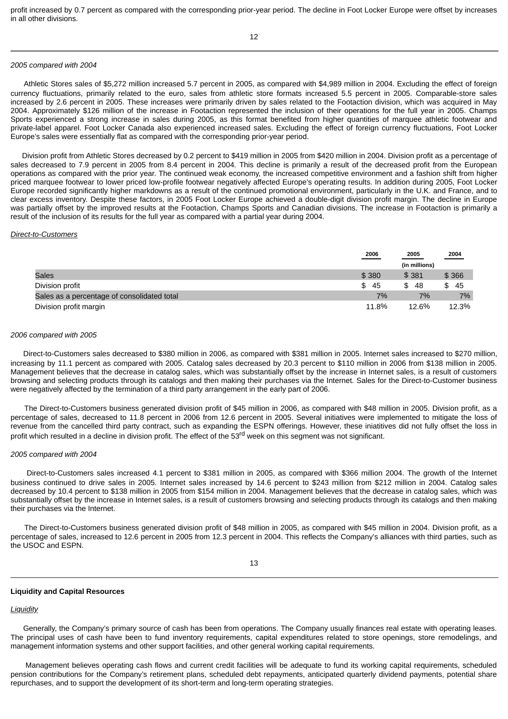profit increased by 0.7 percent as compared with the corresponding prior-year period. The decline in Foot Locker Europe were offset by increases in all other divisions.

#### *2005 compared with 2004*

Athletic Stores sales of \$5,272 million increased 5.7 percent in 2005, as compared with \$4,989 million in 2004. Excluding the effect of foreign currency fluctuations, primarily related to the euro, sales from athletic store formats increased 5.5 percent in 2005. Comparable-store sales increased by 2.6 percent in 2005. These increases were primarily driven by sales related to the Footaction division, which was acquired in May 2004. Approximately \$126 million of the increase in Footaction represented the inclusion of their operations for the full year in 2005. Champs Sports experienced a strong increase in sales during 2005, as this format benefited from higher quantities of marquee athletic footwear and private-label apparel. Foot Locker Canada also experienced increased sales. Excluding the effect of foreign currency fluctuations, Foot Locker Europe's sales were essentially flat as compared with the corresponding prior-year period.

 Division profit from Athletic Stores decreased by 0.2 percent to \$419 million in 2005 from \$420 million in 2004. Division profit as a percentage of sales decreased to 7.9 percent in 2005 from 8.4 percent in 2004. This decline is primarily a result of the decreased profit from the European operations as compared with the prior year. The continued weak economy, the increased competitive environment and a fashion shift from higher priced marquee footwear to lower priced low-profile footwear negatively affected Europe's operating results. In addition during 2005, Foot Locker Europe recorded significantly higher markdowns as a result of the continued promotional environment, particularly in the U.K. and France, and to clear excess inventory. Despite these factors, in 2005 Foot Locker Europe achieved a double-digit division profit margin. The decline in Europe was partially offset by the improved results at the Footaction, Champs Sports and Canadian divisions. The increase in Footaction is primarily a result of the inclusion of its results for the full year as compared with a partial year during 2004.

#### *Direct-to-Customers*

|                                             | 2006     | 2005          | 2004      |
|---------------------------------------------|----------|---------------|-----------|
|                                             |          | (in millions) |           |
| <b>Sales</b>                                | \$380    | \$381         | \$366     |
| Division profit                             | \$<br>45 | -48<br>\$     | -45<br>\$ |
| Sales as a percentage of consolidated total | 7%       | 7%            | 7%        |
| Division profit margin                      | 11.8%    | 12.6%         | 12.3%     |

#### *2006 compared with 2005*

Direct-to-Customers sales decreased to \$380 million in 2006, as compared with \$381 million in 2005. Internet sales increased to \$270 million, increasing by 11.1 percent as compared with 2005. Catalog sales decreased by 20.3 percent to \$110 million in 2006 from \$138 million in 2005. Management believes that the decrease in catalog sales, which was substantially offset by the increase in Internet sales, is a result of customers browsing and selecting products through its catalogs and then making their purchases via the Internet. Sales for the Direct-to-Customer business were negatively affected by the termination of a third party arrangement in the early part of 2006.

The Direct-to-Customers business generated division profit of \$45 million in 2006, as compared with \$48 million in 2005. Division profit, as a percentage of sales, decreased to 11.8 percent in 2006 from 12.6 percent in 2005. Several initiatives were implemented to mitigate the loss of revenue from the cancelled third party contract, such as expanding the ESPN offerings. However, these iniatitives did not fully offset the loss in profit which resulted in a decline in division profit. The effect of the 53<sup>rd</sup> week on this segment was not significant.

#### *2005 compared with 2004*

Direct-to-Customers sales increased 4.1 percent to \$381 million in 2005, as compared with \$366 million 2004. The growth of the Internet business continued to drive sales in 2005. Internet sales increased by 14.6 percent to \$243 million from \$212 million in 2004. Catalog sales decreased by 10.4 percent to \$138 million in 2005 from \$154 million in 2004. Management believes that the decrease in catalog sales, which was substantially offset by the increase in Internet sales, is a result of customers browsing and selecting products through its catalogs and then making their purchases via the Internet.

The Direct-to-Customers business generated division profit of \$48 million in 2005, as compared with \$45 million in 2004. Division profit, as a percentage of sales, increased to 12.6 percent in 2005 from 12.3 percent in 2004. This reflects the Company's alliances with third parties, such as the USOC and ESPN.

13

#### **Liquidity and Capital Resources**

#### *Liquidity*

Generally, the Company's primary source of cash has been from operations. The Company usually finances real estate with operating leases. The principal uses of cash have been to fund inventory requirements, capital expenditures related to store openings, store remodelings, and management information systems and other support facilities, and other general working capital requirements.

Management believes operating cash flows and current credit facilities will be adequate to fund its working capital requirements, scheduled pension contributions for the Company's retirement plans, scheduled debt repayments, anticipated quarterly dividend payments, potential share repurchases, and to support the development of its short-term and long-term operating strategies.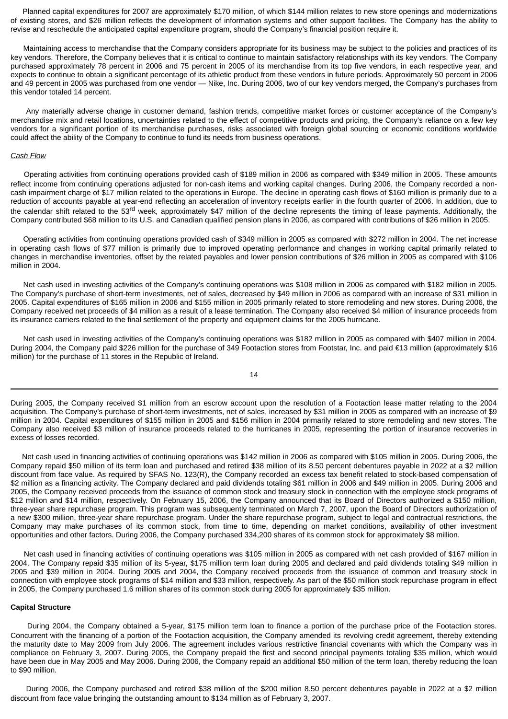Planned capital expenditures for 2007 are approximately \$170 million, of which \$144 million relates to new store openings and modernizations of existing stores, and \$26 million reflects the development of information systems and other support facilities. The Company has the ability to revise and reschedule the anticipated capital expenditure program, should the Company's financial position require it.

Maintaining access to merchandise that the Company considers appropriate for its business may be subject to the policies and practices of its key vendors. Therefore, the Company believes that it is critical to continue to maintain satisfactory relationships with its key vendors. The Company purchased approximately 78 percent in 2006 and 75 percent in 2005 of its merchandise from its top five vendors, in each respective year, and expects to continue to obtain a significant percentage of its athletic product from these vendors in future periods. Approximately 50 percent in 2006 and 49 percent in 2005 was purchased from one vendor — Nike, Inc. During 2006, two of our key vendors merged, the Company's purchases from this vendor totaled 14 percent.

Any materially adverse change in customer demand, fashion trends, competitive market forces or customer acceptance of the Company's merchandise mix and retail locations, uncertainties related to the effect of competitive products and pricing, the Company's reliance on a few key vendors for a significant portion of its merchandise purchases, risks associated with foreign global sourcing or economic conditions worldwide could affect the ability of the Company to continue to fund its needs from business operations.

#### *Cash Flow*

Operating activities from continuing operations provided cash of \$189 million in 2006 as compared with \$349 million in 2005. These amounts reflect income from continuing operations adjusted for non-cash items and working capital changes. During 2006, the Company recorded a noncash impairment charge of \$17 million related to the operations in Europe. The decline in operating cash flows of \$160 million is primarily due to a reduction of accounts payable at year-end reflecting an acceleration of inventory receipts earlier in the fourth quarter of 2006. In addition, due to the calendar shift related to the 53<sup>rd</sup> week, approximately \$47 million of the decline represents the timing of lease payments. Additionally, the Company contributed \$68 million to its U.S. and Canadian qualified pension plans in 2006, as compared with contributions of \$26 million in 2005.

Operating activities from continuing operations provided cash of \$349 million in 2005 as compared with \$272 million in 2004. The net increase in operating cash flows of \$77 million is primarily due to improved operating performance and changes in working capital primarily related to changes in merchandise inventories, offset by the related payables and lower pension contributions of \$26 million in 2005 as compared with \$106 million in 2004.

Net cash used in investing activities of the Company's continuing operations was \$108 million in 2006 as compared with \$182 million in 2005. The Company's purchase of short-term investments, net of sales, decreased by \$49 million in 2006 as compared with an increase of \$31 million in 2005. Capital expenditures of \$165 million in 2006 and \$155 million in 2005 primarily related to store remodeling and new stores. During 2006, the Company received net proceeds of \$4 million as a result of a lease termination. The Company also received \$4 million of insurance proceeds from its insurance carriers related to the final settlement of the property and equipment claims for the 2005 hurricane.

Net cash used in investing activities of the Company's continuing operations was \$182 million in 2005 as compared with \$407 million in 2004. During 2004, the Company paid \$226 million for the purchase of 349 Footaction stores from Footstar, Inc. and paid €13 million (approximately \$16 million) for the purchase of 11 stores in the Republic of Ireland.

14

During 2005, the Company received \$1 million from an escrow account upon the resolution of a Footaction lease matter relating to the 2004 acquisition. The Company's purchase of short-term investments, net of sales, increased by \$31 million in 2005 as compared with an increase of \$9 million in 2004. Capital expenditures of \$155 million in 2005 and \$156 million in 2004 primarily related to store remodeling and new stores. The Company also received \$3 million of insurance proceeds related to the hurricanes in 2005, representing the portion of insurance recoveries in excess of losses recorded.

 Net cash used in financing activities of continuing operations was \$142 million in 2006 as compared with \$105 million in 2005. During 2006, the Company repaid \$50 million of its term loan and purchased and retired \$38 million of its 8.50 percent debentures payable in 2022 at a \$2 million discount from face value. As required by SFAS No. 123(R), the Company recorded an excess tax benefit related to stock-based compensation of \$2 million as a financing activity. The Company declared and paid dividends totaling \$61 million in 2006 and \$49 million in 2005. During 2006 and 2005, the Company received proceeds from the issuance of common stock and treasury stock in connection with the employee stock programs of \$12 million and \$14 million, respectively. On February 15, 2006, the Company announced that its Board of Directors authorized a \$150 million, three-year share repurchase program. This program was subsequently terminated on March 7, 2007, upon the Board of Directors authorization of a new \$300 million, three-year share repurchase program. Under the share repurchase program, subject to legal and contractual restrictions, the Company may make purchases of its common stock, from time to time, depending on market conditions, availability of other investment opportunities and other factors. During 2006, the Company purchased 334,200 shares of its common stock for approximately \$8 million.

Net cash used in financing activities of continuing operations was \$105 million in 2005 as compared with net cash provided of \$167 million in 2004. The Company repaid \$35 million of its 5-year, \$175 million term loan during 2005 and declared and paid dividends totaling \$49 million in 2005 and \$39 million in 2004. During 2005 and 2004, the Company received proceeds from the issuance of common and treasury stock in connection with employee stock programs of \$14 million and \$33 million, respectively. As part of the \$50 million stock repurchase program in effect in 2005, the Company purchased 1.6 million shares of its common stock during 2005 for approximately \$35 million.

#### **Capital Structure**

During 2004, the Company obtained a 5-year, \$175 million term loan to finance a portion of the purchase price of the Footaction stores. Concurrent with the financing of a portion of the Footaction acquisition, the Company amended its revolving credit agreement, thereby extending the maturity date to May 2009 from July 2006. The agreement includes various restrictive financial covenants with which the Company was in compliance on February 3, 2007. During 2005, the Company prepaid the first and second principal payments totaling \$35 million, which would have been due in May 2005 and May 2006. During 2006, the Company repaid an additional \$50 million of the term loan, thereby reducing the loan to \$90 million.

During 2006, the Company purchased and retired \$38 million of the \$200 million 8.50 percent debentures payable in 2022 at a \$2 million discount from face value bringing the outstanding amount to \$134 million as of February 3, 2007.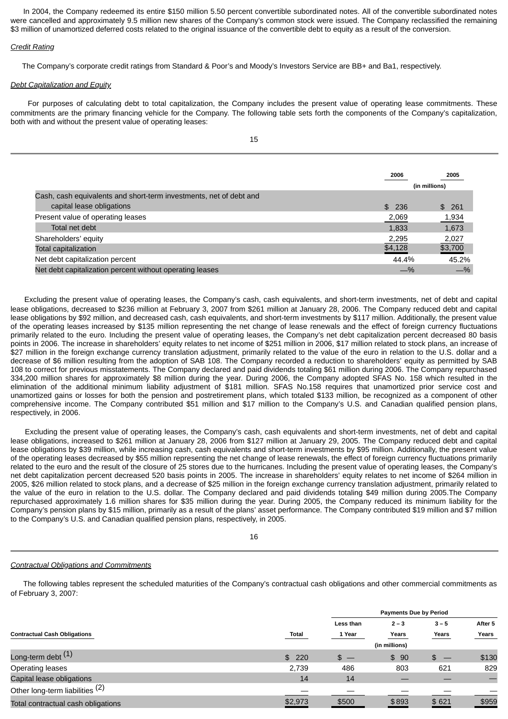In 2004, the Company redeemed its entire \$150 million 5.50 percent convertible subordinated notes. All of the convertible subordinated notes were cancelled and approximately 9.5 million new shares of the Company's common stock were issued. The Company reclassified the remaining \$3 million of unamortized deferred costs related to the original issuance of the convertible debt to equity as a result of the conversion.

#### *Credit Rating*

The Company's corporate credit ratings from Standard & Poor's and Moody's Investors Service are BB+ and Ba1, respectively.

## *Debt Capitalization and Equity*

For purposes of calculating debt to total capitalization, the Company includes the present value of operating lease commitments. These commitments are the primary financing vehicle for the Company. The following table sets forth the components of the Company's capitalization, both with and without the present value of operating leases:

| ×. |         |
|----|---------|
|    | ۰.<br>I |
|    | I<br>۰. |

|                                                                    | 2006    | 2005                |
|--------------------------------------------------------------------|---------|---------------------|
|                                                                    |         | (in millions)       |
| Cash, cash equivalents and short-term investments, net of debt and |         |                     |
| capital lease obligations                                          | \$236   | \$261               |
| Present value of operating leases                                  | 2,069   | 1,934               |
| Total net debt                                                     | 1,833   | 1,673               |
| Shareholders' equity                                               | 2,295   | 2,027               |
| Total capitalization                                               | \$4,128 | $\overline{$3,700}$ |
| Net debt capitalization percent                                    | 44.4%   | 45.2%               |
| Net debt capitalization percent without operating leases           | $-$ %   | $-$ %               |

Excluding the present value of operating leases, the Company's cash, cash equivalents, and short-term investments, net of debt and capital lease obligations, decreased to \$236 million at February 3, 2007 from \$261 million at January 28, 2006. The Company reduced debt and capital lease obligations by \$92 million, and decreased cash, cash equivalents, and short-term investments by \$117 million. Additionally, the present value of the operating leases increased by \$135 million representing the net change of lease renewals and the effect of foreign currency fluctuations primarily related to the euro. Including the present value of operating leases, the Company's net debt capitalization percent decreased 80 basis points in 2006. The increase in shareholders' equity relates to net income of \$251 million in 2006, \$17 million related to stock plans, an increase of \$27 million in the foreign exchange currency translation adjustment, primarily related to the value of the euro in relation to the U.S. dollar and a decrease of \$6 million resulting from the adoption of SAB 108. The Company recorded a reduction to shareholders' equity as permitted by SAB 108 to correct for previous misstatements. The Company declared and paid dividends totaling \$61 million during 2006. The Company repurchased 334,200 million shares for approximately \$8 million during the year. During 2006, the Company adopted SFAS No. 158 which resulted in the elimination of the additional minimum liability adjustment of \$181 million. SFAS No.158 requires that unamortized prior service cost and unamortized gains or losses for both the pension and postretirement plans, which totaled \$133 million, be recognized as a component of other comprehensive income. The Company contributed \$51 million and \$17 million to the Company's U.S. and Canadian qualified pension plans, respectively, in 2006.

Excluding the present value of operating leases, the Company's cash, cash equivalents and short-term investments, net of debt and capital lease obligations, increased to \$261 million at January 28, 2006 from \$127 million at January 29, 2005. The Company reduced debt and capital lease obligations by \$39 million, while increasing cash, cash equivalents and short-term investments by \$95 million. Additionally, the present value of the operating leases decreased by \$55 million representing the net change of lease renewals, the effect of foreign currency fluctuations primarily related to the euro and the result of the closure of 25 stores due to the hurricanes. Including the present value of operating leases, the Company's net debt capitalization percent decreased 520 basis points in 2005. The increase in shareholders' equity relates to net income of \$264 million in 2005, \$26 million related to stock plans, and a decrease of \$25 million in the foreign exchange currency translation adjustment, primarily related to the value of the euro in relation to the U.S. dollar. The Company declared and paid dividends totaling \$49 million during 2005.The Company repurchased approximately 1.6 million shares for \$35 million during the year. During 2005, the Company reduced its minimum liability for the Company's pension plans by \$15 million, primarily as a result of the plans' asset performance. The Company contributed \$19 million and \$7 million to the Company's U.S. and Canadian qualified pension plans, respectively, in 2005.

## *Contractual Obligations and Commitments*

The following tables represent the scheduled maturities of the Company's contractual cash obligations and other commercial commitments as of February 3, 2007:

|                                     |                         |           | <b>Payments Due by Period</b> |         |         |
|-------------------------------------|-------------------------|-----------|-------------------------------|---------|---------|
|                                     |                         | Less than | $2 - 3$                       | $3 - 5$ | After 5 |
| <b>Contractual Cash Obligations</b> | Total                   | 1 Year    | Years                         | Years   | Years   |
|                                     |                         |           | (in millions)                 |         |         |
| Long-term debt $(1)$                | 220<br>$\mathfrak{S}^-$ | \$        | \$90                          |         | \$130   |
| Operating leases                    | 2.739                   | 486       | 803                           | 621     | 829     |
| Capital lease obligations           | 14                      | 14        |                               |         |         |
| Other long-term liabilities (2)     |                         |           |                               |         |         |
| Total contractual cash obligations  | \$2,973                 | \$500     | \$893                         | \$621   | \$959   |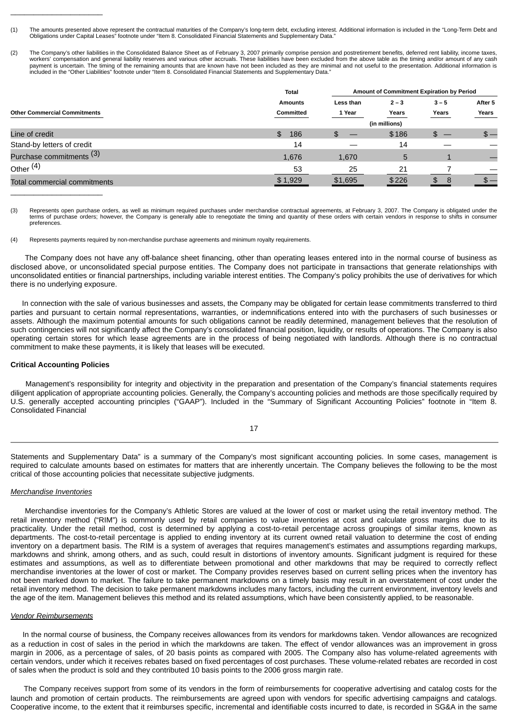- (1) The amounts presented above represent the contractual maturities of the Company's long-term debt, excluding interest. Additional information is included in the "Long-Term Debt and Obligations under Capital Leases" footnote under "Item 8. Consolidated Financial Statements and Supplementary Data."
- (2) The Company's other liabilities in the Consolidated Balance Sheet as of February 3, 2007 primarily comprise pension and postretirement benefits, deferred rent liability, income taxes, workers' compensation and general liability reserves and various other accruals. These liabilities have been excluded from the above table as the timing and/or amount of any cash payment is uncertain. The timing of the remaining amounts that are known have not been included as they are minimal and not useful to the presentation. Additional information is included in the "Other Liabilities" footnote under "Item 8. Consolidated Financial Statements and Supplementary Data."

|                                     | <b>Total</b>          | Amount of Commitment Expiration by Period |               |         |         |
|-------------------------------------|-----------------------|-------------------------------------------|---------------|---------|---------|
|                                     | <b>Amounts</b>        | Less than                                 | $2 - 3$       | $3 - 5$ | After 5 |
| <b>Other Commercial Commitments</b> | <b>Committed</b>      | 1 Year                                    | Years         | Years   | Years   |
|                                     |                       |                                           | (in millions) |         |         |
| Line of credit                      | $\mathfrak{L}$<br>186 |                                           | \$186         |         | $$ -$   |
| Stand-by letters of credit          | 14                    |                                           | 14            |         |         |
| Purchase commitments <sup>(3)</sup> | 1,676                 | 1,670                                     | 5             |         |         |
| Other $(4)$                         | 53                    | 25                                        | 21            |         |         |
| Total commercial commitments        | \$1,929               | \$1,695                                   | \$226         |         |         |
|                                     |                       |                                           |               |         |         |

(3) Represents open purchase orders, as well as minimum required purchases under merchandise contractual agreements, at February 3, 2007. The Company is obligated under the terms of purchase orders; however, the Company is generally able to renegotiate the timing and quantity of these orders with certain vendors in response to shifts in consumer preferences.

(4) Represents payments required by non-merchandise purchase agreements and minimum royalty requirements.

The Company does not have any off-balance sheet financing, other than operating leases entered into in the normal course of business as disclosed above, or unconsolidated special purpose entities. The Company does not participate in transactions that generate relationships with unconsolidated entities or financial partnerships, including variable interest entities. The Company's policy prohibits the use of derivatives for which there is no underlying exposure.

 In connection with the sale of various businesses and assets, the Company may be obligated for certain lease commitments transferred to third parties and pursuant to certain normal representations, warranties, or indemnifications entered into with the purchasers of such businesses or assets. Although the maximum potential amounts for such obligations cannot be readily determined, management believes that the resolution of such contingencies will not significantly affect the Company's consolidated financial position, liquidity, or results of operations. The Company is also operating certain stores for which lease agreements are in the process of being negotiated with landlords. Although there is no contractual commitment to make these payments, it is likely that leases will be executed.

#### **Critical Accounting Policies**

\_\_\_\_\_\_\_\_\_\_\_\_\_\_\_\_\_\_\_\_

Management's responsibility for integrity and objectivity in the preparation and presentation of the Company's financial statements requires diligent application of appropriate accounting policies. Generally, the Company's accounting policies and methods are those specifically required by U.S. generally accepted accounting principles ("GAAP"). Included in the "Summary of Significant Accounting Policies" footnote in "Item 8. Consolidated Financial

17

Statements and Supplementary Data" is a summary of the Company's most significant accounting policies. In some cases, management is required to calculate amounts based on estimates for matters that are inherently uncertain. The Company believes the following to be the most critical of those accounting policies that necessitate subjective judgments.

#### *Merchandise Inventories*

Merchandise inventories for the Company's Athletic Stores are valued at the lower of cost or market using the retail inventory method. The retail inventory method ("RIM") is commonly used by retail companies to value inventories at cost and calculate gross margins due to its practicality. Under the retail method, cost is determined by applying a cost-to-retail percentage across groupings of similar items, known as departments. The cost-to-retail percentage is applied to ending inventory at its current owned retail valuation to determine the cost of ending inventory on a department basis. The RIM is a system of averages that requires management's estimates and assumptions regarding markups, markdowns and shrink, among others, and as such, could result in distortions of inventory amounts. Significant judgment is required for these estimates and assumptions, as well as to differentiate between promotional and other markdowns that may be required to correctly reflect merchandise inventories at the lower of cost or market. The Company provides reserves based on current selling prices when the inventory has not been marked down to market. The failure to take permanent markdowns on a timely basis may result in an overstatement of cost under the retail inventory method. The decision to take permanent markdowns includes many factors, including the current environment, inventory levels and the age of the item. Management believes this method and its related assumptions, which have been consistently applied, to be reasonable.

#### *Vendor Reimbursements*

In the normal course of business, the Company receives allowances from its vendors for markdowns taken. Vendor allowances are recognized as a reduction in cost of sales in the period in which the markdowns are taken. The effect of vendor allowances was an improvement in gross margin in 2006, as a percentage of sales, of 20 basis points as compared with 2005. The Company also has volume-related agreements with certain vendors, under which it receives rebates based on fixed percentages of cost purchases. These volume-related rebates are recorded in cost of sales when the product is sold and they contributed 10 basis points to the 2006 gross margin rate.

The Company receives support from some of its vendors in the form of reimbursements for cooperative advertising and catalog costs for the launch and promotion of certain products. The reimbursements are agreed upon with vendors for specific advertising campaigns and catalogs. Cooperative income, to the extent that it reimburses specific, incremental and identifiable costs incurred to date, is recorded in SG&A in the same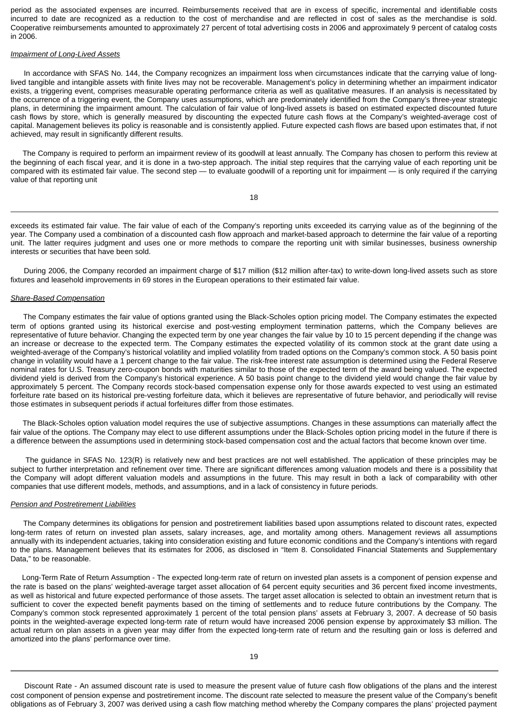period as the associated expenses are incurred. Reimbursements received that are in excess of specific, incremental and identifiable costs incurred to date are recognized as a reduction to the cost of merchandise and are reflected in cost of sales as the merchandise is sold. Cooperative reimbursements amounted to approximately 27 percent of total advertising costs in 2006 and approximately 9 percent of catalog costs in 2006.

#### *Impairment of Long-Lived Assets*

In accordance with SFAS No. 144, the Company recognizes an impairment loss when circumstances indicate that the carrying value of longlived tangible and intangible assets with finite lives may not be recoverable. Management's policy in determining whether an impairment indicator exists, a triggering event, comprises measurable operating performance criteria as well as qualitative measures. If an analysis is necessitated by the occurrence of a triggering event, the Company uses assumptions, which are predominately identified from the Company's three-year strategic plans, in determining the impairment amount. The calculation of fair value of long-lived assets is based on estimated expected discounted future cash flows by store, which is generally measured by discounting the expected future cash flows at the Company's weighted-average cost of capital. Management believes its policy is reasonable and is consistently applied. Future expected cash flows are based upon estimates that, if not achieved, may result in significantly different results.

The Company is required to perform an impairment review of its goodwill at least annually. The Company has chosen to perform this review at the beginning of each fiscal year, and it is done in a two-step approach. The initial step requires that the carrying value of each reporting unit be compared with its estimated fair value. The second step  $-$  to evaluate goodwill of a reporting unit for impairment  $-$  is only required if the carrying value of that reporting unit

18

exceeds its estimated fair value. The fair value of each of the Company's reporting units exceeded its carrying value as of the beginning of the year. The Company used a combination of a discounted cash flow approach and market-based approach to determine the fair value of a reporting unit. The latter requires judgment and uses one or more methods to compare the reporting unit with similar businesses, business ownership interests or securities that have been sold.

During 2006, the Company recorded an impairment charge of \$17 million (\$12 million after-tax) to write-down long-lived assets such as store fixtures and leasehold improvements in 69 stores in the European operations to their estimated fair value.

#### *Share-Based Compensation*

The Company estimates the fair value of options granted using the Black-Scholes option pricing model. The Company estimates the expected term of options granted using its historical exercise and post-vesting employment termination patterns, which the Company believes are representative of future behavior. Changing the expected term by one year changes the fair value by 10 to 15 percent depending if the change was an increase or decrease to the expected term. The Company estimates the expected volatility of its common stock at the grant date using a weighted-average of the Company's historical volatility and implied volatility from traded options on the Company's common stock. A 50 basis point change in volatility would have a 1 percent change to the fair value. The risk-free interest rate assumption is determined using the Federal Reserve nominal rates for U.S. Treasury zero-coupon bonds with maturities similar to those of the expected term of the award being valued. The expected dividend yield is derived from the Company's historical experience. A 50 basis point change to the dividend yield would change the fair value by approximately 5 percent. The Company records stock-based compensation expense only for those awards expected to vest using an estimated forfeiture rate based on its historical pre-vesting forfeiture data, which it believes are representative of future behavior, and periodically will revise those estimates in subsequent periods if actual forfeitures differ from those estimates.

The Black-Scholes option valuation model requires the use of subjective assumptions. Changes in these assumptions can materially affect the fair value of the options. The Company may elect to use different assumptions under the Black-Scholes option pricing model in the future if there is a difference between the assumptions used in determining stock-based compensation cost and the actual factors that become known over time.

The guidance in SFAS No. 123(R) is relatively new and best practices are not well established. The application of these principles may be subject to further interpretation and refinement over time. There are significant differences among valuation models and there is a possibility that the Company will adopt different valuation models and assumptions in the future. This may result in both a lack of comparability with other companies that use different models, methods, and assumptions, and in a lack of consistency in future periods.

#### *Pension and Postretirement Liabilities*

The Company determines its obligations for pension and postretirement liabilities based upon assumptions related to discount rates, expected long-term rates of return on invested plan assets, salary increases, age, and mortality among others. Management reviews all assumptions annually with its independent actuaries, taking into consideration existing and future economic conditions and the Company's intentions with regard to the plans. Management believes that its estimates for 2006, as disclosed in "Item 8. Consolidated Financial Statements and Supplementary Data," to be reasonable.

 Long-Term Rate of Return Assumption - The expected long-term rate of return on invested plan assets is a component of pension expense and the rate is based on the plans' weighted-average target asset allocation of 64 percent equity securities and 36 percent fixed income investments, as well as historical and future expected performance of those assets. The target asset allocation is selected to obtain an investment return that is sufficient to cover the expected benefit payments based on the timing of settlements and to reduce future contributions by the Company. The Company's common stock represented approximately 1 percent of the total pension plans' assets at February 3, 2007. A decrease of 50 basis points in the weighted-average expected long-term rate of return would have increased 2006 pension expense by approximately \$3 million. The actual return on plan assets in a given year may differ from the expected long-term rate of return and the resulting gain or loss is deferred and amortized into the plans' performance over time.

Discount Rate - An assumed discount rate is used to measure the present value of future cash flow obligations of the plans and the interest cost component of pension expense and postretirement income. The discount rate selected to measure the present value of the Company's benefit obligations as of February 3, 2007 was derived using a cash flow matching method whereby the Company compares the plans' projected payment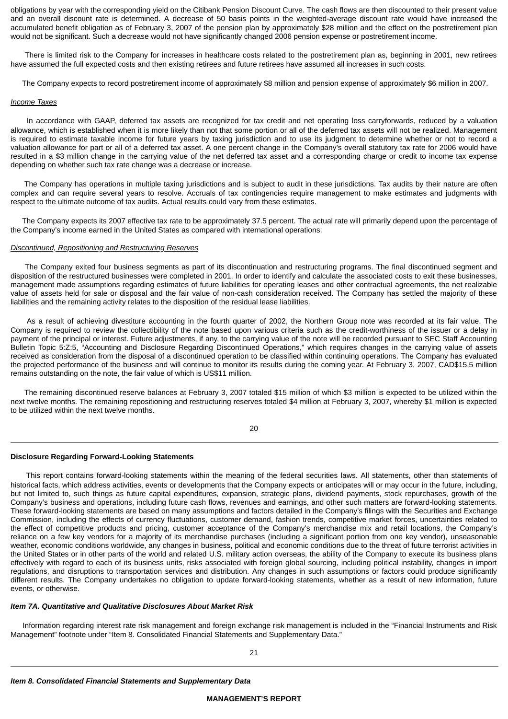obligations by year with the corresponding yield on the Citibank Pension Discount Curve. The cash flows are then discounted to their present value and an overall discount rate is determined. A decrease of 50 basis points in the weighted-average discount rate would have increased the accumulated benefit obligation as of February 3, 2007 of the pension plan by approximately \$28 million and the effect on the postretirement plan would not be significant. Such a decrease would not have significantly changed 2006 pension expense or postretirement income.

There is limited risk to the Company for increases in healthcare costs related to the postretirement plan as, beginning in 2001, new retirees have assumed the full expected costs and then existing retirees and future retirees have assumed all increases in such costs.

The Company expects to record postretirement income of approximately \$8 million and pension expense of approximately \$6 million in 2007.

#### *Income Taxes*

In accordance with GAAP, deferred tax assets are recognized for tax credit and net operating loss carryforwards, reduced by a valuation allowance, which is established when it is more likely than not that some portion or all of the deferred tax assets will not be realized. Management is required to estimate taxable income for future years by taxing jurisdiction and to use its judgment to determine whether or not to record a valuation allowance for part or all of a deferred tax asset. A one percent change in the Company's overall statutory tax rate for 2006 would have resulted in a \$3 million change in the carrying value of the net deferred tax asset and a corresponding charge or credit to income tax expense depending on whether such tax rate change was a decrease or increase.

The Company has operations in multiple taxing jurisdictions and is subject to audit in these jurisdictions. Tax audits by their nature are often complex and can require several years to resolve. Accruals of tax contingencies require management to make estimates and judgments with respect to the ultimate outcome of tax audits. Actual results could vary from these estimates.

 The Company expects its 2007 effective tax rate to be approximately 37.5 percent. The actual rate will primarily depend upon the percentage of the Company's income earned in the United States as compared with international operations.

#### *Discontinued, Repositioning and Restructuring Reserves*

The Company exited four business segments as part of its discontinuation and restructuring programs. The final discontinued segment and disposition of the restructured businesses were completed in 2001. In order to identify and calculate the associated costs to exit these businesses, management made assumptions regarding estimates of future liabilities for operating leases and other contractual agreements, the net realizable value of assets held for sale or disposal and the fair value of non-cash consideration received. The Company has settled the majority of these liabilities and the remaining activity relates to the disposition of the residual lease liabilities.

As a result of achieving divestiture accounting in the fourth quarter of 2002, the Northern Group note was recorded at its fair value. The Company is required to review the collectibility of the note based upon various criteria such as the credit-worthiness of the issuer or a delay in payment of the principal or interest. Future adjustments, if any, to the carrying value of the note will be recorded pursuant to SEC Staff Accounting Bulletin Topic 5:Z:5, "Accounting and Disclosure Regarding Discontinued Operations," which requires changes in the carrying value of assets received as consideration from the disposal of a discontinued operation to be classified within continuing operations. The Company has evaluated the projected performance of the business and will continue to monitor its results during the coming year. At February 3, 2007, CAD\$15.5 million remains outstanding on the note, the fair value of which is US\$11 million.

The remaining discontinued reserve balances at February 3, 2007 totaled \$15 million of which \$3 million is expected to be utilized within the next twelve months. The remaining repositioning and restructuring reserves totaled \$4 million at February 3, 2007, whereby \$1 million is expected to be utilized within the next twelve months.

20

#### **Disclosure Regarding Forward-Looking Statements**

This report contains forward-looking statements within the meaning of the federal securities laws. All statements, other than statements of historical facts, which address activities, events or developments that the Company expects or anticipates will or may occur in the future, including, but not limited to, such things as future capital expenditures, expansion, strategic plans, dividend payments, stock repurchases, growth of the Company's business and operations, including future cash flows, revenues and earnings, and other such matters are forward-looking statements. These forward-looking statements are based on many assumptions and factors detailed in the Company's filings with the Securities and Exchange Commission, including the effects of currency fluctuations, customer demand, fashion trends, competitive market forces, uncertainties related to the effect of competitive products and pricing, customer acceptance of the Company's merchandise mix and retail locations, the Company's reliance on a few key vendors for a majority of its merchandise purchases (including a significant portion from one key vendor), unseasonable weather, economic conditions worldwide, any changes in business, political and economic conditions due to the threat of future terrorist activities in the United States or in other parts of the world and related U.S. military action overseas, the ability of the Company to execute its business plans effectively with regard to each of its business units, risks associated with foreign global sourcing, including political instability, changes in import regulations, and disruptions to transportation services and distribution. Any changes in such assumptions or factors could produce significantly different results. The Company undertakes no obligation to update forward-looking statements, whether as a result of new information, future events, or otherwise.

#### *Item 7A. Quantitative and Qualitative Disclosures About Market Risk*

Information regarding interest rate risk management and foreign exchange risk management is included in the "Financial Instruments and Risk Management" footnote under "Item 8. Consolidated Financial Statements and Supplementary Data."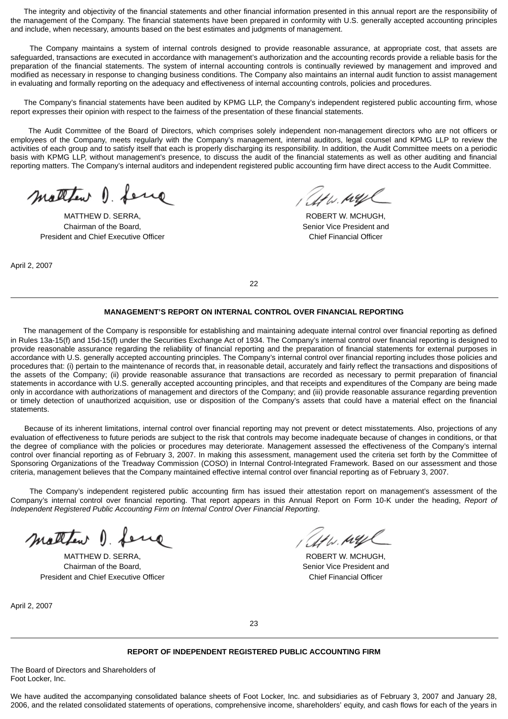The integrity and objectivity of the financial statements and other financial information presented in this annual report are the responsibility of the management of the Company. The financial statements have been prepared in conformity with U.S. generally accepted accounting principles and include, when necessary, amounts based on the best estimates and judgments of management.

The Company maintains a system of internal controls designed to provide reasonable assurance, at appropriate cost, that assets are safeguarded, transactions are executed in accordance with management's authorization and the accounting records provide a reliable basis for the preparation of the financial statements. The system of internal accounting controls is continually reviewed by management and improved and modified as necessary in response to changing business conditions. The Company also maintains an internal audit function to assist management in evaluating and formally reporting on the adequacy and effectiveness of internal accounting controls, policies and procedures.

The Company's financial statements have been audited by KPMG LLP, the Company's independent registered public accounting firm, whose report expresses their opinion with respect to the fairness of the presentation of these financial statements.

The Audit Committee of the Board of Directors, which comprises solely independent non-management directors who are not officers or employees of the Company, meets regularly with the Company's management, internal auditors, legal counsel and KPMG LLP to review the activities of each group and to satisfy itself that each is properly discharging its responsibility. In addition, the Audit Committee meets on a periodic basis with KPMG LLP, without management's presence, to discuss the audit of the financial statements as well as other auditing and financial reporting matters. The Company's internal auditors and independent registered public accounting firm have direct access to the Audit Committee.

matter D. feno

MATTHEW D. SERRA, THE ROBERT W. MCHUGH, Chairman of the Board, Senior Vice President and Senior Vice President and President and Chief Executive Officer Chief Financial Officer Chief Financial Officer

let w. page

April 2, 2007

22

#### **MANAGEMENT'S REPORT ON INTERNAL CONTROL OVER FINANCIAL REPORTING**

The management of the Company is responsible for establishing and maintaining adequate internal control over financial reporting as defined in Rules 13a-15(f) and 15d-15(f) under the Securities Exchange Act of 1934. The Company's internal control over financial reporting is designed to provide reasonable assurance regarding the reliability of financial reporting and the preparation of financial statements for external purposes in accordance with U.S. generally accepted accounting principles. The Company's internal control over financial reporting includes those policies and procedures that: (i) pertain to the maintenance of records that, in reasonable detail, accurately and fairly reflect the transactions and dispositions of the assets of the Company; (ii) provide reasonable assurance that transactions are recorded as necessary to permit preparation of financial statements in accordance with U.S. generally accepted accounting principles, and that receipts and expenditures of the Company are being made only in accordance with authorizations of management and directors of the Company; and (iii) provide reasonable assurance regarding prevention or timely detection of unauthorized acquisition, use or disposition of the Company's assets that could have a material effect on the financial statements.

Because of its inherent limitations, internal control over financial reporting may not prevent or detect misstatements. Also, projections of any evaluation of effectiveness to future periods are subject to the risk that controls may become inadequate because of changes in conditions, or that the degree of compliance with the policies or procedures may deteriorate. Management assessed the effectiveness of the Company's internal control over financial reporting as of February 3, 2007. In making this assessment, management used the criteria set forth by the Committee of Sponsoring Organizations of the Treadway Commission (COSO) in Internal Control-Integrated Framework. Based on our assessment and those criteria, management believes that the Company maintained effective internal control over financial reporting as of February 3, 2007.

The Company's independent registered public accounting firm has issued their attestation report on management's assessment of the Company's internal control over financial reporting. That report appears in this Annual Report on Form 10-K under the heading, *Report of Independent Registered Public Accounting Firm on Internal Control Over Financial Reporting*.

motten .

MATTHEW D. SERRA, THE ROBERT W. MCHUGH, Chairman of the Board, Senior Vice President and President and Chief Executive Officer Chief Financial Officer Chief Financial Officer

April 2, 2007

It w. MY

23

#### **REPORT OF INDEPENDENT REGISTERED PUBLIC ACCOUNTING FIRM**

The Board of Directors and Shareholders of Foot Locker, Inc.

We have audited the accompanying consolidated balance sheets of Foot Locker, Inc. and subsidiaries as of February 3, 2007 and January 28, 2006, and the related consolidated statements of operations, comprehensive income, shareholders' equity, and cash flows for each of the years in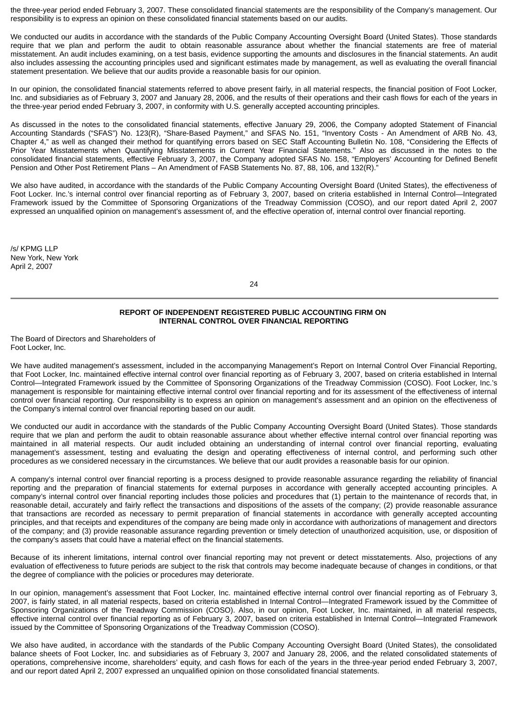the three-year period ended February 3, 2007. These consolidated financial statements are the responsibility of the Company's management. Our responsibility is to express an opinion on these consolidated financial statements based on our audits.

We conducted our audits in accordance with the standards of the Public Company Accounting Oversight Board (United States). Those standards require that we plan and perform the audit to obtain reasonable assurance about whether the financial statements are free of material misstatement. An audit includes examining, on a test basis, evidence supporting the amounts and disclosures in the financial statements. An audit also includes assessing the accounting principles used and significant estimates made by management, as well as evaluating the overall financial statement presentation. We believe that our audits provide a reasonable basis for our opinion.

In our opinion, the consolidated financial statements referred to above present fairly, in all material respects, the financial position of Foot Locker, Inc. and subsidiaries as of February 3, 2007 and January 28, 2006, and the results of their operations and their cash flows for each of the years in the three-year period ended February 3, 2007, in conformity with U.S. generally accepted accounting principles.

As discussed in the notes to the consolidated financial statements, effective January 29, 2006, the Company adopted Statement of Financial Accounting Standards ("SFAS") No. 123(R), "Share-Based Payment," and SFAS No. 151, "Inventory Costs - An Amendment of ARB No. 43, Chapter 4," as well as changed their method for quantifying errors based on SEC Staff Accounting Bulletin No. 108, "Considering the Effects of Prior Year Misstatements when Quantifying Misstatements in Current Year Financial Statements." Also as discussed in the notes to the consolidated financial statements, effective February 3, 2007, the Company adopted SFAS No. 158, "Employers' Accounting for Defined Benefit Pension and Other Post Retirement Plans – An Amendment of FASB Statements No. 87, 88, 106, and 132(R).

We also have audited, in accordance with the standards of the Public Company Accounting Oversight Board (United States), the effectiveness of Foot Locker. Inc.'s internal control over financial reporting as of February 3, 2007, based on criteria established in Internal Control—Integrated Framework issued by the Committee of Sponsoring Organizations of the Treadway Commission (COSO), and our report dated April 2, 2007 expressed an unqualified opinion on management's assessment of, and the effective operation of, internal control over financial reporting.

/s/ KPMG LLP New York, New York April 2, 2007

24

## **REPORT OF INDEPENDENT REGISTERED PUBLIC ACCOUNTING FIRM ON INTERNAL CONTROL OVER FINANCIAL REPORTING**

The Board of Directors and Shareholders of Foot Locker, Inc.

We have audited management's assessment, included in the accompanying Management's Report on Internal Control Over Financial Reporting, that Foot Locker, Inc. maintained effective internal control over financial reporting as of February 3, 2007, based on criteria established in Internal Control—Integrated Framework issued by the Committee of Sponsoring Organizations of the Treadway Commission (COSO). Foot Locker, Inc.'s management is responsible for maintaining effective internal control over financial reporting and for its assessment of the effectiveness of internal control over financial reporting. Our responsibility is to express an opinion on management's assessment and an opinion on the effectiveness of the Company's internal control over financial reporting based on our audit.

We conducted our audit in accordance with the standards of the Public Company Accounting Oversight Board (United States). Those standards require that we plan and perform the audit to obtain reasonable assurance about whether effective internal control over financial reporting was maintained in all material respects. Our audit included obtaining an understanding of internal control over financial reporting, evaluating management's assessment, testing and evaluating the design and operating effectiveness of internal control, and performing such other procedures as we considered necessary in the circumstances. We believe that our audit provides a reasonable basis for our opinion.

A company's internal control over financial reporting is a process designed to provide reasonable assurance regarding the reliability of financial reporting and the preparation of financial statements for external purposes in accordance with generally accepted accounting principles. A company's internal control over financial reporting includes those policies and procedures that (1) pertain to the maintenance of records that, in reasonable detail, accurately and fairly reflect the transactions and dispositions of the assets of the company; (2) provide reasonable assurance that transactions are recorded as necessary to permit preparation of financial statements in accordance with generally accepted accounting principles, and that receipts and expenditures of the company are being made only in accordance with authorizations of management and directors of the company; and (3) provide reasonable assurance regarding prevention or timely detection of unauthorized acquisition, use, or disposition of the company's assets that could have a material effect on the financial statements.

Because of its inherent limitations, internal control over financial reporting may not prevent or detect misstatements. Also, projections of any evaluation of effectiveness to future periods are subject to the risk that controls may become inadequate because of changes in conditions, or that the degree of compliance with the policies or procedures may deteriorate.

In our opinion, management's assessment that Foot Locker, Inc. maintained effective internal control over financial reporting as of February 3, 2007, is fairly stated, in all material respects, based on criteria established in Internal Control—Integrated Framework issued by the Committee of Sponsoring Organizations of the Treadway Commission (COSO). Also, in our opinion, Foot Locker, Inc. maintained, in all material respects, effective internal control over financial reporting as of February 3, 2007, based on criteria established in Internal Control—Integrated Framework issued by the Committee of Sponsoring Organizations of the Treadway Commission (COSO).

We also have audited, in accordance with the standards of the Public Company Accounting Oversight Board (United States), the consolidated balance sheets of Foot Locker, Inc. and subsidiaries as of February 3, 2007 and January 28, 2006, and the related consolidated statements of operations, comprehensive income, shareholders' equity, and cash flows for each of the years in the three-year period ended February 3, 2007, and our report dated April 2, 2007 expressed an unqualified opinion on those consolidated financial statements.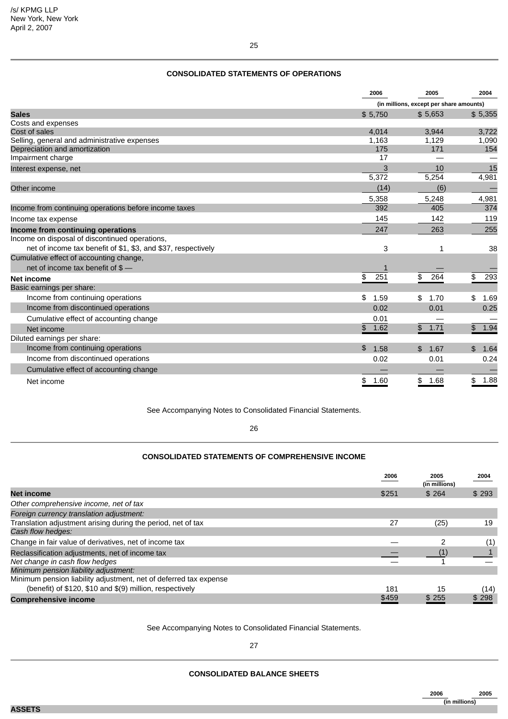## **CONSOLIDATED STATEMENTS OF OPERATIONS**

|                                                               | 2006         | 2005                                    | 2004                   |
|---------------------------------------------------------------|--------------|-----------------------------------------|------------------------|
|                                                               |              | (in millions, except per share amounts) |                        |
| <b>Sales</b>                                                  | \$5.750      | \$5,653                                 | \$5,355                |
| Costs and expenses                                            |              |                                         |                        |
| Cost of sales                                                 | 4,014        | 3,944                                   | 3,722                  |
| Selling, general and administrative expenses                  | 1,163        | 1,129                                   | 1,090                  |
| Depreciation and amortization                                 | 175          | 171                                     | 154                    |
| Impairment charge                                             | 17           |                                         |                        |
| Interest expense, net                                         | 3            | 10                                      | 15                     |
|                                                               | 5,372        | 5,254                                   | 4,981                  |
| Other income                                                  | (14)         | (6)                                     |                        |
|                                                               | 5,358        | 5,248                                   | 4,981                  |
| Income from continuing operations before income taxes         | 392          | 405                                     | 374                    |
| Income tax expense                                            | 145          | 142                                     | 119                    |
| Income from continuing operations                             | 247          | 263                                     | 255                    |
| Income on disposal of discontinued operations,                |              |                                         |                        |
| net of income tax benefit of \$1, \$3, and \$37, respectively | 3            | 1                                       | 38                     |
| Cumulative effect of accounting change,                       |              |                                         |                        |
| net of income tax benefit of \$-                              | $\mathbf{1}$ |                                         |                        |
| Net income                                                    | 251<br>\$    | 264<br>\$                               | $\overline{293}$<br>\$ |
| Basic earnings per share:                                     |              |                                         |                        |
| Income from continuing operations                             | \$<br>1.59   | 1.70<br>\$                              | 1.69<br>\$             |
| Income from discontinued operations                           | 0.02         | 0.01                                    | 0.25                   |
| Cumulative effect of accounting change                        | 0.01         |                                         |                        |
| Net income                                                    | \$1.62       | \$1.71                                  | \$<br>1.94             |
| Diluted earnings per share:                                   |              |                                         |                        |
| Income from continuing operations                             | \$<br>1.58   | $\mathfrak{L}$<br>1.67                  | \$<br>1.64             |
| Income from discontinued operations                           | 0.02         | 0.01                                    | 0.24                   |
| Cumulative effect of accounting change                        |              |                                         |                        |
| Net income                                                    | \$<br>1.60   | \$<br>1.68                              | 1.88<br>\$             |

See Accompanying Notes to Consolidated Financial Statements.

26

## **CONSOLIDATED STATEMENTS OF COMPREHENSIVE INCOME**

|                                                                   | 2006  | 2005<br>(in millions) | 2004  |
|-------------------------------------------------------------------|-------|-----------------------|-------|
| <b>Net income</b>                                                 | \$251 | \$264                 | \$293 |
| Other comprehensive income, net of tax                            |       |                       |       |
| Foreign currency translation adjustment:                          |       |                       |       |
| Translation adjustment arising during the period, net of tax      | 27    | (25)                  | 19    |
| Cash flow hedges:                                                 |       |                       |       |
| Change in fair value of derivatives, net of income tax            |       | 2                     | (1)   |
| Reclassification adjustments, net of income tax                   |       |                       |       |
| Net change in cash flow hedges                                    |       |                       |       |
| Minimum pension liability adjustment:                             |       |                       |       |
| Minimum pension liability adjustment, net of deferred tax expense |       |                       |       |
| (benefit) of \$120, \$10 and \$(9) million, respectively          | 181   | 15                    | (14)  |
| <b>Comprehensive income</b>                                       | \$459 | \$255                 | \$298 |

See Accompanying Notes to Consolidated Financial Statements.

27

## **CONSOLIDATED BALANCE SHEETS**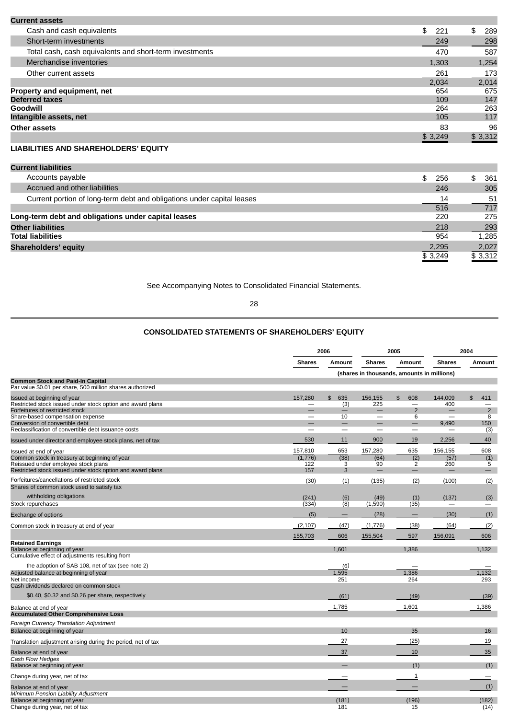| Gurrent assets                                          |           |           |
|---------------------------------------------------------|-----------|-----------|
| Cash and cash equivalents                               | \$<br>221 | \$<br>289 |
| Short-term investments                                  | 249       | 298       |
| Total cash, cash equivalents and short-term investments | 470       | 587       |
| Merchandise inventories                                 | 1,303     | 1,254     |
| Other current assets                                    | 261       | 173       |
|                                                         | 2,034     | 2,014     |
| Property and equipment, net                             | 654       | 675       |
| <b>Deferred taxes</b>                                   | 109       | 147       |
| <b>Goodwill</b>                                         | 264       | 263       |
| Intangible assets, net                                  | 105       | 117       |
| Other assets                                            | 83        | 96        |
|                                                         | \$3.249   | \$3,312   |
|                                                         |           |           |

## **LIABILITIES AND SHAREHOLDERS' EQUITY**

# **Current liabilities**

**Current assets**

| Accounts payable                                                       | \$. | 256     | \$. | 361     |
|------------------------------------------------------------------------|-----|---------|-----|---------|
| Accrued and other liabilities                                          |     | 246     |     | 305     |
| Current portion of long-term debt and obligations under capital leases |     | 14      |     | 51      |
|                                                                        |     | 516     |     | 717     |
| Long-term debt and obligations under capital leases                    |     | 220     |     | 275     |
| <b>Other liabilities</b>                                               |     | 218     |     | 293     |
| <b>Total liabilities</b>                                               |     | 954     |     | 1,285   |
| Shareholders' equity                                                   |     | 2,295   |     | 2,027   |
|                                                                        |     | \$3,249 |     | \$3,312 |

See Accompanying Notes to Consolidated Financial Statements.

28

## **CONSOLIDATED STATEMENTS OF SHAREHOLDERS' EQUITY**

|                                                                                                      |                | 2006              | 2005                                       |                            | 2004                              |                                 |
|------------------------------------------------------------------------------------------------------|----------------|-------------------|--------------------------------------------|----------------------------|-----------------------------------|---------------------------------|
|                                                                                                      | <b>Shares</b>  | Amount            | <b>Shares</b>                              | Amount                     | <b>Shares</b>                     | Amount                          |
|                                                                                                      |                |                   | (shares in thousands, amounts in millions) |                            |                                   |                                 |
| <b>Common Stock and Paid-In Capital</b><br>Par value \$0.01 per share, 500 million shares authorized |                |                   |                                            |                            |                                   |                                 |
| Issued at beginning of year                                                                          | 157,280        | \$<br>635         | 156,155                                    | $\mathfrak{S}$<br>608      | 144,009                           | \$<br>411                       |
| Restricted stock issued under stock option and award plans                                           | ÷.             | (3)               | 225                                        |                            | 400                               |                                 |
| Forfeitures of restricted stock<br>Share-based compensation expense                                  | $\sim$         | 10                | $\overline{\phantom{a}}$                   | $\overline{2}$<br>6        | $\overline{\phantom{a}}$          | $2^{\circ}$<br>8                |
| Conversion of convertible debt                                                                       |                | $\qquad \qquad -$ |                                            | $\overline{\phantom{0}}$   | 9,490                             | 150                             |
| Reclassification of convertible debt issuance costs                                                  |                | $\equiv$          | $\overline{\phantom{0}}$                   | $\overline{\phantom{0}}$   |                                   | (3)                             |
| Issued under director and employee stock plans, net of tax                                           | 530            | 11                | 900                                        | 19                         | 2,256                             | 40                              |
| Issued at end of year                                                                                | 157,810        | 653               | 157,280                                    | 635                        | 156,155                           | 608                             |
| Common stock in treasury at beginning of year                                                        | (1,776)        | (38)              | (64)                                       | $\overline{(2)}$           | (57)                              | $\overline{1}$                  |
| Reissued under employee stock plans                                                                  | 122<br>157     | 3<br>3            | 90                                         | $\overline{2}$<br>$\equiv$ | 260                               | 5<br>$-$                        |
| Restricted stock issued under stock option and award plans                                           |                |                   |                                            |                            |                                   |                                 |
| Forfeitures/cancellations of restricted stock<br>Shares of common stock used to satisfy tax          | (30)           | (1)               | (135)                                      | (2)                        | (100)                             | (2)                             |
| withholding obligations                                                                              |                |                   |                                            |                            |                                   |                                 |
| Stock repurchases                                                                                    | (241)<br>(334) | (6)<br>(8)        | (49)<br>(1,590)                            | (1)<br>(35)                | (137)<br>$\overline{\phantom{a}}$ | (3)<br>$\overline{\phantom{m}}$ |
| <b>Exchange of options</b>                                                                           | (5)            | $\qquad \qquad -$ | (28)                                       |                            | (30)                              | (1)                             |
| Common stock in treasury at end of year                                                              | (2, 107)       | (47)              | (1,776)                                    | (38)                       | (64)                              | (2)                             |
|                                                                                                      | 155,703        | 606               | 155,504                                    | 597                        | 156,091                           | 606                             |
| <b>Retained Earnings</b>                                                                             |                |                   |                                            |                            |                                   |                                 |
| Balance at beginning of year<br>Cumulative effect of adjustments resulting from                      |                | 1,601             |                                            | 1,386                      |                                   | 1,132                           |
| the adoption of SAB 108, net of tax (see note 2)                                                     |                | (6)               |                                            |                            |                                   |                                 |
| Adjusted balance at beginning of year                                                                |                | 1.595             |                                            | 1.386                      |                                   | 1.132                           |
| Net income                                                                                           |                | 251               |                                            | 264                        |                                   | 293                             |
| Cash dividends declared on common stock                                                              |                |                   |                                            |                            |                                   |                                 |
| \$0.40, \$0.32 and \$0.26 per share, respectively                                                    |                | (61)              |                                            | (49)                       |                                   | (39)                            |
| Balance at end of year                                                                               |                | 1,785             |                                            | 1,601                      |                                   | 1,386                           |
| <b>Accumulated Other Comprehensive Loss</b>                                                          |                |                   |                                            |                            |                                   |                                 |
| <b>Foreign Currency Translation Adjustment</b>                                                       |                |                   |                                            |                            |                                   |                                 |
| Balance at beginning of year                                                                         |                | 10                |                                            | 35                         |                                   | 16                              |
| Translation adjustment arising during the period, net of tax                                         |                | 27                |                                            | (25)                       |                                   | 19                              |
| Balance at end of year                                                                               |                | 37                |                                            | 10                         |                                   | 35                              |
| <b>Cash Flow Hedges</b>                                                                              |                |                   |                                            |                            |                                   |                                 |
| Balance at beginning of year                                                                         |                |                   |                                            | (1)                        |                                   | (1)                             |
| Change during year, net of tax                                                                       |                |                   |                                            | 1                          |                                   |                                 |
| Balance at end of year                                                                               |                |                   |                                            |                            |                                   | (1)                             |
| Minimum Pension Liability Adjustment                                                                 |                | (181)             |                                            | (196)                      |                                   | (182)                           |
| Balance at beginning of year<br>Change during year, net of tax                                       |                | 181               |                                            | 15                         |                                   | (14)                            |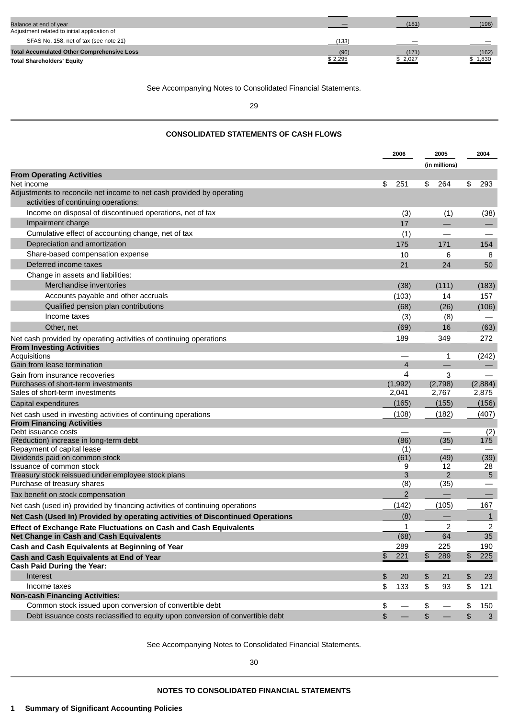| Balance at end of year<br>Adjustment related to initial application of |         | (181)   | (196)   |
|------------------------------------------------------------------------|---------|---------|---------|
| SFAS No. 158, net of tax (see note 21)                                 | (133)   |         |         |
| <b>Total Accumulated Other Comprehensive Loss</b>                      | (96)    | (171)   | (162)   |
| <b>Total Shareholders' Equity</b>                                      | \$2,295 | \$2,027 | \$1,830 |

See Accompanying Notes to Consolidated Financial Statements.

29

## **CONSOLIDATED STATEMENTS OF CASH FLOWS**

|                                                                                |                | 2006         |                           | 2005           |                          | 2004           |
|--------------------------------------------------------------------------------|----------------|--------------|---------------------------|----------------|--------------------------|----------------|
|                                                                                |                |              |                           | (in millions)  |                          |                |
| <b>From Operating Activities</b>                                               |                |              |                           |                |                          |                |
| Net income                                                                     | \$             | 251          | \$                        | 264            | \$                       | 293            |
| Adjustments to reconcile net income to net cash provided by operating          |                |              |                           |                |                          |                |
| activities of continuing operations:                                           |                |              |                           |                |                          |                |
| Income on disposal of discontinued operations, net of tax                      |                | (3)          |                           | (1)            |                          | (38)           |
| Impairment charge                                                              |                | 17           |                           |                |                          |                |
| Cumulative effect of accounting change, net of tax                             |                | (1)          |                           |                |                          |                |
| Depreciation and amortization                                                  |                | 175          |                           | 171            |                          | 154            |
| Share-based compensation expense                                               |                | 10           |                           | 6              |                          | 8              |
| Deferred income taxes                                                          |                | 21           |                           | 24             |                          | 50             |
| Change in assets and liabilities:                                              |                |              |                           |                |                          |                |
| Merchandise inventories                                                        |                | (38)         |                           | (111)          |                          | (183)          |
| Accounts payable and other accruals                                            |                | (103)        |                           | 14             |                          | 157            |
| Qualified pension plan contributions                                           |                | (68)         |                           | (26)           |                          | (106)          |
| Income taxes                                                                   |                | (3)          |                           | (8)            |                          |                |
| Other, net                                                                     |                | (69)         |                           | 16             |                          | (63)           |
| Net cash provided by operating activities of continuing operations             |                | 189          |                           | 349            |                          | 272            |
| <b>From Investing Activities</b>                                               |                |              |                           |                |                          |                |
| Acquisitions                                                                   |                |              |                           | 1              |                          | (242)          |
| Gain from lease termination                                                    |                | 4            |                           |                |                          |                |
| Gain from insurance recoveries                                                 |                | 4            |                           | 3              |                          |                |
| Purchases of short-term investments                                            |                | (1,992)      |                           | (2,798)        |                          | (2,884)        |
| Sales of short-term investments                                                |                | 2,041        |                           | 2,767          |                          | 2,875          |
| Capital expenditures                                                           |                | (165)        |                           | (155)          |                          | (156)          |
| Net cash used in investing activities of continuing operations                 |                | (108)        |                           | (182)          |                          | (407)          |
| <b>From Financing Activities</b>                                               |                |              |                           |                |                          |                |
| Debt issuance costs<br>(Reduction) increase in long-term debt                  |                | (86)         |                           | (35)           |                          | (2)<br>175     |
| Repayment of capital lease                                                     |                | (1)          |                           |                |                          |                |
| Dividends paid on common stock                                                 |                | (61)         |                           | (49)           |                          | (39)           |
| Issuance of common stock                                                       |                | 9            |                           | 12             |                          | 28             |
| Treasury stock reissued under employee stock plans                             |                | 3            |                           | $\overline{2}$ |                          | 5              |
| Purchase of treasury shares                                                    |                | (8)          |                           | (35)           |                          |                |
| Tax benefit on stock compensation                                              |                | 2            |                           |                |                          |                |
| Net cash (used in) provided by financing activities of continuing operations   |                | (142)        |                           | (105)          |                          | 167            |
| Net Cash (Used In) Provided by operating activities of Discontinued Operations |                | (8)          |                           |                |                          | $\mathbf{1}$   |
| Effect of Exchange Rate Fluctuations on Cash and Cash Equivalents              |                | $\mathbf{1}$ |                           | $\overline{2}$ |                          | $\overline{2}$ |
| Net Change in Cash and Cash Equivalents                                        |                | (68)         |                           | 64             |                          | 35             |
| Cash and Cash Equivalents at Beginning of Year                                 |                | 289          |                           | 225            |                          | 190            |
| Cash and Cash Equivalents at End of Year                                       | $\mathfrak{P}$ | 221          | $\overline{\mathcal{F}}$  | 289            | $\overline{\mathcal{L}}$ | 225            |
| <b>Cash Paid During the Year:</b>                                              |                |              |                           |                |                          |                |
| <b>Interest</b>                                                                | \$             | 20           | $\boldsymbol{\mathsf{D}}$ | 21             | \$                       | 23             |
| Income taxes                                                                   | \$             | 133          | \$                        | 93             | \$                       | 121            |
| <b>Non-cash Financing Activities:</b>                                          |                |              |                           |                |                          |                |
| Common stock issued upon conversion of convertible debt                        | \$             |              | \$                        |                | \$                       | 150            |
| Debt issuance costs reclassified to equity upon conversion of convertible debt | \$             |              | $\frac{2}{3}$             |                | \$                       | 3              |

See Accompanying Notes to Consolidated Financial Statements.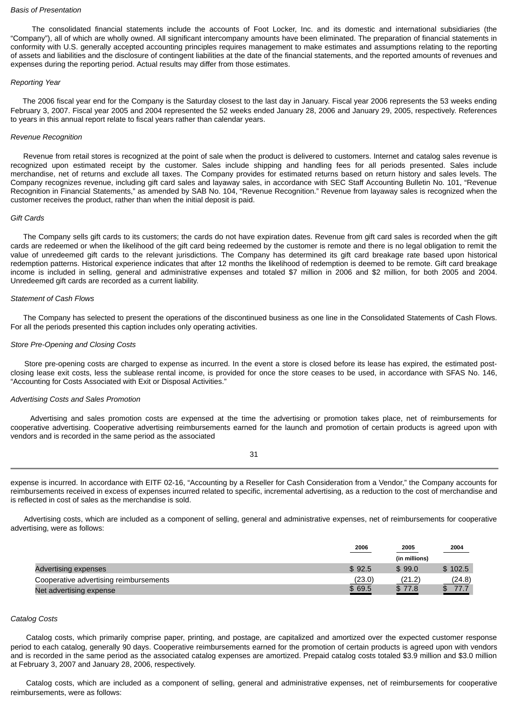#### *Basis of Presentation*

The consolidated financial statements include the accounts of Foot Locker, Inc. and its domestic and international subsidiaries (the "Company"), all of which are wholly owned. All significant intercompany amounts have been eliminated. The preparation of financial statements in conformity with U.S. generally accepted accounting principles requires management to make estimates and assumptions relating to the reporting of assets and liabilities and the disclosure of contingent liabilities at the date of the financial statements, and the reported amounts of revenues and expenses during the reporting period. Actual results may differ from those estimates.

#### *Reporting Year*

The 2006 fiscal year end for the Company is the Saturday closest to the last day in January. Fiscal year 2006 represents the 53 weeks ending February 3, 2007. Fiscal year 2005 and 2004 represented the 52 weeks ended January 28, 2006 and January 29, 2005, respectively. References to years in this annual report relate to fiscal years rather than calendar years.

#### *Revenue Recognition*

Revenue from retail stores is recognized at the point of sale when the product is delivered to customers. Internet and catalog sales revenue is recognized upon estimated receipt by the customer. Sales include shipping and handling fees for all periods presented. Sales include merchandise, net of returns and exclude all taxes. The Company provides for estimated returns based on return history and sales levels. The Company recognizes revenue, including gift card sales and layaway sales, in accordance with SEC Staff Accounting Bulletin No. 101, "Revenue Recognition in Financial Statements," as amended by SAB No. 104, "Revenue Recognition." Revenue from layaway sales is recognized when the customer receives the product, rather than when the initial deposit is paid.

#### *Gift Cards*

The Company sells gift cards to its customers; the cards do not have expiration dates. Revenue from gift card sales is recorded when the gift cards are redeemed or when the likelihood of the gift card being redeemed by the customer is remote and there is no legal obligation to remit the value of unredeemed gift cards to the relevant jurisdictions. The Company has determined its gift card breakage rate based upon historical redemption patterns. Historical experience indicates that after 12 months the likelihood of redemption is deemed to be remote. Gift card breakage income is included in selling, general and administrative expenses and totaled \$7 million in 2006 and \$2 million, for both 2005 and 2004. Unredeemed gift cards are recorded as a current liability.

#### *Statement of Cash Flows*

The Company has selected to present the operations of the discontinued business as one line in the Consolidated Statements of Cash Flows. For all the periods presented this caption includes only operating activities.

#### *Store Pre-Opening and Closing Costs*

Store pre-opening costs are charged to expense as incurred. In the event a store is closed before its lease has expired, the estimated postclosing lease exit costs, less the sublease rental income, is provided for once the store ceases to be used, in accordance with SFAS No. 146, "Accounting for Costs Associated with Exit or Disposal Activities."

#### *Advertising Costs and Sales Promotion*

Advertising and sales promotion costs are expensed at the time the advertising or promotion takes place, net of reimbursements for cooperative advertising. Cooperative advertising reimbursements earned for the launch and promotion of certain products is agreed upon with vendors and is recorded in the same period as the associated

31

expense is incurred. In accordance with EITF 02-16, "Accounting by a Reseller for Cash Consideration from a Vendor," the Company accounts for reimbursements received in excess of expenses incurred related to specific, incremental advertising, as a reduction to the cost of merchandise and is reflected in cost of sales as the merchandise is sold.

Advertising costs, which are included as a component of selling, general and administrative expenses, net of reimbursements for cooperative advertising, were as follows:

|                                        | 2006   | 2005          | 2004    |
|----------------------------------------|--------|---------------|---------|
|                                        |        | (in millions) |         |
| Advertising expenses                   | \$92.5 | \$99.0        | \$102.5 |
| Cooperative advertising reimbursements | (23.0) | (21.2)        | (24.8)  |
| Net advertising expense                | \$69.5 | \$77.8        |         |

## *Catalog Costs*

Catalog costs, which primarily comprise paper, printing, and postage, are capitalized and amortized over the expected customer response period to each catalog, generally 90 days. Cooperative reimbursements earned for the promotion of certain products is agreed upon with vendors and is recorded in the same period as the associated catalog expenses are amortized. Prepaid catalog costs totaled \$3.9 million and \$3.0 million at February 3, 2007 and January 28, 2006, respectively.

Catalog costs, which are included as a component of selling, general and administrative expenses, net of reimbursements for cooperative reimbursements, were as follows: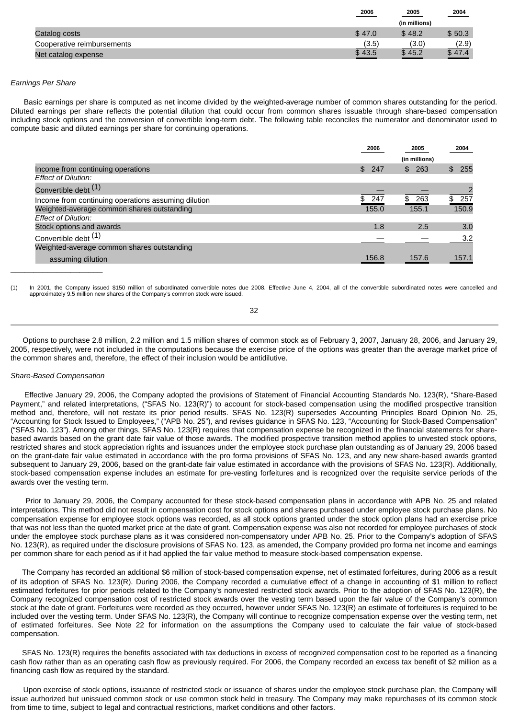|                            | 2006   | 2005          | 2004   |
|----------------------------|--------|---------------|--------|
|                            |        | (in millions) |        |
| Catalog costs              | \$47.0 | \$48.2        | \$50.3 |
| Cooperative reimbursements | (3.5)  | (3.0)         | (2.9)  |
| Net catalog expense        | \$43.5 | \$45.2        | \$47.4 |

#### *Earnings Per Share*

Basic earnings per share is computed as net income divided by the weighted-average number of common shares outstanding for the period. Diluted earnings per share reflects the potential dilution that could occur from common shares issuable through share-based compensation including stock options and the conversion of convertible long-term debt. The following table reconciles the numerator and denominator used to compute basic and diluted earnings per share for continuing operations.

|                                                     | 2006      | 2005          |                    |
|-----------------------------------------------------|-----------|---------------|--------------------|
|                                                     |           | (in millions) |                    |
| Income from continuing operations                   | 247<br>\$ | \$ 263        | 255<br>$$^{\circ}$ |
| <b>Effect of Dilution:</b>                          |           |               |                    |
| Convertible debt <sup>(1)</sup>                     |           |               |                    |
| Income from continuing operations assuming dilution | 247       | \$ 263        | \$ 257             |
| Weighted-average common shares outstanding          | 155.0     | 155.1         | 150.9              |
| <b>Effect of Dilution:</b>                          |           |               |                    |
| Stock options and awards                            | 1.8       | 2.5           | 3.0                |
| Convertible debt <sup>(1)</sup>                     |           |               | 3.2                |
| Weighted-average common shares outstanding          |           |               |                    |
| assuming dilution                                   | 156.8     | 157.6         | 157.1              |
|                                                     |           |               |                    |

 $(1)$ In 2001, the Company issued \$150 million of subordinated convertible notes due 2008. Effective June 4, 2004, all of the convertible subordinated notes were cancelled and approximately 9.5 million new shares of the Company's common stock were issued.

32

Options to purchase 2.8 million, 2.2 million and 1.5 million shares of common stock as of February 3, 2007, January 28, 2006, and January 29, 2005, respectively, were not included in the computations because the exercise price of the options was greater than the average market price of the common shares and, therefore, the effect of their inclusion would be antidilutive.

#### *Share-Based Compensation*

Effective January 29, 2006, the Company adopted the provisions of Statement of Financial Accounting Standards No. 123(R), "Share-Based Payment," and related interpretations, ("SFAS No. 123(R)") to account for stock-based compensation using the modified prospective transition method and, therefore, will not restate its prior period results. SFAS No. 123(R) supersedes Accounting Principles Board Opinion No. 25, "Accounting for Stock Issued to Employees," ("APB No. 25"), and revises guidance in SFAS No. 123, "Accounting for Stock-Based Compensation" ("SFAS No. 123"). Among other things, SFAS No. 123(R) requires that compensation expense be recognized in the financial statements for sharebased awards based on the grant date fair value of those awards. The modified prospective transition method applies to unvested stock options, restricted shares and stock appreciation rights and issuances under the employee stock purchase plan outstanding as of January 29, 2006 based on the grant-date fair value estimated in accordance with the pro forma provisions of SFAS No. 123, and any new share-based awards granted subsequent to January 29, 2006, based on the grant-date fair value estimated in accordance with the provisions of SFAS No. 123(R). Additionally, stock-based compensation expense includes an estimate for pre-vesting forfeitures and is recognized over the requisite service periods of the awards over the vesting term.

Prior to January 29, 2006, the Company accounted for these stock-based compensation plans in accordance with APB No. 25 and related interpretations. This method did not result in compensation cost for stock options and shares purchased under employee stock purchase plans. No compensation expense for employee stock options was recorded, as all stock options granted under the stock option plans had an exercise price that was not less than the quoted market price at the date of grant. Compensation expense was also not recorded for employee purchases of stock under the employee stock purchase plans as it was considered non-compensatory under APB No. 25. Prior to the Company's adoption of SFAS No. 123(R), as required under the disclosure provisions of SFAS No. 123, as amended, the Company provided pro forma net income and earnings per common share for each period as if it had applied the fair value method to measure stock-based compensation expense.

 The Company has recorded an additional \$6 million of stock-based compensation expense, net of estimated forfeitures, during 2006 as a result of its adoption of SFAS No. 123(R). During 2006, the Company recorded a cumulative effect of a change in accounting of \$1 million to reflect estimated forfeitures for prior periods related to the Company's nonvested restricted stock awards. Prior to the adoption of SFAS No. 123(R), the Company recognized compensation cost of restricted stock awards over the vesting term based upon the fair value of the Company's common stock at the date of grant. Forfeitures were recorded as they occurred, however under SFAS No. 123(R) an estimate of forfeitures is required to be included over the vesting term. Under SFAS No. 123(R), the Company will continue to recognize compensation expense over the vesting term, net of estimated forfeitures. See Note 22 for information on the assumptions the Company used to calculate the fair value of stock-based compensation.

 SFAS No. 123(R) requires the benefits associated with tax deductions in excess of recognized compensation cost to be reported as a financing cash flow rather than as an operating cash flow as previously required. For 2006, the Company recorded an excess tax benefit of \$2 million as a financing cash flow as required by the standard.

Upon exercise of stock options, issuance of restricted stock or issuance of shares under the employee stock purchase plan, the Company will issue authorized but unissued common stock or use common stock held in treasury. The Company may make repurchases of its common stock from time to time, subject to legal and contractual restrictions, market conditions and other factors.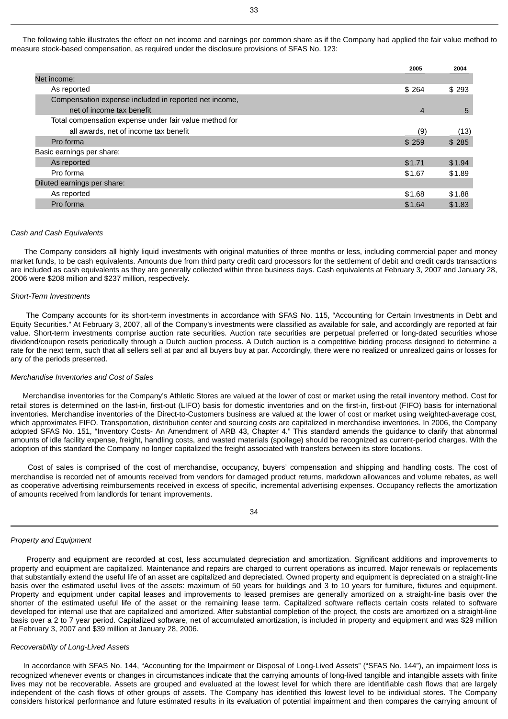The following table illustrates the effect on net income and earnings per common share as if the Company had applied the fair value method to measure stock-based compensation, as required under the disclosure provisions of SFAS No. 123:

|                                                        | 2005           | 2004   |
|--------------------------------------------------------|----------------|--------|
| Net income:                                            |                |        |
| As reported                                            | \$264          | \$293  |
| Compensation expense included in reported net income,  |                |        |
| net of income tax benefit                              | $\overline{4}$ | 5      |
| Total compensation expense under fair value method for |                |        |
| all awards, net of income tax benefit                  | (9)            | (13)   |
| Pro forma                                              | \$259          | \$285  |
| Basic earnings per share:                              |                |        |
| As reported                                            | \$1.71         | \$1.94 |
| Pro forma                                              | \$1.67         | \$1.89 |
| Diluted earnings per share:                            |                |        |
| As reported                                            | \$1.68         | \$1.88 |
| Pro forma                                              | \$1.64         | \$1.83 |
|                                                        |                |        |

#### *Cash and Cash Equivalents*

The Company considers all highly liquid investments with original maturities of three months or less, including commercial paper and money market funds, to be cash equivalents. Amounts due from third party credit card processors for the settlement of debit and credit cards transactions are included as cash equivalents as they are generally collected within three business days. Cash equivalents at February 3, 2007 and January 28, 2006 were \$208 million and \$237 million, respectively.

#### *Short-Term Investments*

The Company accounts for its short-term investments in accordance with SFAS No. 115, "Accounting for Certain Investments in Debt and Equity Securities." At February 3, 2007, all of the Company's investments were classified as available for sale, and accordingly are reported at fair value. Short-term investments comprise auction rate securities. Auction rate securities are perpetual preferred or long-dated securities whose dividend/coupon resets periodically through a Dutch auction process. A Dutch auction is a competitive bidding process designed to determine a rate for the next term, such that all sellers sell at par and all buyers buy at par. Accordingly, there were no realized or unrealized gains or losses for any of the periods presented.

#### *Merchandise Inventories and Cost of Sales*

Merchandise inventories for the Company's Athletic Stores are valued at the lower of cost or market using the retail inventory method. Cost for retail stores is determined on the last-in, first-out (LIFO) basis for domestic inventories and on the first-in, first-out (FIFO) basis for international inventories. Merchandise inventories of the Direct-to-Customers business are valued at the lower of cost or market using weighted-average cost, which approximates FIFO. Transportation, distribution center and sourcing costs are capitalized in merchandise inventories. In 2006, the Company adopted SFAS No. 151, "Inventory Costs- An Amendment of ARB 43, Chapter 4." This standard amends the guidance to clarify that abnormal amounts of idle facility expense, freight, handling costs, and wasted materials (spoilage) should be recognized as current-period charges. With the adoption of this standard the Company no longer capitalized the freight associated with transfers between its store locations.

Cost of sales is comprised of the cost of merchandise, occupancy, buyers' compensation and shipping and handling costs. The cost of merchandise is recorded net of amounts received from vendors for damaged product returns, markdown allowances and volume rebates, as well as cooperative advertising reimbursements received in excess of specific, incremental advertising expenses. Occupancy reflects the amortization of amounts received from landlords for tenant improvements.

#### 34

#### *Property and Equipment*

Property and equipment are recorded at cost, less accumulated depreciation and amortization. Significant additions and improvements to property and equipment are capitalized. Maintenance and repairs are charged to current operations as incurred. Major renewals or replacements that substantially extend the useful life of an asset are capitalized and depreciated. Owned property and equipment is depreciated on a straight-line basis over the estimated useful lives of the assets: maximum of 50 years for buildings and 3 to 10 years for furniture, fixtures and equipment. Property and equipment under capital leases and improvements to leased premises are generally amortized on a straight-line basis over the shorter of the estimated useful life of the asset or the remaining lease term. Capitalized software reflects certain costs related to software developed for internal use that are capitalized and amortized. After substantial completion of the project, the costs are amortized on a straight-line basis over a 2 to 7 year period. Capitalized software, net of accumulated amortization, is included in property and equipment and was \$29 million at February 3, 2007 and \$39 million at January 28, 2006.

#### *Recoverability of Long-Lived Assets*

In accordance with SFAS No. 144, "Accounting for the Impairment or Disposal of Long-Lived Assets" ("SFAS No. 144"), an impairment loss is recognized whenever events or changes in circumstances indicate that the carrying amounts of long-lived tangible and intangible assets with finite lives may not be recoverable. Assets are grouped and evaluated at the lowest level for which there are identifiable cash flows that are largely independent of the cash flows of other groups of assets. The Company has identified this lowest level to be individual stores. The Company considers historical performance and future estimated results in its evaluation of potential impairment and then compares the carrying amount of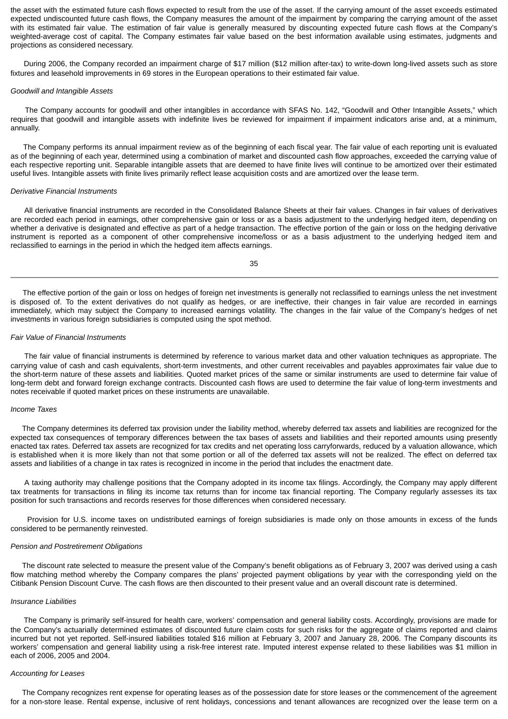the asset with the estimated future cash flows expected to result from the use of the asset. If the carrying amount of the asset exceeds estimated expected undiscounted future cash flows, the Company measures the amount of the impairment by comparing the carrying amount of the asset with its estimated fair value. The estimation of fair value is generally measured by discounting expected future cash flows at the Company's weighted-average cost of capital. The Company estimates fair value based on the best information available using estimates, judgments and projections as considered necessary.

During 2006, the Company recorded an impairment charge of \$17 million (\$12 million after-tax) to write-down long-lived assets such as store fixtures and leasehold improvements in 69 stores in the European operations to their estimated fair value.

#### *Goodwill and Intangible Assets*

The Company accounts for goodwill and other intangibles in accordance with SFAS No. 142, "Goodwill and Other Intangible Assets," which requires that goodwill and intangible assets with indefinite lives be reviewed for impairment if impairment indicators arise and, at a minimum, annually.

The Company performs its annual impairment review as of the beginning of each fiscal year. The fair value of each reporting unit is evaluated as of the beginning of each year, determined using a combination of market and discounted cash flow approaches, exceeded the carrying value of each respective reporting unit. Separable intangible assets that are deemed to have finite lives will continue to be amortized over their estimated useful lives. Intangible assets with finite lives primarily reflect lease acquisition costs and are amortized over the lease term.

#### *Derivative Financial Instruments*

All derivative financial instruments are recorded in the Consolidated Balance Sheets at their fair values. Changes in fair values of derivatives are recorded each period in earnings, other comprehensive gain or loss or as a basis adjustment to the underlying hedged item, depending on whether a derivative is designated and effective as part of a hedge transaction. The effective portion of the gain or loss on the hedging derivative instrument is reported as a component of other comprehensive income/loss or as a basis adjustment to the underlying hedged item and reclassified to earnings in the period in which the hedged item affects earnings.

35

The effective portion of the gain or loss on hedges of foreign net investments is generally not reclassified to earnings unless the net investment is disposed of. To the extent derivatives do not qualify as hedges, or are ineffective, their changes in fair value are recorded in earnings immediately, which may subject the Company to increased earnings volatility. The changes in the fair value of the Company's hedges of net investments in various foreign subsidiaries is computed using the spot method.

#### *Fair Value of Financial Instruments*

The fair value of financial instruments is determined by reference to various market data and other valuation techniques as appropriate. The carrying value of cash and cash equivalents, short-term investments, and other current receivables and payables approximates fair value due to the short-term nature of these assets and liabilities. Quoted market prices of the same or similar instruments are used to determine fair value of long-term debt and forward foreign exchange contracts. Discounted cash flows are used to determine the fair value of long-term investments and notes receivable if quoted market prices on these instruments are unavailable.

#### *Income Taxes*

 The Company determines its deferred tax provision under the liability method, whereby deferred tax assets and liabilities are recognized for the expected tax consequences of temporary differences between the tax bases of assets and liabilities and their reported amounts using presently enacted tax rates. Deferred tax assets are recognized for tax credits and net operating loss carryforwards, reduced by a valuation allowance, which is established when it is more likely than not that some portion or all of the deferred tax assets will not be realized. The effect on deferred tax assets and liabilities of a change in tax rates is recognized in income in the period that includes the enactment date.

A taxing authority may challenge positions that the Company adopted in its income tax filings. Accordingly, the Company may apply different tax treatments for transactions in filing its income tax returns than for income tax financial reporting. The Company regularly assesses its tax position for such transactions and records reserves for those differences when considered necessary.

Provision for U.S. income taxes on undistributed earnings of foreign subsidiaries is made only on those amounts in excess of the funds considered to be permanently reinvested.

#### *Pension and Postretirement Obligations*

 The discount rate selected to measure the present value of the Company's benefit obligations as of February 3, 2007 was derived using a cash flow matching method whereby the Company compares the plans' projected payment obligations by year with the corresponding yield on the Citibank Pension Discount Curve. The cash flows are then discounted to their present value and an overall discount rate is determined.

#### *Insurance Liabilities*

The Company is primarily self-insured for health care, workers' compensation and general liability costs. Accordingly, provisions are made for the Company's actuarially determined estimates of discounted future claim costs for such risks for the aggregate of claims reported and claims incurred but not yet reported. Self-insured liabilities totaled \$16 million at February 3, 2007 and January 28, 2006. The Company discounts its workers' compensation and general liability using a risk-free interest rate. Imputed interest expense related to these liabilities was \$1 million in each of 2006, 2005 and 2004.

#### *Accounting for Leases*

 The Company recognizes rent expense for operating leases as of the possession date for store leases or the commencement of the agreement for a non-store lease. Rental expense, inclusive of rent holidays, concessions and tenant allowances are recognized over the lease term on a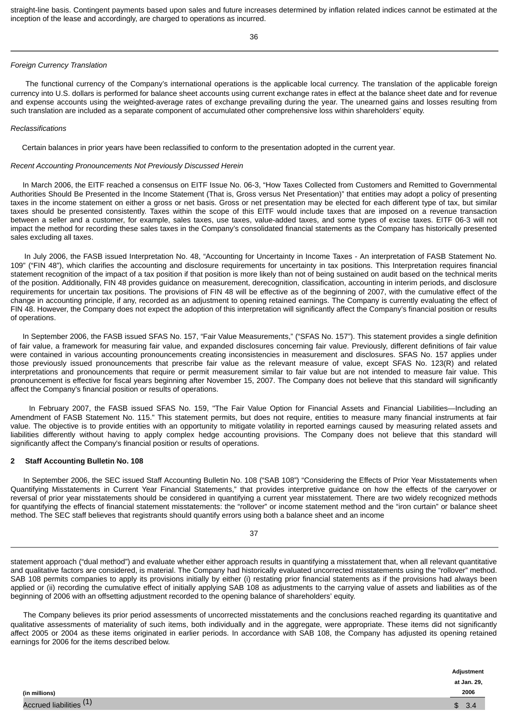straight-line basis. Contingent payments based upon sales and future increases determined by inflation related indices cannot be estimated at the inception of the lease and accordingly, are charged to operations as incurred.

#### *Foreign Currency Translation*

The functional currency of the Company's international operations is the applicable local currency. The translation of the applicable foreign currency into U.S. dollars is performed for balance sheet accounts using current exchange rates in effect at the balance sheet date and for revenue and expense accounts using the weighted-average rates of exchange prevailing during the year. The unearned gains and losses resulting from such translation are included as a separate component of accumulated other comprehensive loss within shareholders' equity.

#### *Reclassifications*

Certain balances in prior years have been reclassified to conform to the presentation adopted in the current year.

#### *Recent Accounting Pronouncements Not Previously Discussed Herein*

In March 2006, the EITF reached a consensus on EITF Issue No. 06-3, "How Taxes Collected from Customers and Remitted to Governmental Authorities Should Be Presented in the Income Statement (That is, Gross versus Net Presentation)" that entities may adopt a policy of presenting taxes in the income statement on either a gross or net basis. Gross or net presentation may be elected for each different type of tax, but similar taxes should be presented consistently. Taxes within the scope of this EITF would include taxes that are imposed on a revenue transaction between a seller and a customer, for example, sales taxes, use taxes, value-added taxes, and some types of excise taxes. EITF 06-3 will not impact the method for recording these sales taxes in the Company's consolidated financial statements as the Company has historically presented sales excluding all taxes.

In July 2006, the FASB issued Interpretation No. 48, "Accounting for Uncertainty in Income Taxes - An interpretation of FASB Statement No. 109" ("FIN 48"), which clarifies the accounting and disclosure requirements for uncertainty in tax positions. This Interpretation requires financial statement recognition of the impact of a tax position if that position is more likely than not of being sustained on audit based on the technical merits of the position. Additionally, FIN 48 provides guidance on measurement, derecognition, classification, accounting in interim periods, and disclosure requirements for uncertain tax positions. The provisions of FIN 48 will be effective as of the beginning of 2007, with the cumulative effect of the change in accounting principle, if any, recorded as an adjustment to opening retained earnings. The Company is currently evaluating the effect of FIN 48. However, the Company does not expect the adoption of this interpretation will significantly affect the Company's financial position or results of operations.

In September 2006, the FASB issued SFAS No. 157, "Fair Value Measurements," ("SFAS No. 157"). This statement provides a single definition of fair value, a framework for measuring fair value, and expanded disclosures concerning fair value. Previously, different definitions of fair value were contained in various accounting pronouncements creating inconsistencies in measurement and disclosures. SFAS No. 157 applies under those previously issued pronouncements that prescribe fair value as the relevant measure of value, except SFAS No. 123(R) and related interpretations and pronouncements that require or permit measurement similar to fair value but are not intended to measure fair value. This pronouncement is effective for fiscal years beginning after November 15, 2007. The Company does not believe that this standard will significantly affect the Company's financial position or results of operations.

In February 2007, the FASB issued SFAS No. 159, "The Fair Value Option for Financial Assets and Financial Liabilities—Including an Amendment of FASB Statement No. 115." This statement permits, but does not require, entities to measure many financial instruments at fair value. The objective is to provide entities with an opportunity to mitigate volatility in reported earnings caused by measuring related assets and liabilities differently without having to apply complex hedge accounting provisions. The Company does not believe that this standard will significantly affect the Company's financial position or results of operations.

#### **2 Staff Accounting Bulletin No. 108**

In September 2006, the SEC issued Staff Accounting Bulletin No. 108 ("SAB 108") "Considering the Effects of Prior Year Misstatements when Quantifying Misstatements in Current Year Financial Statements," that provides interpretive guidance on how the effects of the carryover or reversal of prior year misstatements should be considered in quantifying a current year misstatement. There are two widely recognized methods for quantifying the effects of financial statement misstatements: the "rollover" or income statement method and the "iron curtain" or balance sheet method. The SEC staff believes that registrants should quantify errors using both a balance sheet and an income

## 37

statement approach ("dual method") and evaluate whether either approach results in quantifying a misstatement that, when all relevant quantitative and qualitative factors are considered, is material. The Company had historically evaluated uncorrected misstatements using the "rollover" method. SAB 108 permits companies to apply its provisions initially by either (i) restating prior financial statements as if the provisions had always been applied or (ii) recording the cumulative effect of initially applying SAB 108 as adjustments to the carrying value of assets and liabilities as of the beginning of 2006 with an offsetting adjustment recorded to the opening balance of shareholders' equity.

The Company believes its prior period assessments of uncorrected misstatements and the conclusions reached regarding its quantitative and qualitative assessments of materiality of such items, both individually and in the aggregate, were appropriate. These items did not significantly affect 2005 or 2004 as these items originated in earlier periods. In accordance with SAB 108, the Company has adjusted its opening retained earnings for 2006 for the items described below.

|                         | Adjustment                                        |
|-------------------------|---------------------------------------------------|
|                         | at Jan. 29,                                       |
| (in millions)           | $\begin{array}{c}\n 2006 \\ \hline\n \end{array}$ |
| Accrued liabilities (1) | \$3.4                                             |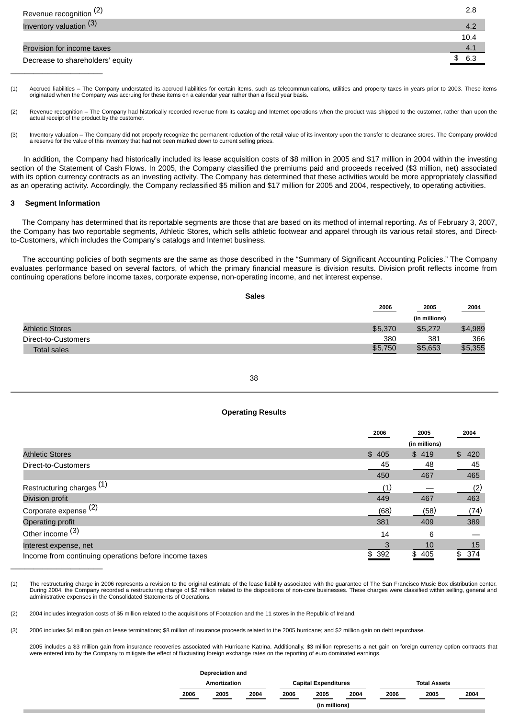| Inventory valuation (3)<br>10.4<br>Provision for income taxes<br>- 6.3<br>Decrease to shareholders' equity | Revenue recognition (2) | 2.8 |
|------------------------------------------------------------------------------------------------------------|-------------------------|-----|
|                                                                                                            |                         |     |
|                                                                                                            |                         |     |
|                                                                                                            |                         | 4.1 |
|                                                                                                            |                         |     |

(1) Accrued liabilities - The Company understated its accrued liabilities for certain items, such as telecommunications, utilities and property taxes in years prior to 2003. These items originated when the Company was accruing for these items on a calendar year rather than a fiscal year basis.

(2) Revenue recognition – The Company had historically recorded revenue from its catalog and Internet operations when the product was shipped to the customer, rather than upon the actual receipt of the product by the customer.

(3) Inventory valuation – The Company did not properly recognize the permanent reduction of the retail value of its inventory upon the transfer to clearance stores. The Company provided a reserve for the value of this inventory that had not been marked down to current selling prices.

In addition, the Company had historically included its lease acquisition costs of \$8 million in 2005 and \$17 million in 2004 within the investing section of the Statement of Cash Flows. In 2005, the Company classified the premiums paid and proceeds received (\$3 million, net) associated with its option currency contracts as an investing activity. The Company has determined that these activities would be more appropriately classified as an operating activity. Accordingly, the Company reclassified \$5 million and \$17 million for 2005 and 2004, respectively, to operating activities.

#### **3 Segment Information**

 The Company has determined that its reportable segments are those that are based on its method of internal reporting. As of February 3, 2007, the Company has two reportable segments, Athletic Stores, which sells athletic footwear and apparel through its various retail stores, and Directto-Customers, which includes the Company's catalogs and Internet business.

The accounting policies of both segments are the same as those described in the "Summary of Significant Accounting Policies." The Company evaluates performance based on several factors, of which the primary financial measure is division results. Division profit reflects income from continuing operations before income taxes, corporate expense, non-operating income, and net interest expense.

**Sales**

|                        | 2006    | 2005          | 2004    |
|------------------------|---------|---------------|---------|
|                        |         | (in millions) |         |
| <b>Athletic Stores</b> | \$5,370 | \$5,272       | \$4,989 |
| Direct-to-Customers    | 380     | 381           | 366     |
| <b>Total sales</b>     | \$5,750 | \$5,653       | \$5,355 |

38

#### **Operating Results**

|                                                       | 2006  | 2005          | 2004  |
|-------------------------------------------------------|-------|---------------|-------|
|                                                       |       | (in millions) |       |
| <b>Athletic Stores</b>                                | \$405 | \$419         | \$420 |
| Direct-to-Customers                                   | 45    | 48            | 45    |
|                                                       | 450   | 467           | 465   |
| Restructuring charges <sup>(1)</sup>                  | (1)   |               | (2)   |
| Division profit                                       | 449   | 467           | 463   |
| Corporate expense (2)                                 | (68)  | (58)          | (74)  |
| Operating profit                                      | 381   | 409           | 389   |
| Other income (3)                                      | 14    | 6             |       |
| Interest expense, net                                 |       | 10            | 15    |
| Income from continuing operations before income taxes | \$392 | \$405         | 374   |
|                                                       |       |               |       |

<sup>(1)</sup> The restructuring charge in 2006 represents a revision to the original estimate of the lease liability associated with the guarantee of The San Francisco Music Box distribution center. During 2004, the Company recorded a restructuring charge of \$2 million related to the dispositions of non-core businesses. These charges were classified within selling, general and administrative expenses in the Consolidated Statements of Operations.

(3) 2006 includes \$4 million gain on lease terminations; \$8 million of insurance proceeds related to the 2005 hurricane; and \$2 million gain on debt repurchase.

2005 includes a \$3 million gain from insurance recoveries associated with Hurricane Katrina. Additionally, \$3 million represents a net gain on foreign currency option contracts that were entered into by the Company to mitigate the effect of fluctuating foreign exchange rates on the reporting of euro dominated earnings.

|      | <b>Depreciation and</b> |      |      |                             |      |      |                     |      |
|------|-------------------------|------|------|-----------------------------|------|------|---------------------|------|
|      | Amortization            |      |      | <b>Capital Expenditures</b> |      |      | <b>Total Assets</b> |      |
| 2006 | 2005                    | 2004 | 2006 | 2005                        | 2004 | 2006 | 2005                | 2004 |
|      |                         |      |      | (in millions)               |      |      |                     |      |

<sup>(2)</sup> 2004 includes integration costs of \$5 million related to the acquisitions of Footaction and the 11 stores in the Republic of Ireland.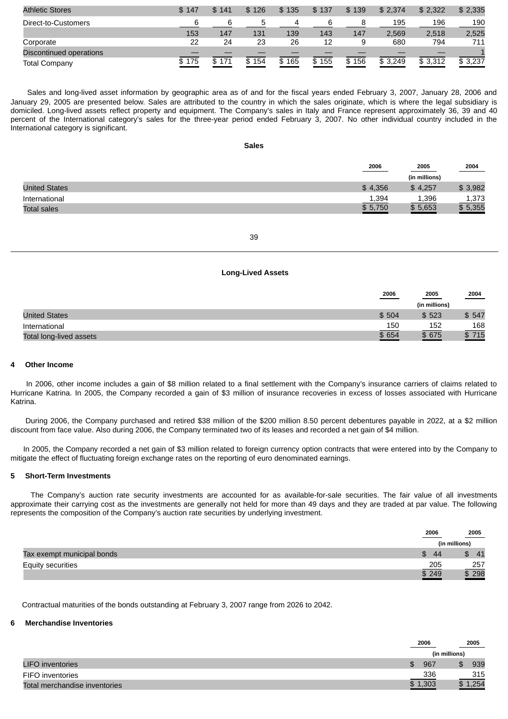| <b>Athletic Stores</b>  | \$147 | \$141 | \$126 | \$135 | \$137 | \$139 | \$2,374 | \$2,322 | \$2,335 |
|-------------------------|-------|-------|-------|-------|-------|-------|---------|---------|---------|
| Direct-to-Customers     |       |       |       |       |       |       | 195     | 196     | 190     |
|                         | 153   | 147   | 131   | 139   | 143   | 147   | 2,569   | 2,518   | 2,525   |
| Corporate               | 22    | 24    | 23    | 26    | 12    | a     | 680     | 794     | 711     |
| Discontinued operations |       |       |       |       |       |       |         |         |         |
| <b>Total Company</b>    | \$175 | \$171 | \$154 | \$165 | \$155 | \$156 | \$3.249 | \$3.312 | \$3.237 |

Sales and long-lived asset information by geographic area as of and for the fiscal years ended February 3, 2007, January 28, 2006 and January 29, 2005 are presented below. Sales are attributed to the country in which the sales originate, which is where the legal subsidiary is domiciled. Long-lived assets reflect property and equipment. The Company's sales in Italy and France represent approximately 36, 39 and 40 percent of the International category's sales for the three-year period ended February 3, 2007. No other individual country included in the International category is significant.

**Sales**

|                      | 2006    | 2005<br>(in millions) | 2004    |
|----------------------|---------|-----------------------|---------|
| <b>United States</b> | \$4,356 | \$4,257               | \$3,982 |
| International        | 1,394   | 396.ء                 | 1,373   |
| <b>Total sales</b>   | \$5,750 | \$5,653               | 5,355   |

39

#### **Long-Lived Assets**

|                         | 2006  | 2005                 | 2004  |
|-------------------------|-------|----------------------|-------|
|                         |       | (in millions)        |       |
| <b>United States</b>    | \$504 | \$523                | \$547 |
| International           | 150   | $\frac{152}{\$ 675}$ | 168   |
| Total long-lived assets | \$654 |                      | 715   |

#### **Other Income**

In 2006, other income includes a gain of \$8 million related to a final settlement with the Company's insurance carriers of claims related to Hurricane Katrina. In 2005, the Company recorded a gain of \$3 million of insurance recoveries in excess of losses associated with Hurricane Katrina.

During 2006, the Company purchased and retired \$38 million of the \$200 million 8.50 percent debentures payable in 2022, at a \$2 million discount from face value. Also during 2006, the Company terminated two of its leases and recorded a net gain of \$4 million.

In 2005, the Company recorded a net gain of \$3 million related to foreign currency option contracts that were entered into by the Company to mitigate the effect of fluctuating foreign exchange rates on the reporting of euro denominated earnings.

#### **5 Short-Term Investments**

The Company's auction rate security investments are accounted for as available-for-sale securities. The fair value of all investments approximate their carrying cost as the investments are generally not held for more than 49 days and they are traded at par value. The following represents the composition of the Company's auction rate securities by underlying investment.

|                            | 2006              | 2005          |
|----------------------------|-------------------|---------------|
|                            |                   | (in millions) |
| Tax exempt municipal bonds | 44                | 41            |
| Equity securities          | $\frac{205}{249}$ | 257           |
|                            |                   | 298           |

Contractual maturities of the bonds outstanding at February 3, 2007 range from 2026 to 2042.

## **6 Merchandise Inventories**

|                               |              | 2006  |               | <u>2005</u> |
|-------------------------------|--------------|-------|---------------|-------------|
|                               |              |       | (in millions) |             |
| <b>LIFO</b> inventories       | \$           | 967   |               | 939         |
| FIFO inventories              |              | 336   |               | 315         |
| Total merchandise inventories | $\mathbf{r}$ | 1.303 |               | 254         |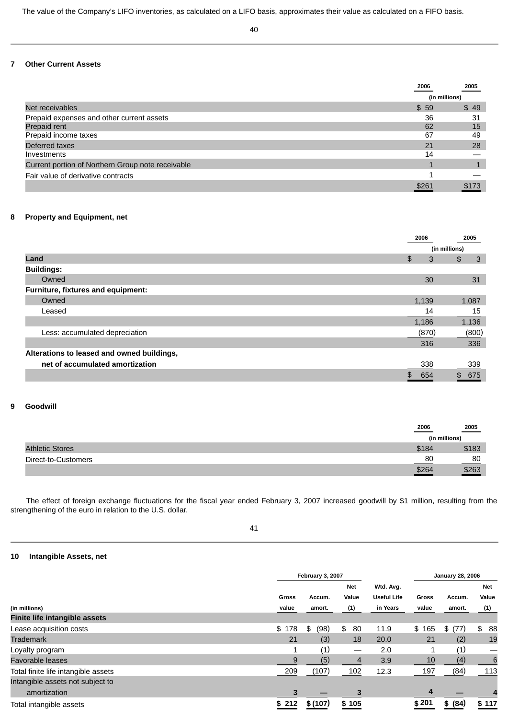## **7 Other Current Assets**

|                                                   | 2006 | 2005          |
|---------------------------------------------------|------|---------------|
|                                                   |      | (in millions) |
| Net receivables                                   | \$59 | \$49          |
| Prepaid expenses and other current assets         | 36   | 31            |
| Prepaid rent                                      | 62   | 15            |
| Prepaid income taxes                              | 67   | 49            |
| Deferred taxes                                    | 21   | 28            |
| Investments                                       | 14   |               |
| Current portion of Northern Group note receivable |      |               |
| Fair value of derivative contracts                |      |               |
|                                                   |      | \$173         |

## **8 Property and Equipment, net**

|                                            | 2006               | 2005               |
|--------------------------------------------|--------------------|--------------------|
|                                            |                    | (in millions)      |
| Land                                       | $\frac{1}{2}$<br>3 | $\frac{1}{2}$<br>3 |
| <b>Buildings:</b>                          |                    |                    |
| Owned                                      | 30                 | 31                 |
| Furniture, fixtures and equipment:         |                    |                    |
| Owned                                      | 1,139              | 1,087              |
| Leased                                     | 14                 | 15                 |
|                                            | 1,186              | 1,136              |
| Less: accumulated depreciation             | (870)              | (800)              |
|                                            | 316                | 336                |
| Alterations to leased and owned buildings, |                    |                    |
| net of accumulated amortization            | 338                | 339                |
|                                            | \$<br>654          | 675<br>\$.         |

## **9 Goodwill**

|                        | 2006  | 2005          |
|------------------------|-------|---------------|
|                        |       | (in millions) |
| <b>Athletic Stores</b> | \$184 | ററ            |
| Direct-to-Customers    | 80    | 80            |
|                        | \$264 |               |

The effect of foreign exchange fluctuations for the fiscal year ended February 3, 2007 increased goodwill by \$1 million, resulting from the strengthening of the euro in relation to the U.S. dollar.

41

## **10 Intangible Assets, net**

|                                      | February 3, 2007 |            |                |                    | <b>January 28, 2006</b> |         |            |
|--------------------------------------|------------------|------------|----------------|--------------------|-------------------------|---------|------------|
|                                      |                  |            | <b>Net</b>     | Wtd. Avg.          |                         |         | <b>Net</b> |
|                                      | Gross            | Accum.     | Value          | <b>Useful Life</b> | Gross                   | Accum.  | Value      |
| (in millions)                        | value            | amort.     | (1)            | in Years           | value                   | amort.  | (1)        |
| <b>Finite life intangible assets</b> |                  |            |                |                    |                         |         |            |
| Lease acquisition costs              | \$178            | (98)<br>\$ | \$<br>80       | 11.9               | \$165                   | \$ (77) | 88<br>\$   |
| Trademark                            | 21               | (3)        | 18             | 20.0               | 21                      | (2)     | 19         |
| Loyalty program                      |                  | (1)        |                | 2.0                |                         | (1)     |            |
| <b>Favorable leases</b>              | 9                | (5)        | $\overline{4}$ | 3.9                | 10                      | (4)     | 6          |
| Total finite life intangible assets  | 209              | (107)      | 102            | 12.3               | 197                     | (84)    | 113        |
| Intangible assets not subject to     |                  |            |                |                    |                         |         |            |
| amortization                         | 3                |            |                |                    | 4                       |         |            |
| Total intangible assets              | \$212            | \$(107)    | \$105          |                    | \$201                   | \$ (84) | \$117      |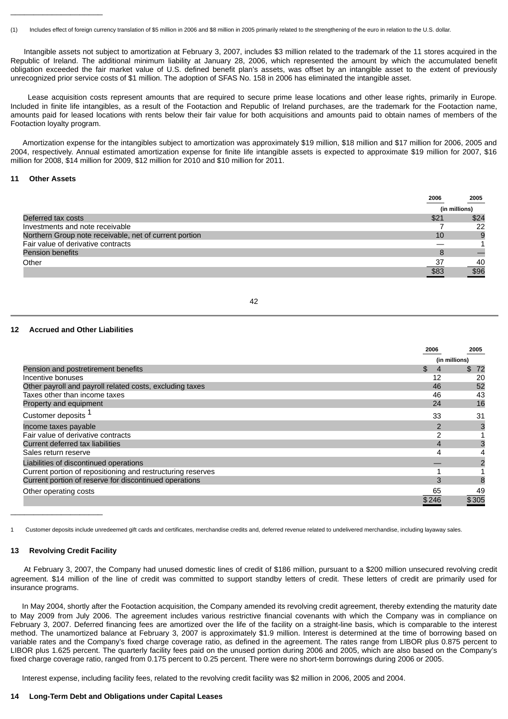Intangible assets not subject to amortization at February 3, 2007, includes \$3 million related to the trademark of the 11 stores acquired in the Republic of Ireland. The additional minimum liability at January 28, 2006, which represented the amount by which the accumulated benefit obligation exceeded the fair market value of U.S. defined benefit plan's assets, was offset by an intangible asset to the extent of previously unrecognized prior service costs of \$1 million. The adoption of SFAS No. 158 in 2006 has eliminated the intangible asset.

Lease acquisition costs represent amounts that are required to secure prime lease locations and other lease rights, primarily in Europe. Included in finite life intangibles, as a result of the Footaction and Republic of Ireland purchases, are the trademark for the Footaction name, amounts paid for leased locations with rents below their fair value for both acquisitions and amounts paid to obtain names of members of the Footaction loyalty program.

Amortization expense for the intangibles subject to amortization was approximately \$19 million, \$18 million and \$17 million for 2006, 2005 and 2004, respectively. Annual estimated amortization expense for finite life intangible assets is expected to approximate \$19 million for 2007, \$16 million for 2008, \$14 million for 2009, \$12 million for 2010 and \$10 million for 2011.

#### **11 Other Assets**

\_\_\_\_\_\_\_\_\_\_\_\_\_\_\_\_\_\_\_\_

|                                                        | 2006 | 2005          |
|--------------------------------------------------------|------|---------------|
|                                                        |      | (in millions) |
| Deferred tax costs                                     | \$21 |               |
| Investments and note receivable                        |      | 22            |
| Northern Group note receivable, net of current portion | 10   | 9             |
| Fair value of derivative contracts                     |      |               |
| <b>Pension benefits</b>                                |      |               |
| Other                                                  | 37   | 40            |
|                                                        | \$83 | \$96          |

## 42

## **12 Accrued and Other Liabilities**

|                                                             | 2006  | 2005          |
|-------------------------------------------------------------|-------|---------------|
|                                                             |       | (in millions) |
| Pension and postretirement benefits                         | \$    | \$72          |
| Incentive bonuses                                           |       | 20<br>12      |
| Other payroll and payroll related costs, excluding taxes    |       | 52<br>46      |
| Taxes other than income taxes                               |       | 43<br>46      |
| Property and equipment                                      |       | 16<br>24      |
| Customer deposits 1                                         |       | 33<br>31      |
| Income taxes payable                                        |       | 3<br>2        |
| Fair value of derivative contracts                          |       |               |
| Current deferred tax liabilities                            |       | 4             |
| Sales return reserve                                        |       | 4             |
| Liabilities of discontinued operations                      |       |               |
| Current portion of repositioning and restructuring reserves |       |               |
| Current portion of reserve for discontinued operations      |       | 8<br>3        |
| Other operating costs                                       |       | 65<br>49      |
|                                                             | \$246 | \$305         |

1 Customer deposits include unredeemed gift cards and certificates, merchandise credits and, deferred revenue related to undelivered merchandise, including layaway sales.

## **13 Revolving Credit Facility**

\_\_\_\_\_\_\_\_\_\_\_\_\_\_\_\_\_\_\_\_

At February 3, 2007, the Company had unused domestic lines of credit of \$186 million, pursuant to a \$200 million unsecured revolving credit agreement. \$14 million of the line of credit was committed to support standby letters of credit. These letters of credit are primarily used for insurance programs.

 In May 2004, shortly after the Footaction acquisition, the Company amended its revolving credit agreement, thereby extending the maturity date to May 2009 from July 2006. The agreement includes various restrictive financial covenants with which the Company was in compliance on February 3, 2007. Deferred financing fees are amortized over the life of the facility on a straight-line basis, which is comparable to the interest method. The unamortized balance at February 3, 2007 is approximately \$1.9 million. Interest is determined at the time of borrowing based on variable rates and the Company's fixed charge coverage ratio, as defined in the agreement. The rates range from LIBOR plus 0.875 percent to LIBOR plus 1.625 percent. The quarterly facility fees paid on the unused portion during 2006 and 2005, which are also based on the Company's fixed charge coverage ratio, ranged from 0.175 percent to 0.25 percent. There were no short-term borrowings during 2006 or 2005.

Interest expense, including facility fees, related to the revolving credit facility was \$2 million in 2006, 2005 and 2004.

## **14 Long-Term Debt and Obligations under Capital Leases**

<sup>(1)</sup> Includes effect of foreign currency translation of \$5 million in 2006 and \$8 million in 2005 primarily related to the strengthening of the euro in relation to the U.S. dollar.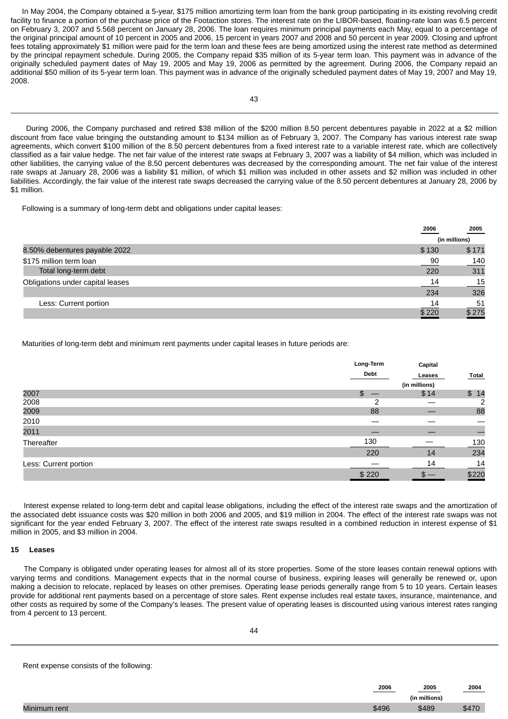In May 2004, the Company obtained a 5-year, \$175 million amortizing term loan from the bank group participating in its existing revolving credit facility to finance a portion of the purchase price of the Footaction stores. The interest rate on the LIBOR-based, floating-rate loan was 6.5 percent on February 3, 2007 and 5.568 percent on January 28, 2006. The loan requires minimum principal payments each May, equal to a percentage of the original principal amount of 10 percent in 2005 and 2006, 15 percent in years 2007 and 2008 and 50 percent in year 2009. Closing and upfront fees totaling approximately \$1 million were paid for the term loan and these fees are being amortized using the interest rate method as determined by the principal repayment schedule. During 2005, the Company repaid \$35 million of its 5-year term loan. This payment was in advance of the originally scheduled payment dates of May 19, 2005 and May 19, 2006 as permitted by the agreement. During 2006, the Company repaid an additional \$50 million of its 5-year term loan. This payment was in advance of the originally scheduled payment dates of May 19, 2007 and May 19, 2008.

During 2006, the Company purchased and retired \$38 million of the \$200 million 8.50 percent debentures payable in 2022 at a \$2 million discount from face value bringing the outstanding amount to \$134 million as of February 3, 2007. The Company has various interest rate swap agreements, which convert \$100 million of the 8.50 percent debentures from a fixed interest rate to a variable interest rate, which are collectively classified as a fair value hedge. The net fair value of the interest rate swaps at February 3, 2007 was a liability of \$4 million, which was included in other liabilities, the carrying value of the 8.50 percent debentures was decreased by the corresponding amount. The net fair value of the interest rate swaps at January 28, 2006 was a liability \$1 million, of which \$1 million was included in other assets and \$2 million was included in other liabilities. Accordingly, the fair value of the interest rate swaps decreased the carrying value of the 8.50 percent debentures at January 28, 2006 by \$1 million.

Following is a summary of long-term debt and obligations under capital leases:

|                                  | 2006            | 2005          |
|----------------------------------|-----------------|---------------|
|                                  |                 | (in millions) |
| 8.50% debentures payable 2022    | \$130           | \$171         |
| \$175 million term loan          | $-90$           | 140           |
| Total long-term debt             | 220             | 311           |
| Obligations under capital leases | 14              | 15            |
|                                  | 234             | 326           |
| Less: Current portion            | 14              | 51            |
|                                  | $\frac{1}{220}$ | \$275         |

Maturities of long-term debt and minimum rent payments under capital leases in future periods are:

|                       | Long-Term | Capital       |       |
|-----------------------|-----------|---------------|-------|
|                       | Debt      | Leases        | Total |
|                       |           | (in millions) |       |
| 2007                  | \$        | \$14          | \$14  |
| 2008                  | ົ         | _             | 2     |
| 2009                  | 88        |               | 88    |
| 2010                  |           |               |       |
| 2011                  |           |               |       |
| Thereafter            | 130       |               | 130   |
|                       | 220       | 14            | 234   |
| Less: Current portion |           | 14            | 14    |
|                       | \$220     |               | \$220 |

Interest expense related to long-term debt and capital lease obligations, including the effect of the interest rate swaps and the amortization of the associated debt issuance costs was \$20 million in both 2006 and 2005, and \$19 million in 2004. The effect of the interest rate swaps was not significant for the year ended February 3, 2007. The effect of the interest rate swaps resulted in a combined reduction in interest expense of \$1 million in 2005, and \$3 million in 2004.

## **15 Leases**

The Company is obligated under operating leases for almost all of its store properties. Some of the store leases contain renewal options with varying terms and conditions. Management expects that in the normal course of business, expiring leases will generally be renewed or, upon making a decision to relocate, replaced by leases on other premises. Operating lease periods generally range from 5 to 10 years. Certain leases provide for additional rent payments based on a percentage of store sales. Rent expense includes real estate taxes, insurance, maintenance, and other costs as required by some of the Company's leases. The present value of operating leases is discounted using various interest rates ranging from 4 percent to 13 percent.

Rent expense consists of the following:

|               | $\frac{2006}{ }$    | 2005         | 2004 |
|---------------|---------------------|--------------|------|
|               |                     | (in millions |      |
| Mınım<br>rent | <b>DAR</b><br>$+50$ | 100          | .    |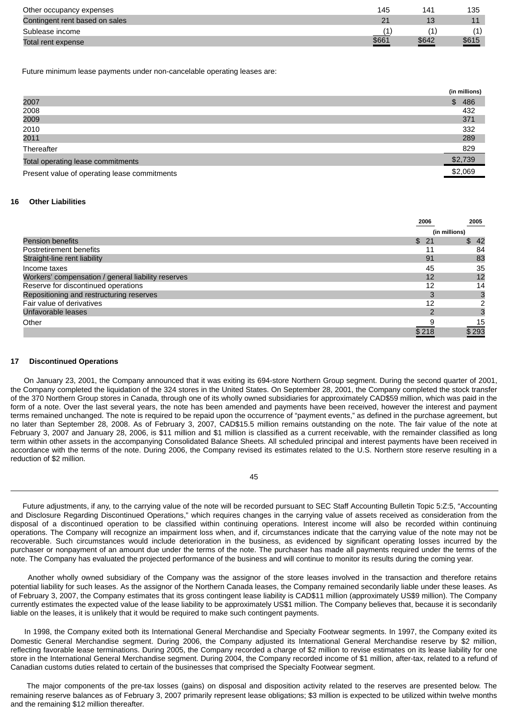| Other occupancy expenses       | 145   | 141   | 135   |
|--------------------------------|-------|-------|-------|
| Contingent rent based on sales |       |       |       |
| Sublease income                |       | (1    |       |
| Total rent expense             | \$661 | \$642 | \$615 |

Future minimum lease payments under non-cancelable operating leases are:

|                                              | (in millions) |
|----------------------------------------------|---------------|
| 2007                                         | \$ 486        |
| 2008                                         | 432           |
| 2009                                         | 371           |
| 2010                                         | 332           |
| 2011                                         | 289           |
| Thereafter                                   | 829           |
| Total operating lease commitments            | \$2,739       |
| Present value of operating lease commitments | \$2,069       |

## **16 Other Liabilities**

|                                                    | 2006 |               | 2005       |
|----------------------------------------------------|------|---------------|------------|
|                                                    |      | (in millions) |            |
| <b>Pension benefits</b>                            | \$21 |               | \$<br>- 42 |
| Postretirement benefits                            |      | 11            | 84         |
| Straight-line rent liability                       |      | 91            | 83         |
| Income taxes                                       |      | 45            | 35         |
| Workers' compensation / general liability reserves |      | 12            | 12         |
| Reserve for discontinued operations                |      | 12            | 14         |
| Repositioning and restructuring reserves           |      | 3             |            |
| Fair value of derivatives                          |      | 12            |            |
| Unfavorable leases                                 |      | ◠             |            |
| Other                                              |      | q             | 15         |
|                                                    |      |               | \$293      |

## **17 Discontinued Operations**

On January 23, 2001, the Company announced that it was exiting its 694-store Northern Group segment. During the second quarter of 2001, the Company completed the liquidation of the 324 stores in the United States. On September 28, 2001, the Company completed the stock transfer of the 370 Northern Group stores in Canada, through one of its wholly owned subsidiaries for approximately CAD\$59 million, which was paid in the form of a note. Over the last several years, the note has been amended and payments have been received, however the interest and payment terms remained unchanged. The note is required to be repaid upon the occurrence of "payment events," as defined in the purchase agreement, but no later than September 28, 2008. As of February 3, 2007, CAD\$15.5 million remains outstanding on the note. The fair value of the note at February 3, 2007 and January 28, 2006, is \$11 million and \$1 million is classified as a current receivable, with the remainder classified as long term within other assets in the accompanying Consolidated Balance Sheets. All scheduled principal and interest payments have been received in accordance with the terms of the note. During 2006, the Company revised its estimates related to the U.S. Northern store reserve resulting in a reduction of \$2 million.

45

Future adjustments, if any, to the carrying value of the note will be recorded pursuant to SEC Staff Accounting Bulletin Topic 5:Z:5, "Accounting and Disclosure Regarding Discontinued Operations," which requires changes in the carrying value of assets received as consideration from the disposal of a discontinued operation to be classified within continuing operations. Interest income will also be recorded within continuing operations. The Company will recognize an impairment loss when, and if, circumstances indicate that the carrying value of the note may not be recoverable. Such circumstances would include deterioration in the business, as evidenced by significant operating losses incurred by the purchaser or nonpayment of an amount due under the terms of the note. The purchaser has made all payments required under the terms of the note. The Company has evaluated the projected performance of the business and will continue to monitor its results during the coming year.

Another wholly owned subsidiary of the Company was the assignor of the store leases involved in the transaction and therefore retains potential liability for such leases. As the assignor of the Northern Canada leases, the Company remained secondarily liable under these leases. As of February 3, 2007, the Company estimates that its gross contingent lease liability is CAD\$11 million (approximately US\$9 million). The Company currently estimates the expected value of the lease liability to be approximately US\$1 million. The Company believes that, because it is secondarily liable on the leases, it is unlikely that it would be required to make such contingent payments.

In 1998, the Company exited both its International General Merchandise and Specialty Footwear segments. In 1997, the Company exited its Domestic General Merchandise segment. During 2006, the Company adjusted its International General Merchandise reserve by \$2 million, reflecting favorable lease terminations. During 2005, the Company recorded a charge of \$2 million to revise estimates on its lease liability for one store in the International General Merchandise segment. During 2004, the Company recorded income of \$1 million, after-tax, related to a refund of Canadian customs duties related to certain of the businesses that comprised the Specialty Footwear segment.

The major components of the pre-tax losses (gains) on disposal and disposition activity related to the reserves are presented below. The remaining reserve balances as of February 3, 2007 primarily represent lease obligations; \$3 million is expected to be utilized within twelve months and the remaining \$12 million thereafter.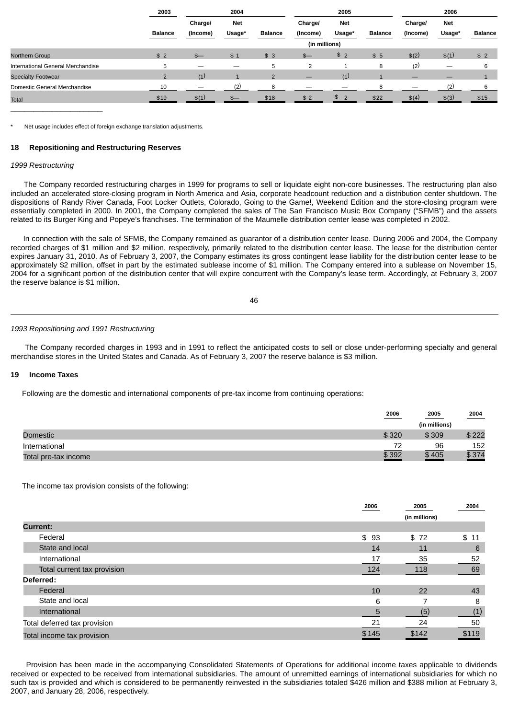|                                   | 2003           |                | 2004   |                |                | 2005          |                |                | 2006          |                |
|-----------------------------------|----------------|----------------|--------|----------------|----------------|---------------|----------------|----------------|---------------|----------------|
|                                   |                | <b>Charge/</b> | Net    |                | <b>Charge/</b> | Net           |                | <b>Charge/</b> | Net           |                |
|                                   | <b>Balance</b> | (Income)       | Usage* | <b>Balance</b> | (Income)       | Usage*        | <b>Balance</b> | (Income)       | Usage*        | <b>Balance</b> |
|                                   |                |                |        |                | (in millions)  |               |                |                |               |                |
| Northern Group                    | \$2            | $s-$           | \$1    | \$3            | $s-$           | $\frac{1}{2}$ | \$5            | \$(2)          | $\frac{1}{2}$ | \$2            |
| International General Merchandise | 5              | $-$            | $-$    | 5              | 2              |               | 8              | (2)            |               | b              |
| <b>Specialty Footwear</b>         | $\overline{2}$ | (1)            |        | 2              |                | (1)           |                | $-$            |               |                |
| Domestic General Merchandise      | 10             |                |        |                |                |               |                |                | (2)           |                |
| Total                             | \$19           | \$(1)          |        | \$18           | \$2            | \$<br>$\sim$  | \$22           | \$(4)          | \$(3)         | \$15           |
|                                   |                |                |        |                |                |               |                |                |               |                |

\* Net usage includes effect of foreign exchange translation adjustments.

#### **18 Repositioning and Restructuring Reserves**

#### *1999 Restructuring*

The Company recorded restructuring charges in 1999 for programs to sell or liquidate eight non-core businesses. The restructuring plan also included an accelerated store-closing program in North America and Asia, corporate headcount reduction and a distribution center shutdown. The dispositions of Randy River Canada, Foot Locker Outlets, Colorado, Going to the Game!, Weekend Edition and the store-closing program were essentially completed in 2000. In 2001, the Company completed the sales of The San Francisco Music Box Company ("SFMB") and the assets related to its Burger King and Popeye's franchises. The termination of the Maumelle distribution center lease was completed in 2002.

In connection with the sale of SFMB, the Company remained as guarantor of a distribution center lease. During 2006 and 2004, the Company recorded charges of \$1 million and \$2 million, respectively, primarily related to the distribution center lease. The lease for the distribution center expires January 31, 2010. As of February 3, 2007, the Company estimates its gross contingent lease liability for the distribution center lease to be approximately \$2 million, offset in part by the estimated sublease income of \$1 million. The Company entered into a sublease on November 15, 2004 for a significant portion of the distribution center that will expire concurrent with the Company's lease term. Accordingly, at February 3, 2007 the reserve balance is \$1 million.

46

#### *1993 Repositioning and 1991 Restructuring*

The Company recorded charges in 1993 and in 1991 to reflect the anticipated costs to sell or close under-performing specialty and general merchandise stores in the United States and Canada. As of February 3, 2007 the reserve balance is \$3 million.

#### **19 Income Taxes**

Following are the domestic and international components of pre-tax income from continuing operations:

|                      | 2006<br>$\frac{1}{2} \left( \frac{1}{2} \right) \left( \frac{1}{2} \right) \left( \frac{1}{2} \right) \left( \frac{1}{2} \right) \left( \frac{1}{2} \right) \left( \frac{1}{2} \right) \left( \frac{1}{2} \right) \left( \frac{1}{2} \right) \left( \frac{1}{2} \right) \left( \frac{1}{2} \right) \left( \frac{1}{2} \right) \left( \frac{1}{2} \right) \left( \frac{1}{2} \right) \left( \frac{1}{2} \right) \left( \frac{1}{2} \right) \left( \frac{1}{2} \right) \left( \frac$ | 2005          | 2004  |  |
|----------------------|------------------------------------------------------------------------------------------------------------------------------------------------------------------------------------------------------------------------------------------------------------------------------------------------------------------------------------------------------------------------------------------------------------------------------------------------------------------------------------|---------------|-------|--|
|                      |                                                                                                                                                                                                                                                                                                                                                                                                                                                                                    | (in millions) |       |  |
| Domestic             | \$320                                                                                                                                                                                                                                                                                                                                                                                                                                                                              | \$309         | \$222 |  |
| International        | 72                                                                                                                                                                                                                                                                                                                                                                                                                                                                                 | 96            | 152   |  |
| Total pre-tax income | \$392                                                                                                                                                                                                                                                                                                                                                                                                                                                                              | \$405         | \$374 |  |

The income tax provision consists of the following:

|                              | 2006  | 2005          | 2004  |
|------------------------------|-------|---------------|-------|
|                              |       | (in millions) |       |
| <b>Current:</b>              |       |               |       |
| Federal                      | \$93  | \$72          | \$11  |
| State and local              | 14    | 11            | 6     |
| International                | 17    | 35            | 52    |
| Total current tax provision  | 124   | 118           | 69    |
| Deferred:                    |       |               |       |
| Federal                      | 10    | 22            | 43    |
| State and local              | 6     |               | 8     |
| International                | 5     | (5)           | (1)   |
| Total deferred tax provision | 21    | 24            | 50    |
| Total income tax provision   | \$145 | \$142         | \$119 |

Provision has been made in the accompanying Consolidated Statements of Operations for additional income taxes applicable to dividends received or expected to be received from international subsidiaries. The amount of unremitted earnings of international subsidiaries for which no such tax is provided and which is considered to be permanently reinvested in the subsidiaries totaled \$426 million and \$388 million at February 3, 2007, and January 28, 2006, respectively.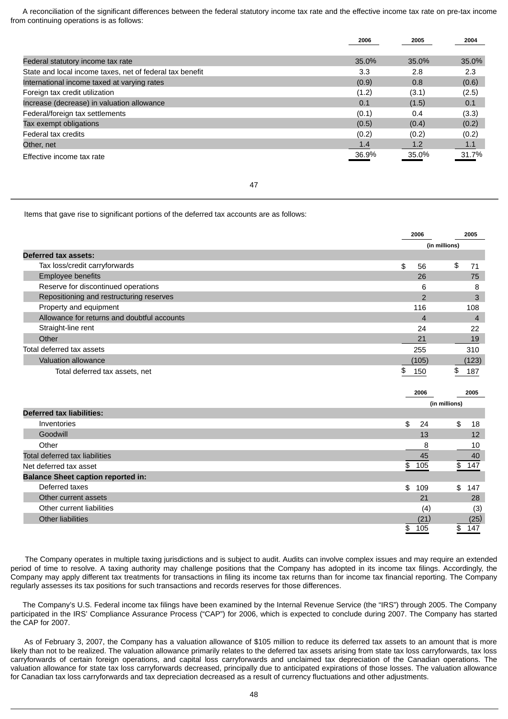A reconciliation of the significant differences between the federal statutory income tax rate and the effective income tax rate on pre-tax income from continuing operations is as follows:

|                                                          | 2006  | 2005  | 2004  |
|----------------------------------------------------------|-------|-------|-------|
|                                                          |       |       |       |
| Federal statutory income tax rate                        | 35.0% | 35.0% | 35.0% |
| State and local income taxes, net of federal tax benefit | 3.3   | 2.8   | 2.3   |
| International income taxed at varying rates              | (0.9) | 0.8   | (0.6) |
| Foreign tax credit utilization                           | (1.2) | (3.1) | (2.5) |
| Increase (decrease) in valuation allowance               | 0.1   | (1.5) | 0.1   |
| Federal/foreign tax settlements                          | (0.1) | 0.4   | (3.3) |
| Tax exempt obligations                                   | (0.5) | (0.4) | (0.2) |
| Federal tax credits                                      | (0.2) | (0.2) | (0.2) |
| Other, net                                               | 1.4   | 1.2   | 1.1   |
| Effective income tax rate                                | 36.9% | 35.0% | 31.7% |

47

Items that gave rise to significant portions of the deferred tax accounts are as follows:

|                                             | 2006           | 2005          |
|---------------------------------------------|----------------|---------------|
|                                             |                | (in millions) |
| Deferred tax assets:                        |                |               |
| Tax loss/credit carryforwards               | \$<br>56       | \$<br>71      |
| Employee benefits                           | 26             | 75            |
| Reserve for discontinued operations         | 6              | 8             |
| Repositioning and restructuring reserves    | 2              | 3             |
| Property and equipment                      | 116            | 108           |
| Allowance for returns and doubtful accounts | $\overline{4}$ | 4             |
| Straight-line rent                          | 24             | 22            |
| Other                                       | 21             | 19            |
| Total deferred tax assets                   | 255            | 310           |
| <b>Valuation allowance</b>                  | (105)          | (123)         |
| Total deferred tax assets, net              | \$<br>150      | \$<br>187     |
|                                             |                |               |
|                                             | 2006           | 2005          |
|                                             |                | (in millions) |
| <b>Deferred tax liabilities:</b>            |                |               |
| Inventories                                 | \$<br>24       | \$<br>18      |
| Goodwill                                    | 13             | 12            |
| Other                                       | 8              | 10            |
| Total deferred tax liabilities              | 45             | 40            |
| Net deferred tax asset                      | 105<br>\$      | \$147         |
| <b>Balance Sheet caption reported in:</b>   |                |               |
| Doforrod tavos                              | $A$ $A$        | A 117         |

| Deferred taxes            | 109<br>\$    | 147 |
|---------------------------|--------------|-----|
| Other current assets      | 21<br>$\sim$ | 28  |
| Other current liabilities | (4)          | (3) |
| Other liabilities         |              |     |
|                           | 105<br>æ     | 147 |

The Company operates in multiple taxing jurisdictions and is subject to audit. Audits can involve complex issues and may require an extended period of time to resolve. A taxing authority may challenge positions that the Company has adopted in its income tax filings. Accordingly, the Company may apply different tax treatments for transactions in filing its income tax returns than for income tax financial reporting. The Company regularly assesses its tax positions for such transactions and records reserves for those differences.

The Company's U.S. Federal income tax filings have been examined by the Internal Revenue Service (the "IRS") through 2005. The Company participated in the IRS' Compliance Assurance Process ("CAP") for 2006, which is expected to conclude during 2007. The Company has started the CAP for 2007.

As of February 3, 2007, the Company has a valuation allowance of \$105 million to reduce its deferred tax assets to an amount that is more likely than not to be realized. The valuation allowance primarily relates to the deferred tax assets arising from state tax loss carryforwards, tax loss carryforwards of certain foreign operations, and capital loss carryforwards and unclaimed tax depreciation of the Canadian operations. The valuation allowance for state tax loss carryforwards decreased, principally due to anticipated expirations of those losses. The valuation allowance for Canadian tax loss carryforwards and tax depreciation decreased as a result of currency fluctuations and other adjustments.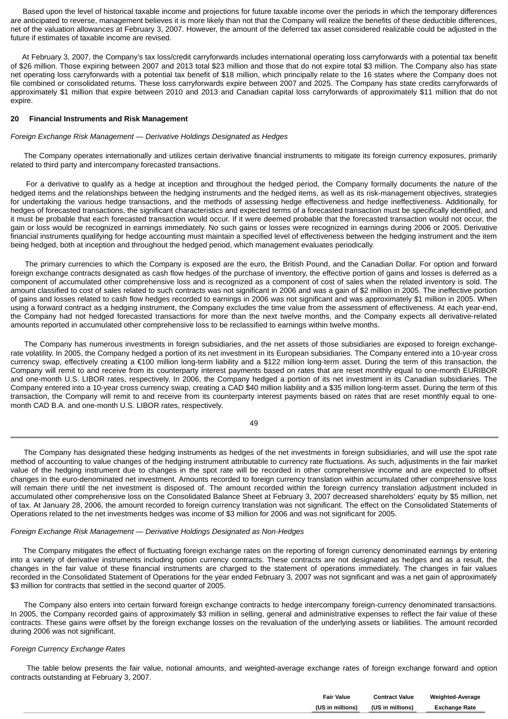Based upon the level of historical taxable income and projections for future taxable income over the periods in which the temporary differences are anticipated to reverse, management believes it is more likely than not that the Company will realize the benefits of these deductible differences, net of the valuation allowances at February 3, 2007. However, the amount of the deferred tax asset considered realizable could be adjusted in the future if estimates of taxable income are revised.

 At February 3, 2007, the Company's tax loss/credit carryforwards includes international operating loss carryforwards with a potential tax benefit of \$26 million. Those expiring between 2007 and 2013 total \$23 million and those that do not expire total \$3 million. The Company also has state net operating loss carryforwards with a potential tax benefit of \$18 million, which principally relate to the 16 states where the Company does not file combined or consolidated returns. These loss carryforwards expire between 2007 and 2025. The Company has state credits carryforwards of approximately \$1 million that expire between 2010 and 2013 and Canadian capital loss carryforwards of approximately \$11 million that do not expire.

#### **20 Financial Instruments and Risk Management**

#### *Foreign Exchange Risk Management — Derivative Holdings Designated as Hedges*

The Company operates internationally and utilizes certain derivative financial instruments to mitigate its foreign currency exposures, primarily related to third party and intercompany forecasted transactions.

For a derivative to qualify as a hedge at inception and throughout the hedged period, the Company formally documents the nature of the hedged items and the relationships between the hedging instruments and the hedged items, as well as its risk-management objectives, strategies for undertaking the various hedge transactions, and the methods of assessing hedge effectiveness and hedge ineffectiveness. Additionally, for hedges of forecasted transactions, the significant characteristics and expected terms of a forecasted transaction must be specifically identified, and it must be probable that each forecasted transaction would occur. If it were deemed probable that the forecasted transaction would not occur, the gain or loss would be recognized in earnings immediately. No such gains or losses were recognized in earnings during 2006 or 2005. Derivative financial instruments qualifying for hedge accounting must maintain a specified level of effectiveness between the hedging instrument and the item being hedged, both at inception and throughout the hedged period, which management evaluates periodically.

The primary currencies to which the Company is exposed are the euro, the British Pound, and the Canadian Dollar. For option and forward foreign exchange contracts designated as cash flow hedges of the purchase of inventory, the effective portion of gains and losses is deferred as a component of accumulated other comprehensive loss and is recognized as a component of cost of sales when the related inventory is sold. The amount classified to cost of sales related to such contracts was not significant in 2006 and was a gain of \$2 million in 2005. The ineffective portion of gains and losses related to cash flow hedges recorded to earnings in 2006 was not significant and was approximately \$1 million in 2005. When using a forward contract as a hedging instrument, the Company excludes the time value from the assessment of effectiveness. At each year-end, the Company had not hedged forecasted transactions for more than the next twelve months, and the Company expects all derivative-related amounts reported in accumulated other comprehensive loss to be reclassified to earnings within twelve months.

The Company has numerous investments in foreign subsidiaries, and the net assets of those subsidiaries are exposed to foreign exchangerate volatility. In 2005, the Company hedged a portion of its net investment in its European subsidiaries. The Company entered into a 10-year cross currency swap, effectively creating a €100 million long-term liability and a \$122 million long-term asset. During the term of this transaction, the Company will remit to and receive from its counterparty interest payments based on rates that are reset monthly equal to one-month EURIBOR and one-month U.S. LIBOR rates, respectively. In 2006, the Company hedged a portion of its net investment in its Canadian subsidiaries. The Company entered into a 10-year cross currency swap, creating a CAD \$40 million liability and a \$35 million long-term asset. During the term of this transaction, the Company will remit to and receive from its counterparty interest payments based on rates that are reset monthly equal to onemonth CAD B.A. and one-month U.S. LIBOR rates, respectively.

49

The Company has designated these hedging instruments as hedges of the net investments in foreign subsidiaries, and will use the spot rate method of accounting to value changes of the hedging instrument attributable to currency rate fluctuations. As such, adjustments in the fair market value of the hedging instrument due to changes in the spot rate will be recorded in other comprehensive income and are expected to offset changes in the euro-denominated net investment. Amounts recorded to foreign currency translation within accumulated other comprehensive loss will remain there until the net investment is disposed of. The amount recorded within the foreign currency translation adjustment included in accumulated other comprehensive loss on the Consolidated Balance Sheet at February 3, 2007 decreased shareholders' equity by \$5 million, net of tax. At January 28, 2006, the amount recorded to foreign currency translation was not significant. The effect on the Consolidated Statements of Operations related to the net investments hedges was income of \$3 million for 2006 and was not significant for 2005.

## *Foreign Exchange Risk Management — Derivative Holdings Designated as Non-Hedges*

The Company mitigates the effect of fluctuating foreign exchange rates on the reporting of foreign currency denominated earnings by entering into a variety of derivative instruments including option currency contracts. These contracts are not designated as hedges and as a result, the changes in the fair value of these financial instruments are charged to the statement of operations immediately. The changes in fair values recorded in the Consolidated Statement of Operations for the year ended February 3, 2007 was not significant and was a net gain of approximately \$3 million for contracts that settled in the second quarter of 2005.

The Company also enters into certain forward foreign exchange contracts to hedge intercompany foreign-currency denominated transactions. In 2005, the Company recorded gains of approximately \$3 million in selling, general and administrative expenses to reflect the fair value of these contracts. These gains were offset by the foreign exchange losses on the revaluation of the underlying assets or liabilities. The amount recorded during 2006 was not significant.

## *Foreign Currency Exchange Rates*

The table below presents the fair value, notional amounts, and weighted-average exchange rates of foreign exchange forward and option contracts outstanding at February 3, 2007.

| (US in millions)<br>(US in millions) | <b>Exchange Rate</b> |
|--------------------------------------|----------------------|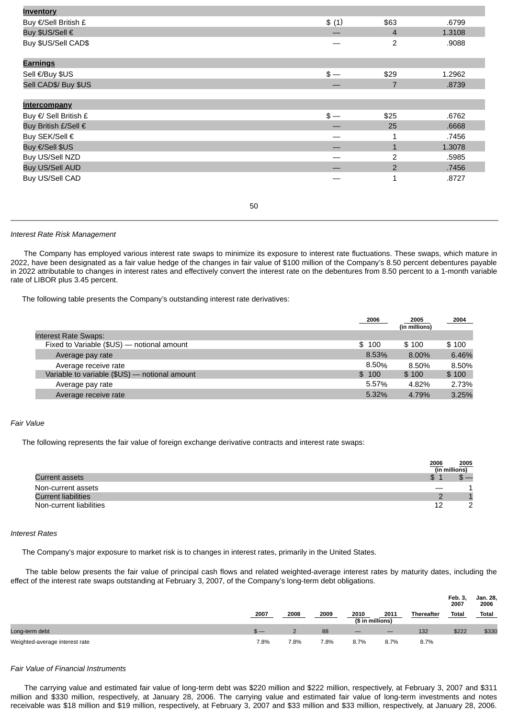| <b>Inventory</b>       |       |                |        |
|------------------------|-------|----------------|--------|
| Buy €/Sell British £   | \$(1) | \$63           | .6799  |
| Buy \$US/Sell €        |       | $\overline{4}$ | 1.3108 |
| Buy \$US/Sell CAD\$    |       | $\overline{2}$ | .9088  |
| <b>Earnings</b>        |       |                |        |
| Sell €/Buy \$US        | $$ -$ | \$29           | 1.2962 |
| Sell CAD\$/ Buy \$US   |       | $\overline{7}$ | .8739  |
| <b>Intercompany</b>    |       |                |        |
| Buy €/ Sell British £  | $$ -$ | \$25           | .6762  |
| Buy British £/Sell €   |       | 25             | .6668  |
| Buy SEK/Sell €         |       | $\mathbf{1}$   | .7456  |
| Buy €/Sell \$US        |       | $\mathbf{1}$   | 1.3078 |
| Buy US/Sell NZD        |       | 2              | .5985  |
| <b>Buy US/Sell AUD</b> |       | 2              | .7456  |
| Buy US/Sell CAD        |       | $\mathbf{1}$   | .8727  |
|                        |       |                |        |
|                        |       |                |        |

## *Interest Rate Risk Management*

The Company has employed various interest rate swaps to minimize its exposure to interest rate fluctuations. These swaps, which mature in 2022, have been designated as a fair value hedge of the changes in fair value of \$100 million of the Company's 8.50 percent debentures payable in 2022 attributable to changes in interest rates and effectively convert the interest rate on the debentures from 8.50 percent to a 1-month variable rate of LIBOR plus 3.45 percent.

The following table presents the Company's outstanding interest rate derivatives:

|                                               | 2006  | 2005<br>(in millions) | 2004  |
|-----------------------------------------------|-------|-----------------------|-------|
| <b>Interest Rate Swaps:</b>                   |       |                       |       |
| Fixed to Variable (\$US) — notional amount    | \$100 | \$100                 | \$100 |
| Average pay rate                              | 8.53% | 8.00%                 | 6.46% |
| Average receive rate                          | 8.50% | 8.50%                 | 8.50% |
| Variable to variable (\$US) - notional amount | \$100 | \$100                 | \$100 |
| Average pay rate                              | 5.57% | 4.82%                 | 2.73% |
| Average receive rate                          | 5.32% | 4.79%                 | 3.25% |

#### *Fair Value*

The following represents the fair value of foreign exchange derivative contracts and interest rate swaps:

|                            | 2006 | 2005<br>$\frac{1}{\ln \text{millions}}$ |
|----------------------------|------|-----------------------------------------|
| Current assets             | \$   |                                         |
| Non-current assets         |      |                                         |
| <b>Current liabilities</b> |      |                                         |
| Non-current liabilities    | 12   | ີ                                       |

#### *Interest Rates*

The Company's major exposure to market risk is to changes in interest rates, primarily in the United States.

The table below presents the fair value of principal cash flows and related weighted-average interest rates by maturity dates, including the effect of the interest rate swaps outstanding at February 3, 2007, of the Company's long-term debt obligations.

|                                |      |      |      |                          |                          |                   | Feb. 3,<br>2007 | Jan. 28,<br>2006 |
|--------------------------------|------|------|------|--------------------------|--------------------------|-------------------|-----------------|------------------|
|                                | 2007 | 2008 | 2009 | 2010<br>(\$ in millions) | 2011                     | <b>Thereafter</b> | <b>Total</b>    | Total            |
| Long-term debt                 | க—   |      | 88   | —                        | $\overline{\phantom{0}}$ | 132               | \$222           | \$330            |
| Weighted-average interest rate | 7.8% | 7.8% | 7.8% | 8.7%                     | 8.7%                     | 8.7%              |                 |                  |

## *Fair Value of Financial Instruments*

The carrying value and estimated fair value of long-term debt was \$220 million and \$222 million, respectively, at February 3, 2007 and \$311 million and \$330 million, respectively, at January 28, 2006. The carrying value and estimated fair value of long-term investments and notes receivable was \$18 million and \$19 million, respectively, at February 3, 2007 and \$33 million and \$33 million, respectively, at January 28, 2006.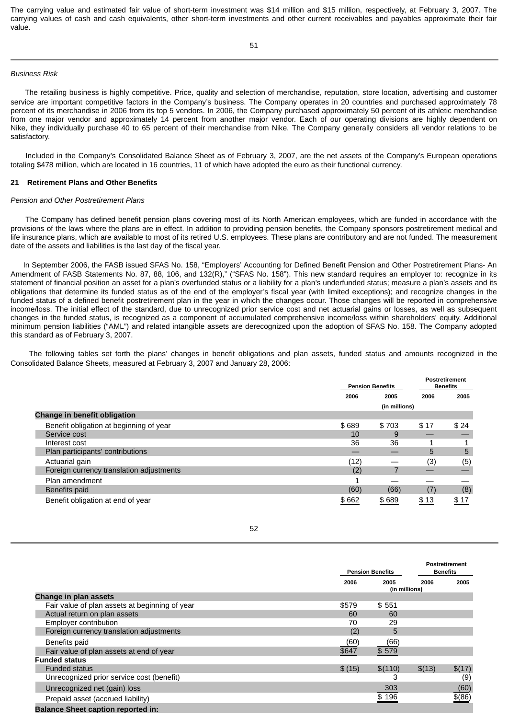The carrying value and estimated fair value of short-term investment was \$14 million and \$15 million, respectively, at February 3, 2007. The carrying values of cash and cash equivalents, other short-term investments and other current receivables and payables approximate their fair value.

#### *Business Risk*

The retailing business is highly competitive. Price, quality and selection of merchandise, reputation, store location, advertising and customer service are important competitive factors in the Company's business. The Company operates in 20 countries and purchased approximately 78 percent of its merchandise in 2006 from its top 5 vendors. In 2006, the Company purchased approximately 50 percent of its athletic merchandise from one major vendor and approximately 14 percent from another major vendor. Each of our operating divisions are highly dependent on Nike, they individually purchase 40 to 65 percent of their merchandise from Nike. The Company generally considers all vendor relations to be satisfactory.

Included in the Company's Consolidated Balance Sheet as of February 3, 2007, are the net assets of the Company's European operations totaling \$478 million, which are located in 16 countries, 11 of which have adopted the euro as their functional currency.

## **21 Retirement Plans and Other Benefits**

#### *Pension and Other Postretirement Plans*

The Company has defined benefit pension plans covering most of its North American employees, which are funded in accordance with the provisions of the laws where the plans are in effect. In addition to providing pension benefits, the Company sponsors postretirement medical and life insurance plans, which are available to most of its retired U.S. employees. These plans are contributory and are not funded. The measurement date of the assets and liabilities is the last day of the fiscal year.

In September 2006, the FASB issued SFAS No. 158, "Employers' Accounting for Defined Benefit Pension and Other Postretirement Plans- An Amendment of FASB Statements No. 87, 88, 106, and 132(R)," ("SFAS No. 158"). This new standard requires an employer to: recognize in its statement of financial position an asset for a plan's overfunded status or a liability for a plan's underfunded status; measure a plan's assets and its obligations that determine its funded status as of the end of the employer's fiscal year (with limited exceptions); and recognize changes in the funded status of a defined benefit postretirement plan in the year in which the changes occur. Those changes will be reported in comprehensive income/loss. The initial effect of the standard, due to unrecognized prior service cost and net actuarial gains or losses, as well as subsequent changes in the funded status, is recognized as a component of accumulated comprehensive income/loss within shareholders' equity. Additional minimum pension liabilities ("AML") and related intangible assets are derecognized upon the adoption of SFAS No. 158. The Company adopted this standard as of February 3, 2007.

The following tables set forth the plans' changes in benefit obligations and plan assets, funded status and amounts recognized in the Consolidated Balance Sheets, measured at February 3, 2007 and January 28, 2006:

|                                          |       | <b>Pension Benefits</b> |      | <b>Postretirement</b><br><b>Benefits</b> |  |
|------------------------------------------|-------|-------------------------|------|------------------------------------------|--|
|                                          | 2006  | 2005                    | 2006 | 2005                                     |  |
|                                          |       | (in millions)           |      |                                          |  |
| Change in benefit obligation             |       |                         |      |                                          |  |
| Benefit obligation at beginning of year  | \$689 | \$703                   | \$17 | \$24                                     |  |
| Service cost                             | 10    | 9                       |      |                                          |  |
| Interest cost                            | 36    | 36                      |      |                                          |  |
| Plan participants' contributions         |       |                         | 5    | 5                                        |  |
| Actuarial gain                           | (12)  |                         | (3)  | (5)                                      |  |
| Foreign currency translation adjustments | (2)   |                         |      |                                          |  |
| Plan amendment                           |       |                         |      |                                          |  |
| Benefits paid                            | (60)  | (66)                    |      | (8)                                      |  |
| Benefit obligation at end of year        | \$662 | \$689                   | \$13 | \$17                                     |  |

| ۰.     | I<br>۰,<br>. . |
|--------|----------------|
| I<br>٩ |                |

|                                                |        | <b>Pension Benefits</b> |        | <b>Postretirement</b><br><b>Benefits</b> |
|------------------------------------------------|--------|-------------------------|--------|------------------------------------------|
|                                                | 2006   | 2005                    | 2006   | 2005                                     |
| Change in plan assets                          |        | (in millions)           |        |                                          |
| Fair value of plan assets at beginning of year | \$579  | \$551                   |        |                                          |
| Actual return on plan assets                   | 60     | 60                      |        |                                          |
| Employer contribution                          | 70     | 29                      |        |                                          |
| Foreign currency translation adjustments       | (2)    | 5                       |        |                                          |
| Benefits paid                                  | (60)   | (66)                    |        |                                          |
| Fair value of plan assets at end of year       | \$647  | \$579                   |        |                                          |
| <b>Funded status</b>                           |        |                         |        |                                          |
| <b>Funded status</b>                           | \$(15) | \$(110)                 | \$(13) | \$(17)                                   |
| Unrecognized prior service cost (benefit)      |        |                         |        | (9)                                      |
| Unrecognized net (gain) loss                   |        | 303                     |        | (60)                                     |
| Prepaid asset (accrued liability)              |        | \$196                   |        | $$^{(86)}$                               |
| <b>Balance Sheet caption reported in:</b>      |        |                         |        |                                          |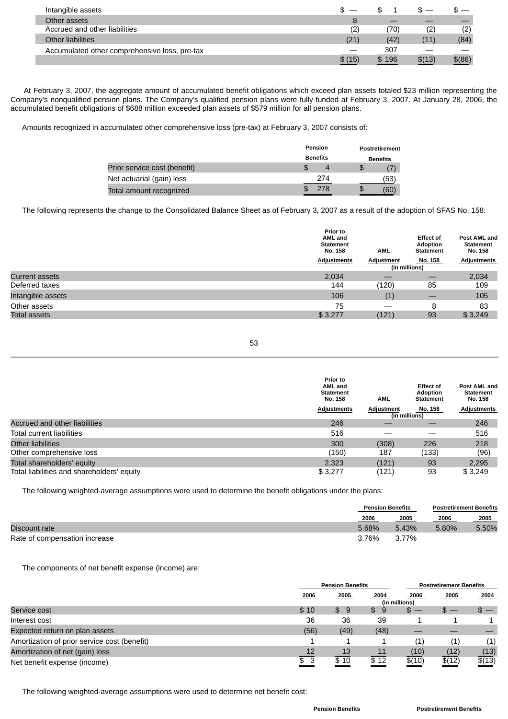| Intangible assets                             | \$.    | Œ     |        |        |
|-----------------------------------------------|--------|-------|--------|--------|
| Other assets                                  | 8      |       |        |        |
| Accrued and other liabilities                 | (2)    | (70)  | (2)    | (2)    |
| Other liabilities                             | (21)   | (42)  | (11)   | (84)   |
| Accumulated other comprehensive loss, pre-tax |        | 307   |        |        |
|                                               | \$(15) | \$196 | \$(13) | \$(86) |

At February 3, 2007, the aggregate amount of accumulated benefit obligations which exceed plan assets totaled \$23 million representing the Company's nonqualified pension plans. The Company's qualified pension plans were fully funded at February 3, 2007. At January 28, 2006, the accumulated benefit obligations of \$688 million exceeded plan assets of \$579 million for all pension plans.

Amounts recognized in accumulated other comprehensive loss (pre-tax) at February 3, 2007 consists of:

I

|                              | Pension         | Postretirement  |  |  |
|------------------------------|-----------------|-----------------|--|--|
|                              | <b>Benefits</b> | <b>Benefits</b> |  |  |
| Prior service cost (benefit) |                 |                 |  |  |
| Net actuarial (gain) loss    | 274             | (53)            |  |  |
| Total amount recognized      | 278             | \$<br>΄60       |  |  |

The following represents the change to the Consolidated Balance Sheet as of February 3, 2007 as a result of the adoption of SFAS No. 158:

|                     | <b>Prior to</b><br>AML and<br><b>Statement</b><br>No. 158 | <b>AML</b>                    | <b>Effect of</b><br>Adoption<br><b>Statement</b> | Post AML and<br><b>Statement</b><br>No. 158 |
|---------------------|-----------------------------------------------------------|-------------------------------|--------------------------------------------------|---------------------------------------------|
|                     | Adjustments                                               | Adjustment<br>(in millions)   | <b>No. 158</b>                                   | Adjustments                                 |
| Current assets      | 2,034                                                     |                               |                                                  | 2,034                                       |
| Deferred taxes      | 144                                                       | (120)                         | 85                                               | 109                                         |
| Intangible assets   | 106                                                       | (1)                           |                                                  | 105                                         |
| Other assets        | 75                                                        | $\overbrace{\phantom{12332}}$ | 8                                                | 83                                          |
| <b>Total assets</b> | \$3,277                                                   | (121)                         | 93                                               | \$3,249                                     |

|                                            | <b>Prior to</b><br>AML and<br><b>Statement</b><br>No. 158 | <b>AML</b>    | <b>Effect of</b><br>Adoption<br><b>Statement</b> | Post AML and<br><b>Statement</b><br>No. 158 |
|--------------------------------------------|-----------------------------------------------------------|---------------|--------------------------------------------------|---------------------------------------------|
|                                            | <b>Adjustments</b>                                        | Adjustment    | No. 158                                          | Adjustments                                 |
|                                            |                                                           | (in millions) |                                                  |                                             |
| Accrued and other liabilities              | 246                                                       |               |                                                  | 246                                         |
| Total current liabilities                  | 516                                                       |               |                                                  | 516                                         |
| Other liabilities                          | 300                                                       | (308)         | 226                                              | 218                                         |
| Other comprehensive loss                   | (150)                                                     | 187           | (133)                                            | (96)                                        |
| Total shareholders' equity                 | 2,323                                                     | (121)         | 93                                               | 2,295                                       |
| Total liabilities and shareholders' equity | \$3,277                                                   | (121)         | 93                                               | \$3.249                                     |

The following weighted-average assumptions were used to determine the benefit obligations under the plans:

|                               | <b>Pension Benefits</b> |       | <b>Postretirement Benefits</b> |       |
|-------------------------------|-------------------------|-------|--------------------------------|-------|
|                               | 2006                    | 2005  | 2006                           | 2005  |
| Discount rate                 | 5.68%                   | 5.43% | 5.80%                          | 5.50% |
| Rate of compensation increase | 3.76%                   | 3.77% |                                |       |

The components of net benefit expense (income) are:

|                                              |      | <b>Pension Benefits</b> |          |                       | <b>Postretirement Benefits</b> |        |  |
|----------------------------------------------|------|-------------------------|----------|-----------------------|--------------------------------|--------|--|
|                                              | 2006 | 2005                    | 2004     | 2006<br>(in millions) | 2005                           | 2004   |  |
| Service cost                                 | \$10 | $\mathfrak{L}$<br>9     | \$<br>-9 |                       |                                |        |  |
| Interest cost                                | 36   | 36                      | 39       |                       |                                |        |  |
| Expected return on plan assets               | (56) | (49)                    | (48)     |                       |                                |        |  |
| Amortization of prior service cost (benefit) |      |                         |          | $\left( 1\right)$     | (1)                            | (1)    |  |
| Amortization of net (gain) loss              | 12   | 13                      | 11       | (10)                  | (12)                           | (13)   |  |
| Net benefit expense (income)                 | \$3  | \$10                    | \$12     | \$(10)                | \$(12)                         | \$(13) |  |

The following weighted-average assumptions were used to determine net benefit cost: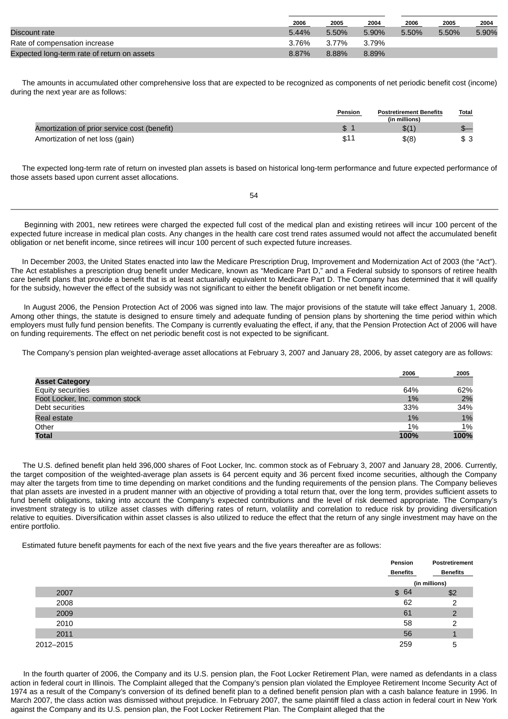|                                             | 2006  | 2005  | 2004  | 2006  | 2005  | 2004  |
|---------------------------------------------|-------|-------|-------|-------|-------|-------|
| Discount rate                               | 5.44% | 5.50% | 5.90% | 5.50% | 5.50% | 5.90% |
| Rate of compensation increase               | 3.76% | 3.77% | 3.79% |       |       |       |
| Expected long-term rate of return on assets | 8.87% | 8.88% | 8.89% |       |       |       |

 The amounts in accumulated other comprehensive loss that are expected to be recognized as components of net periodic benefit cost (income) during the next year are as follows:

|                                              | Pension | <b>Postretirement Benefits</b><br>(in millions) | Total |
|----------------------------------------------|---------|-------------------------------------------------|-------|
| Amortization of prior service cost (benefit) |         |                                                 |       |
| Amortization of net loss (gain)              |         | \$(8)                                           |       |

 The expected long-term rate of return on invested plan assets is based on historical long-term performance and future expected performance of those assets based upon current asset allocations.

54

Beginning with 2001, new retirees were charged the expected full cost of the medical plan and existing retirees will incur 100 percent of the expected future increase in medical plan costs. Any changes in the health care cost trend rates assumed would not affect the accumulated benefit obligation or net benefit income, since retirees will incur 100 percent of such expected future increases.

 In December 2003, the United States enacted into law the Medicare Prescription Drug, Improvement and Modernization Act of 2003 (the "Act"). The Act establishes a prescription drug benefit under Medicare, known as "Medicare Part D," and a Federal subsidy to sponsors of retiree health care benefit plans that provide a benefit that is at least actuarially equivalent to Medicare Part D. The Company has determined that it will qualify for the subsidy, however the effect of the subsidy was not significant to either the benefit obligation or net benefit income.

In August 2006, the Pension Protection Act of 2006 was signed into law. The major provisions of the statute will take effect January 1, 2008. Among other things, the statute is designed to ensure timely and adequate funding of pension plans by shortening the time period within which employers must fully fund pension benefits. The Company is currently evaluating the effect, if any, that the Pension Protection Act of 2006 will have on funding requirements. The effect on net periodic benefit cost is not expected to be significant.

The Company's pension plan weighted-average asset allocations at February 3, 2007 and January 28, 2006, by asset category are as follows:

|                                | 2006  | <u>2005</u>         |
|--------------------------------|-------|---------------------|
| <b>Asset Category</b>          |       |                     |
| Equity securities              | 64%   | 62%                 |
| Foot Locker, Inc. common stock | $1\%$ | 2%                  |
| Debt securities                | 33%   | 34%                 |
| Real estate                    | $1\%$ | 1%                  |
| Other                          | $1\%$ | $\frac{1\%}{100\%}$ |
| <b>Total</b>                   | 100%  |                     |

The U.S. defined benefit plan held 396,000 shares of Foot Locker, Inc. common stock as of February 3, 2007 and January 28, 2006. Currently, the target composition of the weighted-average plan assets is 64 percent equity and 36 percent fixed income securities, although the Company may alter the targets from time to time depending on market conditions and the funding requirements of the pension plans. The Company believes that plan assets are invested in a prudent manner with an objective of providing a total return that, over the long term, provides sufficient assets to fund benefit obligations, taking into account the Company's expected contributions and the level of risk deemed appropriate. The Company's investment strategy is to utilize asset classes with differing rates of return, volatility and correlation to reduce risk by providing diversification relative to equities. Diversification within asset classes is also utilized to reduce the effect that the return of any single investment may have on the entire portfolio.

Estimated future benefit payments for each of the next five years and the five years thereafter are as follows:

|           | Pension         | Postretirement  |
|-----------|-----------------|-----------------|
|           | <b>Benefits</b> | <b>Benefits</b> |
|           |                 | (in millions)   |
| 2007      | \$64            | \$2             |
| 2008      | 62              | σ               |
| 2009      | 61              | ົ               |
| 2010      | 58              | n               |
| 2011      | 56              |                 |
| 2012-2015 | 259             |                 |

In the fourth quarter of 2006, the Company and its U.S. pension plan, the Foot Locker Retirement Plan, were named as defendants in a class action in federal court in Illinois. The Complaint alleged that the Company's pension plan violated the Employee Retirement Income Security Act of 1974 as a result of the Company's conversion of its defined benefit plan to a defined benefit pension plan with a cash balance feature in 1996. In March 2007, the class action was dismissed without prejudice. In February 2007, the same plaintiff filed a class action in federal court in New York against the Company and its U.S. pension plan, the Foot Locker Retirement Plan. The Complaint alleged that the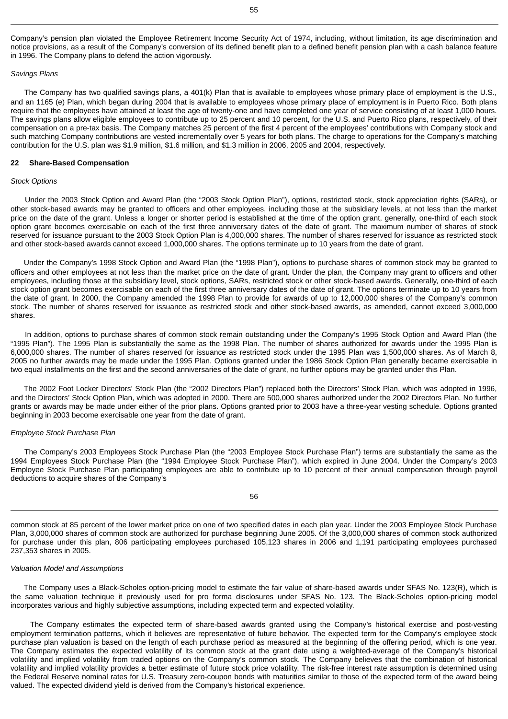Company's pension plan violated the Employee Retirement Income Security Act of 1974, including, without limitation, its age discrimination and notice provisions, as a result of the Company's conversion of its defined benefit plan to a defined benefit pension plan with a cash balance feature in 1996. The Company plans to defend the action vigorously.

#### *Savings Plans*

The Company has two qualified savings plans, a 401(k) Plan that is available to employees whose primary place of employment is the U.S., and an 1165 (e) Plan, which began during 2004 that is available to employees whose primary place of employment is in Puerto Rico. Both plans require that the employees have attained at least the age of twenty-one and have completed one year of service consisting of at least 1,000 hours. The savings plans allow eligible employees to contribute up to 25 percent and 10 percent, for the U.S. and Puerto Rico plans, respectively, of their compensation on a pre-tax basis. The Company matches 25 percent of the first 4 percent of the employees' contributions with Company stock and such matching Company contributions are vested incrementally over 5 years for both plans. The charge to operations for the Company's matching contribution for the U.S. plan was \$1.9 million, \$1.6 million, and \$1.3 million in 2006, 2005 and 2004, respectively.

#### **22 Share-Based Compensation**

#### *Stock Options*

Under the 2003 Stock Option and Award Plan (the "2003 Stock Option Plan"), options, restricted stock, stock appreciation rights (SARs), or other stock-based awards may be granted to officers and other employees, including those at the subsidiary levels, at not less than the market price on the date of the grant. Unless a longer or shorter period is established at the time of the option grant, generally, one-third of each stock option grant becomes exercisable on each of the first three anniversary dates of the date of grant. The maximum number of shares of stock reserved for issuance pursuant to the 2003 Stock Option Plan is 4,000,000 shares. The number of shares reserved for issuance as restricted stock and other stock-based awards cannot exceed 1,000,000 shares. The options terminate up to 10 years from the date of grant.

Under the Company's 1998 Stock Option and Award Plan (the "1998 Plan"), options to purchase shares of common stock may be granted to officers and other employees at not less than the market price on the date of grant. Under the plan, the Company may grant to officers and other employees, including those at the subsidiary level, stock options, SARs, restricted stock or other stock-based awards. Generally, one-third of each stock option grant becomes exercisable on each of the first three anniversary dates of the date of grant. The options terminate up to 10 years from the date of grant. In 2000, the Company amended the 1998 Plan to provide for awards of up to 12,000,000 shares of the Company's common stock. The number of shares reserved for issuance as restricted stock and other stock-based awards, as amended, cannot exceed 3,000,000 shares.

In addition, options to purchase shares of common stock remain outstanding under the Company's 1995 Stock Option and Award Plan (the "1995 Plan"). The 1995 Plan is substantially the same as the 1998 Plan. The number of shares authorized for awards under the 1995 Plan is 6,000,000 shares. The number of shares reserved for issuance as restricted stock under the 1995 Plan was 1,500,000 shares. As of March 8, 2005 no further awards may be made under the 1995 Plan. Options granted under the 1986 Stock Option Plan generally became exercisable in two equal installments on the first and the second anniversaries of the date of grant, no further options may be granted under this Plan.

The 2002 Foot Locker Directors' Stock Plan (the "2002 Directors Plan") replaced both the Directors' Stock Plan, which was adopted in 1996, and the Directors' Stock Option Plan, which was adopted in 2000. There are 500,000 shares authorized under the 2002 Directors Plan. No further grants or awards may be made under either of the prior plans. Options granted prior to 2003 have a three-year vesting schedule. Options granted beginning in 2003 become exercisable one year from the date of grant.

#### *Employee Stock Purchase Plan*

The Company's 2003 Employees Stock Purchase Plan (the "2003 Employee Stock Purchase Plan") terms are substantially the same as the 1994 Employees Stock Purchase Plan (the "1994 Employee Stock Purchase Plan"), which expired in June 2004. Under the Company's 2003 Employee Stock Purchase Plan participating employees are able to contribute up to 10 percent of their annual compensation through payroll deductions to acquire shares of the Company's

common stock at 85 percent of the lower market price on one of two specified dates in each plan year. Under the 2003 Employee Stock Purchase Plan, 3,000,000 shares of common stock are authorized for purchase beginning June 2005. Of the 3,000,000 shares of common stock authorized for purchase under this plan, 806 participating employees purchased 105,123 shares in 2006 and 1,191 participating employees purchased 237,353 shares in 2005.

#### *Valuation Model and Assumptions*

The Company uses a Black-Scholes option-pricing model to estimate the fair value of share-based awards under SFAS No. 123(R), which is the same valuation technique it previously used for pro forma disclosures under SFAS No. 123. The Black-Scholes option-pricing model incorporates various and highly subjective assumptions, including expected term and expected volatility.

The Company estimates the expected term of share-based awards granted using the Company's historical exercise and post-vesting employment termination patterns, which it believes are representative of future behavior. The expected term for the Company's employee stock purchase plan valuation is based on the length of each purchase period as measured at the beginning of the offering period, which is one year. The Company estimates the expected volatility of its common stock at the grant date using a weighted-average of the Company's historical volatility and implied volatility from traded options on the Company's common stock. The Company believes that the combination of historical volatility and implied volatility provides a better estimate of future stock price volatility. The risk-free interest rate assumption is determined using the Federal Reserve nominal rates for U.S. Treasury zero-coupon bonds with maturities similar to those of the expected term of the award being valued. The expected dividend yield is derived from the Company's historical experience.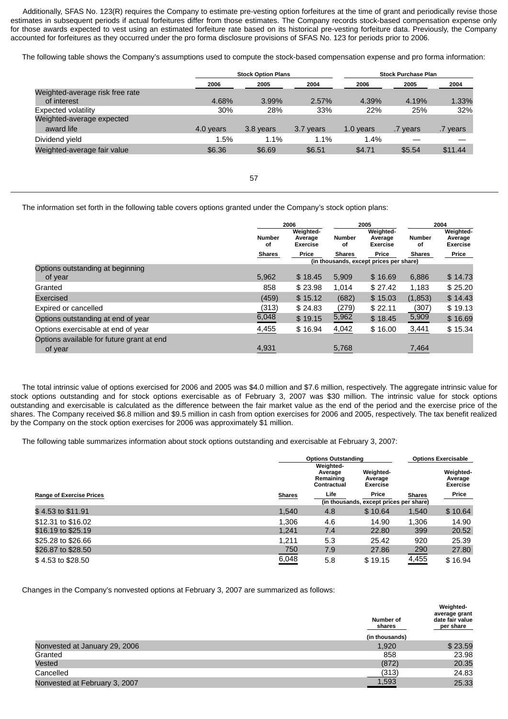Additionally, SFAS No. 123(R) requires the Company to estimate pre-vesting option forfeitures at the time of grant and periodically revise those estimates in subsequent periods if actual forfeitures differ from those estimates. The Company records stock-based compensation expense only for those awards expected to vest using an estimated forfeiture rate based on its historical pre-vesting forfeiture data. Previously, the Company accounted for forfeitures as they occurred under the pro forma disclosure provisions of SFAS No. 123 for periods prior to 2006.

The following table shows the Company's assumptions used to compute the stock-based compensation expense and pro forma information:

|                                 |           | <b>Stock Option Plans</b> |           |           | <b>Stock Purchase Plan</b> |          |  |
|---------------------------------|-----------|---------------------------|-----------|-----------|----------------------------|----------|--|
|                                 | 2006      | 2005                      | 2004      | 2006      | 2005                       | 2004     |  |
| Weighted-average risk free rate |           |                           |           |           |                            |          |  |
| of interest                     | 4.68%     | $3.99\%$                  | 2.57%     | 4.39%     | 4.19%                      | 1.33%    |  |
| Expected volatility             | 30%       | 28%                       | 33%       | 22%       | 25%                        | 32%      |  |
| Weighted-average expected       |           |                           |           |           |                            |          |  |
| award life                      | 4.0 years | 3.8 years                 | 3.7 years | 1.0 years | .7 years                   | .7 years |  |
| Dividend yield                  | 1.5%      | 1.1%                      | 1.1%      | 1.4%      |                            |          |  |
| Weighted-average fair value     | \$6.36    | \$6.69                    | \$6.51    | \$4.71    | \$5.54                     | \$11.44  |  |

The information set forth in the following table covers options granted under the Company's stock option plans:

|                                           |               | 2006                             |               | 2005                                    |               | 2004                             |
|-------------------------------------------|---------------|----------------------------------|---------------|-----------------------------------------|---------------|----------------------------------|
|                                           | Number<br>οf  | Weighted-<br>Average<br>Exercise | Number<br>οf  | Weighted-<br>Average<br>Exercise        | Number<br>οf  | Weighted-<br>Average<br>Exercise |
|                                           | <b>Shares</b> | Price                            | <b>Shares</b> | Price                                   | <b>Shares</b> | Price                            |
|                                           |               |                                  |               | (in thousands, except prices per share) |               |                                  |
| Options outstanding at beginning          |               |                                  |               |                                         |               |                                  |
| of year                                   | 5.962         | \$18.45                          | 5.909         | \$16.69                                 | 6,886         | \$14.73                          |
| Granted                                   | 858           | \$23.98                          | 1,014         | \$27.42                                 | 1,183         | \$25.20                          |
| Exercised                                 | (459)         | \$15.12                          | (682)         | \$15.03                                 | (1,853)       | \$14.43                          |
| Expired or cancelled                      | (313)         | \$24.83                          | (279)         | \$22.11                                 | (307)         | \$19.13                          |
| Options outstanding at end of year        | 6,048         | \$19.15                          | 5,962         | \$18.45                                 | 5,909         | \$16.69                          |
| Options exercisable at end of year        | 4,455         | \$16.94                          | 4,042         | \$16.00                                 | 3,441         | \$15.34                          |
| Options available for future grant at end |               |                                  |               |                                         |               |                                  |
| of year                                   | 4,931         |                                  | 5,768         |                                         | 7,464         |                                  |

 The total intrinsic value of options exercised for 2006 and 2005 was \$4.0 million and \$7.6 million, respectively. The aggregate intrinsic value for stock options outstanding and for stock options exercisable as of February 3, 2007 was \$30 million. The intrinsic value for stock options outstanding and exercisable is calculated as the difference between the fair market value as the end of the period and the exercise price of the shares. The Company received \$6.8 million and \$9.5 million in cash from option exercises for 2006 and 2005, respectively. The tax benefit realized by the Company on the stock option exercises for 2006 was approximately \$1 million.

The following table summarizes information about stock options outstanding and exercisable at February 3, 2007:

|                                 |               | <b>Options Outstanding</b>                       |                                         |               | <b>Options Exercisable</b>       |
|---------------------------------|---------------|--------------------------------------------------|-----------------------------------------|---------------|----------------------------------|
|                                 |               | Weighted-<br>Average<br>Remaining<br>Contractual | Weighted-<br>Average<br><b>Exercise</b> |               | Weighted-<br>Average<br>Exercise |
| <b>Range of Exercise Prices</b> | <b>Shares</b> | Life                                             | Price                                   | <b>Shares</b> | Price                            |
|                                 |               |                                                  | (in thousands, except prices per share) |               |                                  |
| \$4.53 to \$11.91               | 1,540         | 4.8                                              | \$10.64                                 | 1,540         | \$10.64                          |
| \$12.31 to \$16.02              | 1,306         | 4.6                                              | 14.90                                   | 1,306         | 14.90                            |
| \$16.19 to \$25.19              | 1,241         | 7.4                                              | 22.80                                   | 399           | 20.52                            |
| \$25,28 to \$26,66              | 1,211         | 5.3                                              | 25.42                                   | 920           | 25.39                            |
| \$26.87 to \$28.50              | 750           | 7.9                                              | 27.86                                   | 290           | 27.80                            |
| \$4.53 to \$28.50               | 6,048         | 5.8                                              | \$19.15                                 | 4,455         | \$16.94                          |

Changes in the Company's nonvested options at February 3, 2007 are summarized as follows:

|                               | Number of<br>shares | Weighted-<br>average grant<br>date fair value<br>per share |
|-------------------------------|---------------------|------------------------------------------------------------|
|                               | (in thousands)      |                                                            |
| Nonvested at January 29, 2006 | 1,920               | \$23.59                                                    |
| Granted                       | 858                 | 23.98                                                      |
| <b>Vested</b>                 | (872)               | 20.35                                                      |
| Cancelled                     | (313)               | 24.83                                                      |
| Nonvested at February 3, 2007 | 1,593               | 25.33                                                      |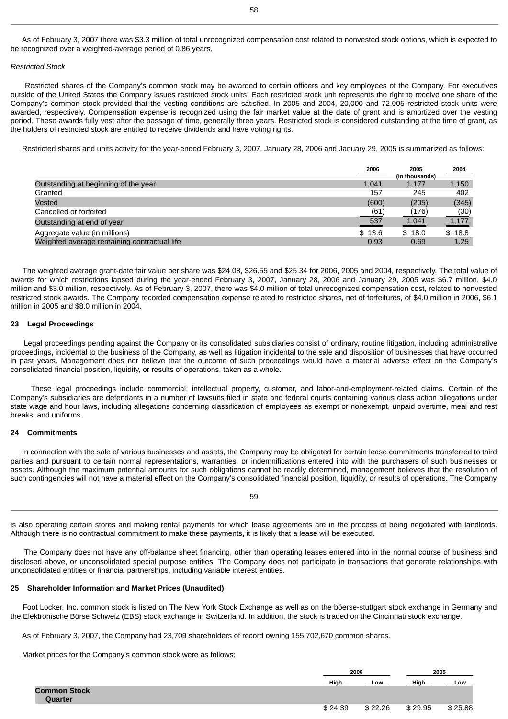#### *Restricted Stock*

Restricted shares of the Company's common stock may be awarded to certain officers and key employees of the Company. For executives outside of the United States the Company issues restricted stock units. Each restricted stock unit represents the right to receive one share of the Company's common stock provided that the vesting conditions are satisfied. In 2005 and 2004, 20,000 and 72,005 restricted stock units were awarded, respectively. Compensation expense is recognized using the fair market value at the date of grant and is amortized over the vesting period. These awards fully vest after the passage of time, generally three years. Restricted stock is considered outstanding at the time of grant, as the holders of restricted stock are entitled to receive dividends and have voting rights.

Restricted shares and units activity for the year-ended February 3, 2007, January 28, 2006 and January 29, 2005 is summarized as follows:

|                                             | 2006   | 2005           | 2004   |
|---------------------------------------------|--------|----------------|--------|
|                                             |        | (in thousands) |        |
| Outstanding at beginning of the year        | 1.041  | 1,177          | 1,150  |
| Granted                                     | 157    | 245            | 402    |
| Vested                                      | (600)  | (205)          | (345)  |
| Cancelled or forfeited                      | (61)   | (176)          | (30)   |
| Outstanding at end of year                  | 537    | 1,041          | 1,177  |
| Aggregate value (in millions)               | \$13.6 | \$18.0         | \$18.8 |
| Weighted average remaining contractual life | 0.93   | 0.69           | 1.25   |

The weighted average grant-date fair value per share was \$24.08, \$26.55 and \$25.34 for 2006, 2005 and 2004, respectively. The total value of awards for which restrictions lapsed during the year-ended February 3, 2007, January 28, 2006 and January 29, 2005 was \$6.7 million, \$4.0 million and \$3.0 million, respectively. As of February 3, 2007, there was \$4.0 million of total unrecognized compensation cost, related to nonvested restricted stock awards. The Company recorded compensation expense related to restricted shares, net of forfeitures, of \$4.0 million in 2006, \$6.1 million in 2005 and \$8.0 million in 2004.

### **23 Legal Proceedings**

Legal proceedings pending against the Company or its consolidated subsidiaries consist of ordinary, routine litigation, including administrative proceedings, incidental to the business of the Company, as well as litigation incidental to the sale and disposition of businesses that have occurred in past years. Management does not believe that the outcome of such proceedings would have a material adverse effect on the Company's consolidated financial position, liquidity, or results of operations, taken as a whole.

These legal proceedings include commercial, intellectual property, customer, and labor-and-employment-related claims. Certain of the Company's subsidiaries are defendants in a number of lawsuits filed in state and federal courts containing various class action allegations under state wage and hour laws, including allegations concerning classification of employees as exempt or nonexempt, unpaid overtime, meal and rest breaks, and uniforms.

#### **24 Commitments**

 In connection with the sale of various businesses and assets, the Company may be obligated for certain lease commitments transferred to third parties and pursuant to certain normal representations, warranties, or indemnifications entered into with the purchasers of such businesses or assets. Although the maximum potential amounts for such obligations cannot be readily determined, management believes that the resolution of such contingencies will not have a material effect on the Company's consolidated financial position, liquidity, or results of operations. The Company

59

is also operating certain stores and making rental payments for which lease agreements are in the process of being negotiated with landlords. Although there is no contractual commitment to make these payments, it is likely that a lease will be executed.

The Company does not have any off-balance sheet financing, other than operating leases entered into in the normal course of business and disclosed above, or unconsolidated special purpose entities. The Company does not participate in transactions that generate relationships with unconsolidated entities or financial partnerships, including variable interest entities.

## **25 Shareholder Information and Market Prices (Unaudited)**

Foot Locker, Inc. common stock is listed on The New York Stock Exchange as well as on the böerse-stuttgart stock exchange in Germany and the Elektronische Börse Schweiz (EBS) stock exchange in Switzerland. In addition, the stock is traded on the Cincinnati stock exchange.

As of February 3, 2007, the Company had 23,709 shareholders of record owning 155,702,670 common shares.

Market prices for the Company's common stock were as follows:

|                                       |         | 2006    |         | 2005       |
|---------------------------------------|---------|---------|---------|------------|
|                                       | High    | Low     | High    | <b>Low</b> |
| <b>Common Stock</b><br><b>Quarter</b> |         |         |         |            |
|                                       | \$24.39 | \$22.26 | \$29.95 | \$25.88    |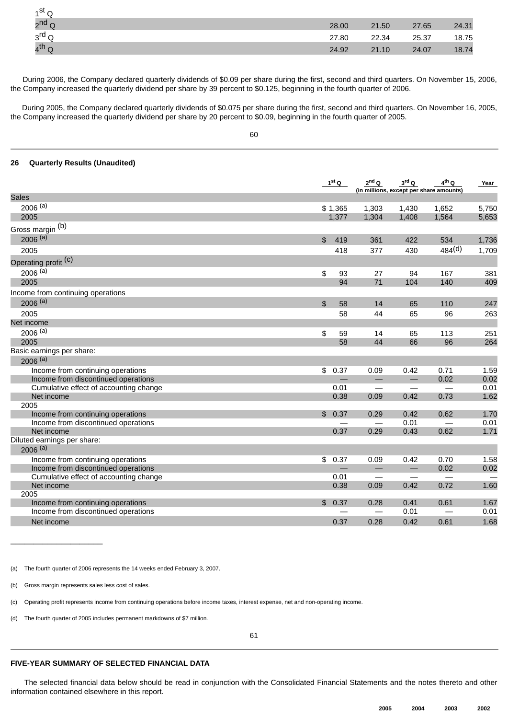| 1 <sup>st</sup>   |       |       |       |       |
|-------------------|-------|-------|-------|-------|
| 2 <sup>nd</sup> o | 28.00 | 21.50 | 27.65 | 24.31 |
| 3 <sup>rd</sup>   | 27.80 | 22.34 | 25.37 | 18.75 |
| $4^{\text{th}}$ ( | 24.92 | 21.10 | 24.07 | 18.74 |

During 2006, the Company declared quarterly dividends of \$0.09 per share during the first, second and third quarters. On November 15, 2006, the Company increased the quarterly dividend per share by 39 percent to \$0.125, beginning in the fourth quarter of 2006.

 During 2005, the Company declared quarterly dividends of \$0.075 per share during the first, second and third quarters. On November 16, 2005, the Company increased the quarterly dividend per share by 20 percent to \$0.09, beginning in the fourth quarter of 2005.

60

### **26 Quarterly Results (Unaudited)**

|                                        |                | 1 <sup>st</sup> Q        | 2 <sup>nd</sup> Q        | $3^{\text{rd}}$ Q        | $4th$ O<br>(in millions, except per share amounts) | Year  |
|----------------------------------------|----------------|--------------------------|--------------------------|--------------------------|----------------------------------------------------|-------|
| <b>Sales</b>                           |                |                          |                          |                          |                                                    |       |
| 2006 $(a)$                             |                | \$1,365                  | 1,303                    | 1,430                    | 1,652                                              | 5,750 |
| 2005                                   |                | 1,377                    | 1,304                    | 1,408                    | 1,564                                              | 5,653 |
| Gross margin (b)                       |                |                          |                          |                          |                                                    |       |
| $2006$ (a)                             | \$             | 419                      | 361                      | 422                      | 534                                                | 1,736 |
| 2005                                   |                | 418                      | 377                      | 430                      | 484(d)                                             | 1,709 |
| Operating profit <sup>(C)</sup>        |                |                          |                          |                          |                                                    |       |
| $2006$ (a)                             | \$             | 93                       | 27                       | 94                       | 167                                                | 381   |
| 2005                                   |                | 94                       | 71                       | 104                      | 140                                                | 409   |
| Income from continuing operations      |                |                          |                          |                          |                                                    |       |
| $2006$ (a)                             | $\mathfrak{P}$ | 58                       | 14                       | 65                       | 110                                                | 247   |
| 2005                                   |                | 58                       | 44                       | 65                       | 96                                                 | 263   |
| Net income                             |                |                          |                          |                          |                                                    |       |
| $2006$ (a)                             | \$             | 59                       | 14                       | 65                       | 113                                                | 251   |
| 2005                                   |                | 58                       | 44                       | 66                       | 96                                                 | 264   |
| Basic earnings per share:              |                |                          |                          |                          |                                                    |       |
| $2006$ (a)                             |                |                          |                          |                          |                                                    |       |
| Income from continuing operations      | \$             | 0.37                     | 0.09                     | 0.42                     | 0.71                                               | 1.59  |
| Income from discontinued operations    |                |                          | $\overline{\phantom{0}}$ | $\qquad \qquad$          | 0.02                                               | 0.02  |
| Cumulative effect of accounting change |                | 0.01                     | $\overline{\phantom{0}}$ | $\overline{\phantom{0}}$ | $\overline{\phantom{0}}$                           | 0.01  |
| Net income                             |                | 0.38                     | 0.09                     | 0.42                     | 0.73                                               | 1.62  |
| 2005                                   |                |                          |                          |                          |                                                    |       |
| Income from continuing operations      | \$             | 0.37                     | 0.29                     | 0.42                     | 0.62                                               | 1.70  |
| Income from discontinued operations    |                |                          |                          | 0.01                     |                                                    | 0.01  |
| Net income                             |                | 0.37                     | 0.29                     | 0.43                     | 0.62                                               | 1.71  |
| Diluted earnings per share:            |                |                          |                          |                          |                                                    |       |
| $2006$ <sup>(a)</sup>                  |                |                          |                          |                          |                                                    |       |
| Income from continuing operations      |                | \$0.37                   | 0.09                     | 0.42                     | 0.70                                               | 1.58  |
| Income from discontinued operations    |                | $\overline{\phantom{a}}$ | $\overline{\phantom{0}}$ | $\equiv$                 | 0.02                                               | 0.02  |
| Cumulative effect of accounting change |                | 0.01                     | $\qquad \qquad$          |                          |                                                    |       |
| Net income                             |                | 0.38                     | 0.09                     | 0.42                     | 0.72                                               | 1.60  |
| 2005                                   |                |                          |                          |                          |                                                    |       |
| Income from continuing operations      | \$             | 0.37                     | 0.28                     | 0.41                     | 0.61                                               | 1.67  |
| Income from discontinued operations    |                |                          |                          | 0.01                     |                                                    | 0.01  |
| Net income                             |                | 0.37                     | 0.28                     | 0.42                     | 0.61                                               | 1.68  |
|                                        |                |                          |                          |                          |                                                    |       |

(a) The fourth quarter of 2006 represents the 14 weeks ended February 3, 2007.

(b) Gross margin represents sales less cost of sales.

\_\_\_\_\_\_\_\_\_\_\_\_\_\_\_\_\_\_\_\_

(c) Operating profit represents income from continuing operations before income taxes, interest expense, net and non-operating income.

(d) The fourth quarter of 2005 includes permanent markdowns of \$7 million.

61

## **FIVE-YEAR SUMMARY OF SELECTED FINANCIAL DATA**

The selected financial data below should be read in conjunction with the Consolidated Financial Statements and the notes thereto and other information contained elsewhere in this report.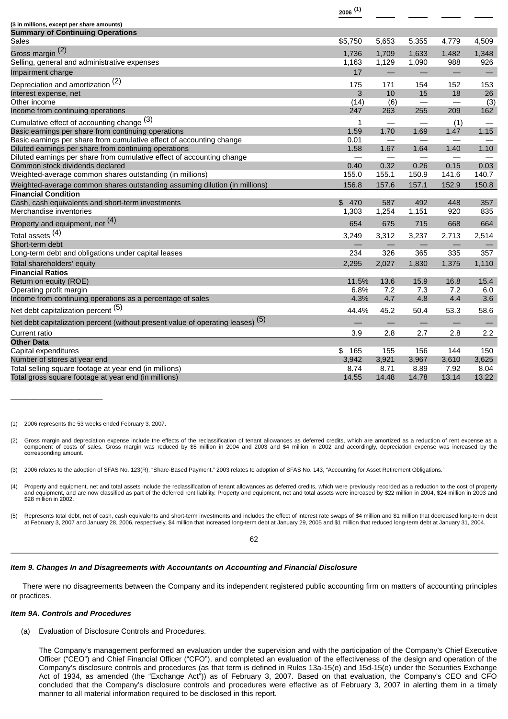|                                                                                            | $2006$ $'$   |                          |                                 |                          |                                 |
|--------------------------------------------------------------------------------------------|--------------|--------------------------|---------------------------------|--------------------------|---------------------------------|
| (\$ in millions, except per share amounts)                                                 |              |                          |                                 |                          |                                 |
| <b>Summary of Continuing Operations</b>                                                    |              |                          |                                 |                          |                                 |
| <b>Sales</b>                                                                               | \$5,750      | 5,653                    | 5,355                           | 4,779                    | 4,509                           |
| Gross margin <sup>(2)</sup>                                                                | 1,736        | 1,709                    | 1,633                           | 1,482                    | 1,348                           |
| Selling, general and administrative expenses                                               | 1,163        | 1,129                    | 1,090                           | 988                      | 926                             |
| Impairment charge                                                                          | 17           |                          |                                 | $\overline{\phantom{0}}$ | $\qquad \qquad -$               |
| Depreciation and amortization (2)                                                          | 175          | 171                      | 154                             | 152                      | 153                             |
| Interest expense, net                                                                      | 3            | 10                       | 15                              | 18                       | 26                              |
| Other income                                                                               | (14)         | (6)                      | $\overbrace{\qquad \qquad }^{}$ | $\overline{\phantom{m}}$ | (3)                             |
| Income from continuing operations                                                          | 247          | 263                      | 255                             | 209                      | 162                             |
| Cumulative effect of accounting change (3)                                                 | $\mathbf{1}$ | $\overline{\phantom{m}}$ | $\hspace{0.1mm}-\hspace{0.1mm}$ | (1)                      | $\hspace{0.1mm}-\hspace{0.1mm}$ |
| Basic earnings per share from continuing operations                                        | 1.59         | 1.70                     | 1.69                            | 1.47                     | 1.15                            |
| Basic earnings per share from cumulative effect of accounting change                       | 0.01         | $\overline{\phantom{0}}$ |                                 |                          |                                 |
| Diluted earnings per share from continuing operations                                      | 1.58         | 1.67                     | 1.64                            | 1.40                     | 1.10                            |
| Diluted earnings per share from cumulative effect of accounting change                     |              |                          |                                 |                          |                                 |
| Common stock dividends declared                                                            | 0.40         | 0.32                     | 0.26                            | 0.15                     | 0.03                            |
| Weighted-average common shares outstanding (in millions)                                   | 155.0        | 155.1                    | 150.9                           | 141.6                    | 140.7                           |
| Weighted-average common shares outstanding assuming dilution (in millions)                 | 156.8        | 157.6                    | 157.1                           | 152.9                    | 150.8                           |
| <b>Financial Condition</b>                                                                 |              |                          |                                 |                          |                                 |
| Cash, cash equivalents and short-term investments                                          | \$470        | 587                      | 492                             | 448                      | 357                             |
| Merchandise inventories                                                                    | 1,303        | 1,254                    | 1,151                           | 920                      | 835                             |
| Property and equipment, net <sup>(4)</sup>                                                 | 654          | 675                      | 715                             | 668                      | 664                             |
| Total assets (4)                                                                           | 3,249        | 3,312                    | 3,237                           | 2,713                    | 2,514                           |
| Short-term debt                                                                            |              |                          |                                 |                          |                                 |
| Long-term debt and obligations under capital leases                                        | 234          | 326                      | 365                             | 335                      | 357                             |
| Total shareholders' equity                                                                 | 2.295        | 2,027                    | 1,830                           | 1,375                    | 1,110                           |
| <b>Financial Ratios</b>                                                                    |              |                          |                                 |                          |                                 |
| Return on equity (ROE)                                                                     | 11.5%        | 13.6                     | 15.9                            | 16.8                     | 15.4                            |
| Operating profit margin                                                                    | 6.8%         | 7.2                      | 7.3                             | 7.2                      | 6.0                             |
| Income from continuing operations as a percentage of sales                                 | 4.3%         | 4.7                      | 4.8                             | 4.4                      | 3.6                             |
| Net debt capitalization percent (5)                                                        | 44.4%        | 45.2                     | 50.4                            | 53.3                     | 58.6                            |
| Net debt capitalization percent (without present value of operating leases) <sup>(5)</sup> |              |                          |                                 |                          |                                 |
| Current ratio                                                                              | 3.9          | 2.8                      | 2.7                             | 2.8                      | 2.2                             |
| <b>Other Data</b>                                                                          |              |                          |                                 |                          |                                 |
| Capital expenditures                                                                       | \$<br>165    | 155                      | 156                             | 144                      | 150                             |
| Number of stores at year end                                                               | 3,942        | 3,921                    | 3,967                           | 3,610                    | 3,625                           |
| Total selling square footage at year end (in millions)                                     | 8.74         | 8.71                     | 8.89                            | 7.92                     | 8.04                            |
| Total gross square footage at year end (in millions)                                       | 14.55        | 14.48                    | 14.78                           | 13.14                    | 13.22                           |

**<sup>2006</sup> (1)**

(1) 2006 represents the 53 weeks ended February 3, 2007.

\_\_\_\_\_\_\_\_\_\_\_\_\_\_\_\_\_\_\_\_

(2) Gross margin and depreciation expense include the effects of the reclassification of tenant allowances as deferred credits, which are amortized as a reduction of rent expense as a component of costs of sales. Gross margin was reduced by \$5 million in 2004 and 2003 and \$4 million in 2002 and accordingly, depreciation expense was increased by the corresponding amount.

(3) 2006 relates to the adoption of SFAS No. 123(R), "Share-Based Payment." 2003 relates to adoption of SFAS No. 143, "Accounting for Asset Retirement Obligations."

- (4) Property and equipment, net and total assets include the reclassification of tenant allowances as deferred credits, which were previously recorded as a reduction to the cost of property and equipment, and are now classified as part of the deferred rent liability. Property and equipment, net and total assets were increased by \$22 million in 2004, \$24 million in 2003 and \$28 million in 2002.
- (5) Represents total debt, net of cash, cash equivalents and short-term investments and includes the effect of interest rate swaps of \$4 million and \$1 million that decreased long-term debt at February 3, 2007 and January 28, 2006, respectively, \$4 million that increased long-term debt at January 29, 2005 and \$1 million that reduced long-term debt at January 31, 2004.

### *Item 9. Changes In and Disagreements with Accountants on Accounting and Financial Disclosure*

There were no disagreements between the Company and its independent registered public accounting firm on matters of accounting principles or practices.

#### *Item 9A. Controls and Procedures*

(a) Evaluation of Disclosure Controls and Procedures.

The Company's management performed an evaluation under the supervision and with the participation of the Company's Chief Executive Officer ("CEO") and Chief Financial Officer ("CFO"), and completed an evaluation of the effectiveness of the design and operation of the Company's disclosure controls and procedures (as that term is defined in Rules 13a-15(e) and 15d-15(e) under the Securities Exchange Act of 1934, as amended (the "Exchange Act")) as of February 3, 2007. Based on that evaluation, the Company's CEO and CFO concluded that the Company's disclosure controls and procedures were effective as of February 3, 2007 in alerting them in a timely manner to all material information required to be disclosed in this report.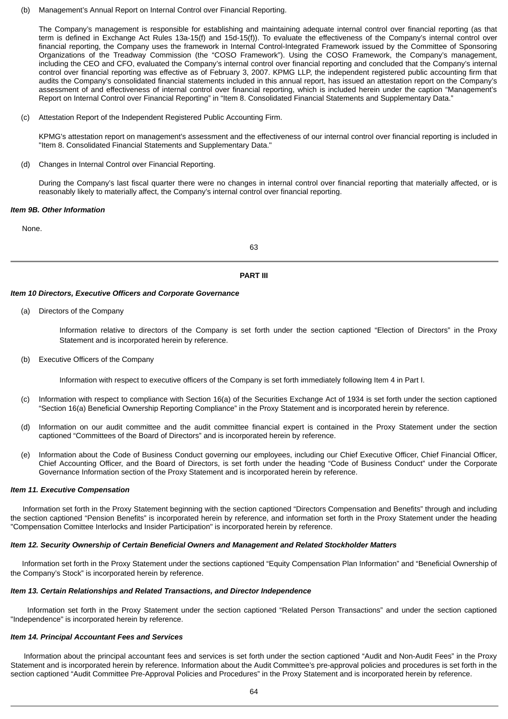(b) Management's Annual Report on Internal Control over Financial Reporting.

The Company's management is responsible for establishing and maintaining adequate internal control over financial reporting (as that term is defined in Exchange Act Rules 13a-15(f) and 15d-15(f)). To evaluate the effectiveness of the Company's internal control over financial reporting, the Company uses the framework in Internal Control-Integrated Framework issued by the Committee of Sponsoring Organizations of the Treadway Commission (the "COSO Framework"). Using the COSO Framework, the Company's management, including the CEO and CFO, evaluated the Company's internal control over financial reporting and concluded that the Company's internal control over financial reporting was effective as of February 3, 2007. KPMG LLP, the independent registered public accounting firm that audits the Company's consolidated financial statements included in this annual report, has issued an attestation report on the Company's assessment of and effectiveness of internal control over financial reporting, which is included herein under the caption "Management's Report on Internal Control over Financial Reporting" in "Item 8. Consolidated Financial Statements and Supplementary Data."

(c) Attestation Report of the Independent Registered Public Accounting Firm.

KPMG's attestation report on management's assessment and the effectiveness of our internal control over financial reporting is included in "Item 8. Consolidated Financial Statements and Supplementary Data."

(d) Changes in Internal Control over Financial Reporting.

During the Company's last fiscal quarter there were no changes in internal control over financial reporting that materially affected, or is reasonably likely to materially affect, the Company's internal control over financial reporting.

#### *Item 9B. Other Information*

None.

63

#### **PART III**

## *Item 10 Directors, Executive Officers and Corporate Governance*

(a) Directors of the Company

Information relative to directors of the Company is set forth under the section captioned "Election of Directors" in the Proxy Statement and is incorporated herein by reference.

(b) Executive Officers of the Company

Information with respect to executive officers of the Company is set forth immediately following Item 4 in Part I.

- (c) Information with respect to compliance with Section 16(a) of the Securities Exchange Act of 1934 is set forth under the section captioned "Section 16(a) Beneficial Ownership Reporting Compliance" in the Proxy Statement and is incorporated herein by reference.
- (d) Information on our audit committee and the audit committee financial expert is contained in the Proxy Statement under the section captioned "Committees of the Board of Directors" and is incorporated herein by reference.
- (e) Information about the Code of Business Conduct governing our employees, including our Chief Executive Officer, Chief Financial Officer, Chief Accounting Officer, and the Board of Directors, is set forth under the heading "Code of Business Conduct" under the Corporate Governance Information section of the Proxy Statement and is incorporated herein by reference.

## *Item 11. Executive Compensation*

Information set forth in the Proxy Statement beginning with the section captioned "Directors Compensation and Benefits" through and including the section captioned "Pension Benefits" is incorporated herein by reference, and information set forth in the Proxy Statement under the heading "Compensation Comittee Interlocks and Insider Participation" is incorporated herein by reference.

#### *Item 12. Security Ownership of Certain Beneficial Owners and Management and Related Stockholder Matters*

 Information set forth in the Proxy Statement under the sections captioned "Equity Compensation Plan Information" and "Beneficial Ownership of the Company's Stock" is incorporated herein by reference.

#### *Item 13. Certain Relationships and Related Transactions, and Director Independence*

Information set forth in the Proxy Statement under the section captioned "Related Person Transactions" and under the section captioned "Independence" is incorporated herein by reference.

#### *Item 14. Principal Accountant Fees and Services*

Information about the principal accountant fees and services is set forth under the section captioned "Audit and Non-Audit Fees" in the Proxy Statement and is incorporated herein by reference. Information about the Audit Committee's pre-approval policies and procedures is set forth in the section captioned "Audit Committee Pre-Approval Policies and Procedures" in the Proxy Statement and is incorporated herein by reference.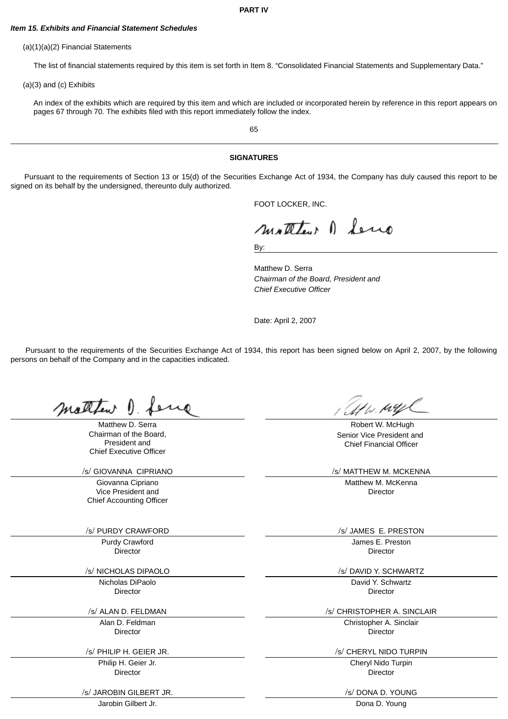#### **PART IV**

#### *Item 15. Exhibits and Financial Statement Schedules*

#### (a)(1)(a)(2) Financial Statements

The list of financial statements required by this item is set forth in Item 8. "Consolidated Financial Statements and Supplementary Data."

(a)(3) and (c) Exhibits

An index of the exhibits which are required by this item and which are included or incorporated herein by reference in this report appears on pages 67 through 70. The exhibits filed with this report immediately follow the index.

65

#### **SIGNATURES**

Pursuant to the requirements of Section 13 or 15(d) of the Securities Exchange Act of 1934, the Company has duly caused this report to be signed on its behalf by the undersigned, thereunto duly authorized.

FOOT LOCKER, INC.

matter 1. feno By:

Matthew D. Serra *Chairman of the Board, President and Chief Executive Officer*

Date: April 2, 2007

Pursuant to the requirements of the Securities Exchange Act of 1934, this report has been signed below on April 2, 2007, by the following persons on behalf of the Company and in the capacities indicated.

matthew

Matthew D. Serra Chairman of the Board, President and Chief Executive Officer

Giovanna Cipriano Vice President and Chief Accounting Officer

Purdy Crawford Director

Nicholas DiPaolo Director

Alan D. Feldman Director

Philip H. Geier Jr. Director

/s/ JAROBIN GILBERT JR. /s/ DONA D. YOUNG

Jarobin Gilbert Jr. **Dona D. Young** 

Atv. MY

Robert W. McHugh Senior Vice President and Chief Financial Officer

Matthew M. McKenna

Director

/s/ PURDY CRAWFORD /s/ JAMES E. PRESTON

James E. Preston Director

 /s/ NICHOLAS DIPAOLO /s/ DAVID Y. SCHWARTZ David Y. Schwartz

Director

/s/ ALAN D. FELDMAN /s/ CHRISTOPHER A. SINCLAIR

Christopher A. Sinclair Director

/s/ PHILIP H. GEIER JR. /s/ CHERYL NIDO TURPIN

Cheryl Nido Turpin Director

/s/ GIOVANNA CIPRIANO /s/ MATTHEW M. MCKENNA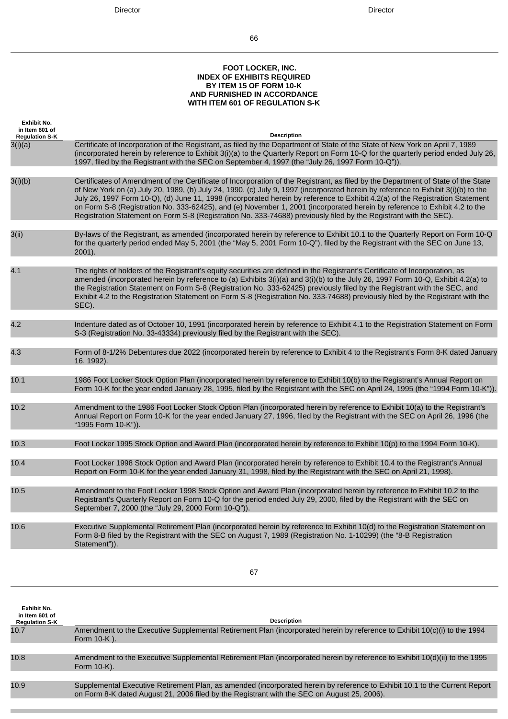66

#### **FOOT LOCKER, INC. INDEX OF EXHIBITS REQUIRED BY ITEM 15 OF FORM 10-K AND FURNISHED IN ACCORDANCE WITH ITEM 601 OF REGULATION S-K**

| <b>Exhibit No.</b><br>in Item 601 of<br><b>Regulation S-K</b> | <b>Description</b>                                                                                                                                                                                                                                                                                                                                                                                                                                                                                                                                                                                                                                         |
|---------------------------------------------------------------|------------------------------------------------------------------------------------------------------------------------------------------------------------------------------------------------------------------------------------------------------------------------------------------------------------------------------------------------------------------------------------------------------------------------------------------------------------------------------------------------------------------------------------------------------------------------------------------------------------------------------------------------------------|
| 3(i)(a)                                                       | Certificate of Incorporation of the Registrant, as filed by the Department of State of the State of New York on April 7, 1989<br>(incorporated herein by reference to Exhibit 3(i)(a) to the Quarterly Report on Form 10-Q for the quarterly period ended July 26,<br>1997, filed by the Registrant with the SEC on September 4, 1997 (the "July 26, 1997 Form 10-O")).                                                                                                                                                                                                                                                                                    |
| 3(i)(b)                                                       | Certificates of Amendment of the Certificate of Incorporation of the Registrant, as filed by the Department of State of the State<br>of New York on (a) July 20, 1989, (b) July 24, 1990, (c) July 9, 1997 (incorporated herein by reference to Exhibit 3(i)(b) to the<br>July 26, 1997 Form 10-Q), (d) June 11, 1998 (incorporated herein by reference to Exhibit 4.2(a) of the Registration Statement<br>on Form S-8 (Registration No. 333-62425), and (e) November 1, 2001 (incorporated herein by reference to Exhibit 4.2 to the<br>Registration Statement on Form S-8 (Registration No. 333-74688) previously filed by the Registrant with the SEC). |
| 3(ii)                                                         | By-laws of the Registrant, as amended (incorporated herein by reference to Exhibit 10.1 to the Quarterly Report on Form 10-Q<br>for the quarterly period ended May 5, 2001 (the "May 5, 2001 Form 10-O"), filed by the Registrant with the SEC on June 13,<br>2001).                                                                                                                                                                                                                                                                                                                                                                                       |
| 4.1                                                           | The rights of holders of the Registrant's equity securities are defined in the Registrant's Certificate of Incorporation, as<br>amended (incorporated herein by reference to (a) Exhibits 3(i)(a) and 3(i)(b) to the July 26, 1997 Form 10-Q, Exhibit 4.2(a) to<br>the Registration Statement on Form S-8 (Registration No. 333-62425) previously filed by the Registrant with the SEC, and<br>Exhibit 4.2 to the Registration Statement on Form S-8 (Registration No. 333-74688) previously filed by the Registrant with the<br>SEC).                                                                                                                     |
| 4.2                                                           | Indenture dated as of October 10, 1991 (incorporated herein by reference to Exhibit 4.1 to the Registration Statement on Form<br>S-3 (Registration No. 33-43334) previously filed by the Registrant with the SEC).                                                                                                                                                                                                                                                                                                                                                                                                                                         |
| 4.3                                                           | Form of 8-1/2% Debentures due 2022 (incorporated herein by reference to Exhibit 4 to the Registrant's Form 8-K dated January<br>16, 1992).                                                                                                                                                                                                                                                                                                                                                                                                                                                                                                                 |
| 10.1                                                          | 1986 Foot Locker Stock Option Plan (incorporated herein by reference to Exhibit 10(b) to the Registrant's Annual Report on<br>Form 10-K for the year ended January 28, 1995, filed by the Registrant with the SEC on April 24, 1995 (the "1994 Form 10-K")).                                                                                                                                                                                                                                                                                                                                                                                               |
| 10.2                                                          | Amendment to the 1986 Foot Locker Stock Option Plan (incorporated herein by reference to Exhibit 10(a) to the Registrant's<br>Annual Report on Form 10-K for the year ended January 27, 1996, filed by the Registrant with the SEC on April 26, 1996 (the<br>"1995 Form 10-K")).                                                                                                                                                                                                                                                                                                                                                                           |
| 10.3                                                          | Foot Locker 1995 Stock Option and Award Plan (incorporated herein by reference to Exhibit 10(p) to the 1994 Form 10-K).                                                                                                                                                                                                                                                                                                                                                                                                                                                                                                                                    |
| 10.4                                                          | Foot Locker 1998 Stock Option and Award Plan (incorporated herein by reference to Exhibit 10.4 to the Registrant's Annual<br>Report on Form 10-K for the year ended January 31, 1998, filed by the Registrant with the SEC on April 21, 1998).                                                                                                                                                                                                                                                                                                                                                                                                             |
| 10.5                                                          | Amendment to the Foot Locker 1998 Stock Option and Award Plan (incorporated herein by reference to Exhibit 10.2 to the<br>Registrant's Quarterly Report on Form 10-Q for the period ended July 29, 2000, filed by the Registrant with the SEC on<br>September 7, 2000 (the "July 29, 2000 Form 10-Q")).                                                                                                                                                                                                                                                                                                                                                    |
| 10.6                                                          | Executive Supplemental Retirement Plan (incorporated herein by reference to Exhibit 10(d) to the Registration Statement on<br>Form 8-B filed by the Registrant with the SEC on August 7, 1989 (Registration No. 1-10299) (the "8-B Registration<br>Statement")).                                                                                                                                                                                                                                                                                                                                                                                           |

67

| Exhibit No.<br>in Item 601 of<br><b>Regulation S-K</b> | <b>Description</b>                                                                                                                                                                                                        |
|--------------------------------------------------------|---------------------------------------------------------------------------------------------------------------------------------------------------------------------------------------------------------------------------|
| 10.7                                                   | Amendment to the Executive Supplemental Retirement Plan (incorporated herein by reference to Exhibit 10(c)(i) to the 1994<br>Form $10-K$ ).                                                                               |
|                                                        |                                                                                                                                                                                                                           |
| 10.8                                                   | Amendment to the Executive Supplemental Retirement Plan (incorporated herein by reference to Exhibit 10(d)(ii) to the 1995<br>Form 10-K).                                                                                 |
|                                                        |                                                                                                                                                                                                                           |
| 10.9                                                   | Supplemental Executive Retirement Plan, as amended (incorporated herein by reference to Exhibit 10.1 to the Current Report<br>on Form 8-K dated August 21, 2006 filed by the Registrant with the SEC on August 25, 2006). |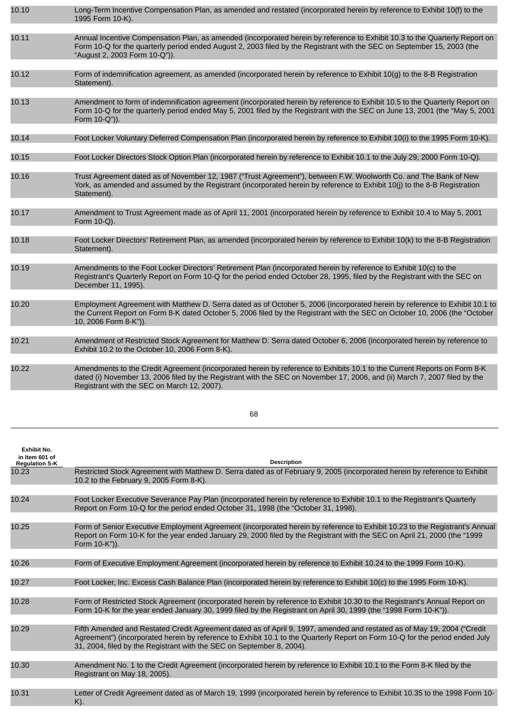| 10.10 | Long-Term Incentive Compensation Plan, as amended and restated (incorporated herein by reference to Exhibit 10(f) to the<br>1995 Form 10-K).                                                                                                                                                          |
|-------|-------------------------------------------------------------------------------------------------------------------------------------------------------------------------------------------------------------------------------------------------------------------------------------------------------|
| 10.11 | Annual Incentive Compensation Plan, as amended (incorporated herein by reference to Exhibit 10.3 to the Quarterly Report on<br>Form 10-Q for the quarterly period ended August 2, 2003 filed by the Registrant with the SEC on September 15, 2003 (the<br>"August 2, 2003 Form 10-Q")).               |
| 10.12 | Form of indemnification agreement, as amended (incorporated herein by reference to Exhibit 10(g) to the 8-B Registration<br>Statement).                                                                                                                                                               |
| 10.13 | Amendment to form of indemnification agreement (incorporated herein by reference to Exhibit 10.5 to the Quarterly Report on<br>Form 10-Q for the quarterly period ended May 5, 2001 filed by the Registrant with the SEC on June 13, 2001 (the "May 5, 2001<br>Form 10-Q")).                          |
| 10.14 | Foot Locker Voluntary Deferred Compensation Plan (incorporated herein by reference to Exhibit 10(i) to the 1995 Form 10-K).                                                                                                                                                                           |
| 10.15 | Foot Locker Directors Stock Option Plan (incorporated herein by reference to Exhibit 10.1 to the July 29, 2000 Form 10-Q).                                                                                                                                                                            |
| 10.16 | Trust Agreement dated as of November 12, 1987 ("Trust Agreement"), between F.W. Woolworth Co. and The Bank of New<br>York, as amended and assumed by the Registrant (incorporated herein by reference to Exhibit 10(j) to the 8-B Registration<br>Statement).                                         |
| 10.17 | Amendment to Trust Agreement made as of April 11, 2001 (incorporated herein by reference to Exhibit 10.4 to May 5, 2001<br>Form 10-Q).                                                                                                                                                                |
| 10.18 | Foot Locker Directors' Retirement Plan, as amended (incorporated herein by reference to Exhibit 10(k) to the 8-B Registration<br>Statement).                                                                                                                                                          |
| 10.19 | Amendments to the Foot Locker Directors' Retirement Plan (incorporated herein by reference to Exhibit 10(c) to the<br>Registrant's Quarterly Report on Form 10-Q for the period ended October 28, 1995, filed by the Registrant with the SEC on<br>December 11, 1995).                                |
| 10.20 | Employment Agreement with Matthew D. Serra dated as of October 5, 2006 (incorporated herein by reference to Exhibit 10.1 to<br>the Current Report on Form 8-K dated October 5, 2006 filed by the Registrant with the SEC on October 10, 2006 (the "October<br>10, 2006 Form 8-K")).                   |
| 10.21 | Amendment of Restricted Stock Agreement for Matthew D. Serra dated October 6, 2006 (incorporated herein by reference to<br>Exhibit 10.2 to the October 10, 2006 Form 8-K).                                                                                                                            |
| 10.22 | Amendments to the Credit Agreement (incorporated herein by reference to Exhibits 10.1 to the Current Reports on Form 8-K<br>dated (i) November 13, 2006 filed by the Registrant with the SEC on November 17, 2006, and (ii) March 7, 2007 filed by the<br>Registrant with the SEC on March 12, 2007). |

| ۰.<br>v<br>۰.<br>۰,<br>×<br>.,<br>M.<br>۰,<br>v |
|-------------------------------------------------|
|-------------------------------------------------|

| <b>Description</b>                                                                                                                                                                                                                                                                                                               |
|----------------------------------------------------------------------------------------------------------------------------------------------------------------------------------------------------------------------------------------------------------------------------------------------------------------------------------|
| Restricted Stock Agreement with Matthew D. Serra dated as of February 9, 2005 (incorporated herein by reference to Exhibit<br>10.2 to the February 9, 2005 Form 8-K).                                                                                                                                                            |
|                                                                                                                                                                                                                                                                                                                                  |
| Foot Locker Executive Severance Pay Plan (incorporated herein by reference to Exhibit 10.1 to the Registrant's Quarterly<br>Report on Form 10-Q for the period ended October 31, 1998 (the "October 31, 1998).                                                                                                                   |
|                                                                                                                                                                                                                                                                                                                                  |
| Form of Senior Executive Employment Agreement (incorporated herein by reference to Exhibit 10.23 to the Registrant's Annual<br>Report on Form 10-K for the year ended January 29, 2000 filed by the Registrant with the SEC on April 21, 2000 (the "1999<br>Form 10-K")).                                                        |
|                                                                                                                                                                                                                                                                                                                                  |
| Form of Executive Employment Agreement (incorporated herein by reference to Exhibit 10.24 to the 1999 Form 10-K).                                                                                                                                                                                                                |
| Foot Locker, Inc. Excess Cash Balance Plan (incorporated herein by reference to Exhibit 10(c) to the 1995 Form 10-K).                                                                                                                                                                                                            |
| Form of Restricted Stock Agreement (incorporated herein by reference to Exhibit 10.30 to the Registrant's Annual Report on<br>Form 10-K for the year ended January 30, 1999 filed by the Registrant on April 30, 1999 (the "1998 Form 10-K")).                                                                                   |
|                                                                                                                                                                                                                                                                                                                                  |
| Fifth Amended and Restated Credit Agreement dated as of April 9, 1997, amended and restated as of May 19, 2004 ("Credit<br>Agreement") (incorporated herein by reference to Exhibit 10.1 to the Quarterly Report on Form 10-Q for the period ended July<br>31, 2004, filed by the Registrant with the SEC on September 8, 2004). |
|                                                                                                                                                                                                                                                                                                                                  |
| Amendment No. 1 to the Credit Agreement (incorporated herein by reference to Exhibit 10.1 to the Form 8-K filed by the<br>Registrant on May 18, 2005).                                                                                                                                                                           |
|                                                                                                                                                                                                                                                                                                                                  |
| Letter of Credit Agreement dated as of March 19, 1999 (incorporated herein by reference to Exhibit 10.35 to the 1998 Form 10-<br>K).                                                                                                                                                                                             |
|                                                                                                                                                                                                                                                                                                                                  |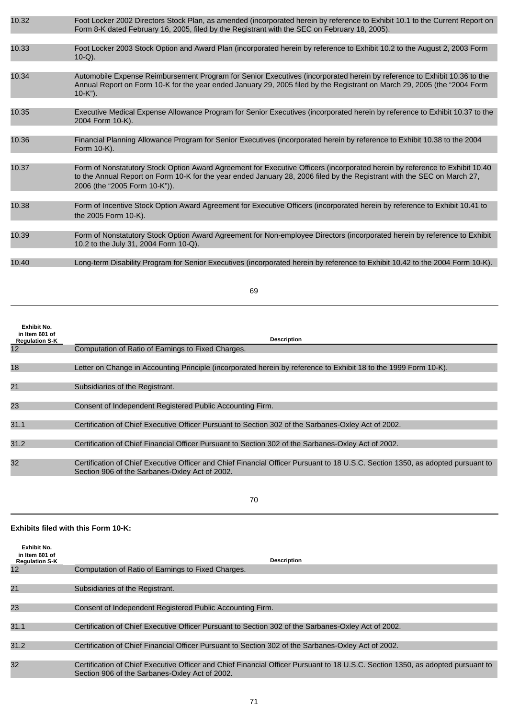| 10.32 | Foot Locker 2002 Directors Stock Plan, as amended (incorporated herein by reference to Exhibit 10.1 to the Current Report on<br>Form 8-K dated February 16, 2005, filed by the Registrant with the SEC on February 18, 2005).                                                           |
|-------|-----------------------------------------------------------------------------------------------------------------------------------------------------------------------------------------------------------------------------------------------------------------------------------------|
| 10.33 | Foot Locker 2003 Stock Option and Award Plan (incorporated herein by reference to Exhibit 10.2 to the August 2, 2003 Form<br>$10-O$ ).                                                                                                                                                  |
|       |                                                                                                                                                                                                                                                                                         |
| 10.34 | Automobile Expense Reimbursement Program for Senior Executives (incorporated herein by reference to Exhibit 10.36 to the<br>Annual Report on Form 10-K for the year ended January 29, 2005 filed by the Registrant on March 29, 2005 (the "2004 Form<br>$10-K$ ").                      |
|       |                                                                                                                                                                                                                                                                                         |
| 10.35 | Executive Medical Expense Allowance Program for Senior Executives (incorporated herein by reference to Exhibit 10.37 to the<br>2004 Form 10-K).                                                                                                                                         |
|       |                                                                                                                                                                                                                                                                                         |
| 10.36 | Financial Planning Allowance Program for Senior Executives (incorporated herein by reference to Exhibit 10.38 to the 2004<br>Form 10-K).                                                                                                                                                |
|       |                                                                                                                                                                                                                                                                                         |
| 10.37 | Form of Nonstatutory Stock Option Award Agreement for Executive Officers (incorporated herein by reference to Exhibit 10.40<br>to the Annual Report on Form 10-K for the year ended January 28, 2006 filed by the Registrant with the SEC on March 27,<br>2006 (the "2005 Form 10-K")). |
|       |                                                                                                                                                                                                                                                                                         |
| 10.38 | Form of Incentive Stock Option Award Agreement for Executive Officers (incorporated herein by reference to Exhibit 10.41 to<br>the 2005 Form 10-K).                                                                                                                                     |
|       |                                                                                                                                                                                                                                                                                         |
| 10.39 | Form of Nonstatutory Stock Option Award Agreement for Non-employee Directors (incorporated herein by reference to Exhibit<br>10.2 to the July 31, 2004 Form 10-Q).                                                                                                                      |
|       |                                                                                                                                                                                                                                                                                         |
| 10.40 | Long-term Disability Program for Senior Executives (incorporated herein by reference to Exhibit 10.42 to the 2004 Form 10-K).                                                                                                                                                           |

69

| Exhibit No.<br>in Item 601 of<br><b>Regulation S-K</b> | <b>Description</b>                                                                                                                                                                |
|--------------------------------------------------------|-----------------------------------------------------------------------------------------------------------------------------------------------------------------------------------|
| 12                                                     | Computation of Ratio of Earnings to Fixed Charges.                                                                                                                                |
|                                                        |                                                                                                                                                                                   |
| 18                                                     | Letter on Change in Accounting Principle (incorporated herein by reference to Exhibit 18 to the 1999 Form 10-K).                                                                  |
|                                                        |                                                                                                                                                                                   |
| 21                                                     | Subsidiaries of the Registrant.                                                                                                                                                   |
|                                                        |                                                                                                                                                                                   |
| 23                                                     | Consent of Independent Registered Public Accounting Firm.                                                                                                                         |
|                                                        |                                                                                                                                                                                   |
| 31.1                                                   | Certification of Chief Executive Officer Pursuant to Section 302 of the Sarbanes-Oxley Act of 2002.                                                                               |
|                                                        |                                                                                                                                                                                   |
| 31.2                                                   | Certification of Chief Financial Officer Pursuant to Section 302 of the Sarbanes-Oxley Act of 2002.                                                                               |
|                                                        |                                                                                                                                                                                   |
| 32                                                     | Certification of Chief Executive Officer and Chief Financial Officer Pursuant to 18 U.S.C. Section 1350, as adopted pursuant to<br>Section 906 of the Sarbanes-Oxley Act of 2002. |

70

## **Exhibits filed with this Form 10-K:**

| Exhibit No.                             |                                                                                                                                 |
|-----------------------------------------|---------------------------------------------------------------------------------------------------------------------------------|
| in Item 601 of<br><b>Regulation S-K</b> | <b>Description</b>                                                                                                              |
| 12                                      | Computation of Ratio of Earnings to Fixed Charges.                                                                              |
|                                         |                                                                                                                                 |
| 21                                      | Subsidiaries of the Registrant.                                                                                                 |
|                                         |                                                                                                                                 |
| 23                                      | Consent of Independent Registered Public Accounting Firm.                                                                       |
|                                         |                                                                                                                                 |
| 31.1                                    | Certification of Chief Executive Officer Pursuant to Section 302 of the Sarbanes-Oxley Act of 2002.                             |
|                                         |                                                                                                                                 |
| 31.2                                    | Certification of Chief Financial Officer Pursuant to Section 302 of the Sarbanes-Oxley Act of 2002.                             |
|                                         |                                                                                                                                 |
| 32                                      | Certification of Chief Executive Officer and Chief Financial Officer Pursuant to 18 U.S.C. Section 1350, as adopted pursuant to |
|                                         | Section 906 of the Sarbanes-Oxley Act of 2002.                                                                                  |
|                                         |                                                                                                                                 |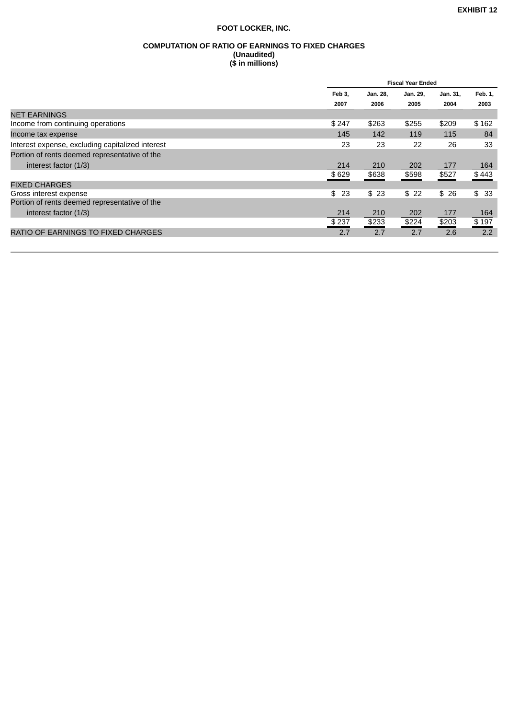## **FOOT LOCKER, INC.**

## **COMPUTATION OF RATIO OF EARNINGS TO FIXED CHARGES (Unaudited) (\$ in millions)**

|                                                  |          | <b>Fiscal Year Ended</b> |       |          |           |
|--------------------------------------------------|----------|--------------------------|-------|----------|-----------|
|                                                  | Feb 3,   | Jan. 28,                 |       | Jan. 31, | Feb. 1,   |
|                                                  | 2007     | 2006                     | 2005  | 2004     | 2003      |
| <b>NET EARNINGS</b>                              |          |                          |       |          |           |
| Income from continuing operations                | \$247    | \$263                    | \$255 | \$209    | \$162     |
| Income tax expense                               | 145      | 142                      | 119   | 115      | 84        |
| Interest expense, excluding capitalized interest | 23       | 23                       | 22    | 26       | 33        |
| Portion of rents deemed representative of the    |          |                          |       |          |           |
| interest factor (1/3)                            | 214      | 210                      | 202   | 177      | 164       |
|                                                  | \$629    | \$638                    | \$598 | \$527    | \$443     |
| <b>FIXED CHARGES</b>                             |          |                          |       |          |           |
| Gross interest expense                           | \$<br>23 | \$23                     | \$22  | \$26     | \$<br>-33 |
| Portion of rents deemed representative of the    |          |                          |       |          |           |
| interest factor (1/3)                            | 214      | 210                      | 202   | 177      | 164       |
|                                                  | \$237    | \$233                    | \$224 | \$203    | \$197     |
| RATIO OF EARNINGS TO FIXED CHARGES               | 2.7      | 2.7                      | 2.7   | 2.6      | 2.2       |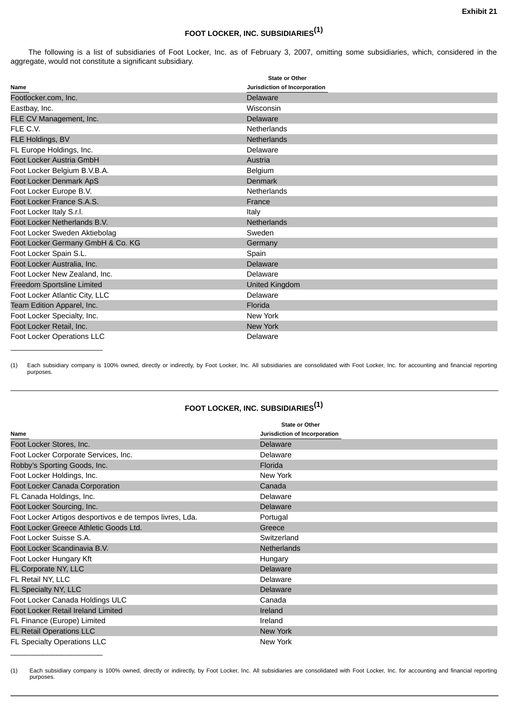## **FOOT LOCKER, INC. SUBSIDIARIES(1)**

The following is a list of subsidiaries of Foot Locker, Inc. as of February 3, 2007, omitting some subsidiaries, which, considered in the aggregate, would not constitute a significant subsidiary.

|                                   | <b>State or Other</b>         |  |
|-----------------------------------|-------------------------------|--|
| <b>Name</b>                       | Jurisdiction of Incorporation |  |
| Footlocker.com, Inc.              | Delaware                      |  |
| Eastbay, Inc.                     | Wisconsin                     |  |
| FLE CV Management, Inc.           | Delaware                      |  |
| FLE C.V.                          | <b>Netherlands</b>            |  |
| FLE Holdings, BV                  | <b>Netherlands</b>            |  |
| FL Europe Holdings, Inc.          | Delaware                      |  |
| Foot Locker Austria GmbH          | Austria                       |  |
| Foot Locker Belgium B.V.B.A.      | <b>Belgium</b>                |  |
| Foot Locker Denmark ApS           | Denmark                       |  |
| Foot Locker Europe B.V.           | <b>Netherlands</b>            |  |
| Foot Locker France S.A.S.         | France                        |  |
| Foot Locker Italy S.r.l.          | Italy                         |  |
| Foot Locker Netherlands B.V.      | <b>Netherlands</b>            |  |
| Foot Locker Sweden Aktiebolag     | Sweden                        |  |
| Foot Locker Germany GmbH & Co. KG | Germany                       |  |
| Foot Locker Spain S.L.            | Spain                         |  |
| Foot Locker Australia, Inc.       | Delaware                      |  |
| Foot Locker New Zealand, Inc.     | Delaware                      |  |
| Freedom Sportsline Limited        | United Kingdom                |  |
| Foot Locker Atlantic City, LLC    | Delaware                      |  |
| Team Edition Apparel, Inc.        | Florida                       |  |
| Foot Locker Specialty, Inc.       | New York                      |  |
| Foot Locker Retail, Inc.          | <b>New York</b>               |  |
| <b>Foot Locker Operations LLC</b> | Delaware                      |  |
|                                   |                               |  |

(1) Each subsidiary company is 100% owned, directly or indirectly, by Foot Locker, Inc. All subsidiaries are consolidated with Foot Locker, Inc. for accounting and financial reporting purposes.

# **FOOT LOCKER, INC. SUBSIDIARIES(1)**

|                                                          | <b>State or Other</b>         |
|----------------------------------------------------------|-------------------------------|
| <b>Name</b>                                              | Jurisdiction of Incorporation |
| Foot Locker Stores, Inc.                                 | Delaware                      |
| Foot Locker Corporate Services, Inc.                     | Delaware                      |
| Robby's Sporting Goods, Inc.                             | <b>Florida</b>                |
| Foot Locker Holdings, Inc.                               | New York                      |
| Foot Locker Canada Corporation                           | Canada                        |
| FL Canada Holdings, Inc.                                 | Delaware                      |
| Foot Locker Sourcing, Inc.                               | <b>Delaware</b>               |
| Foot Locker Artigos desportivos e de tempos livres, Lda. | Portugal                      |
| Foot Locker Greece Athletic Goods Ltd.                   | Greece                        |
| Foot Locker Suisse S.A.                                  | Switzerland                   |
| Foot Locker Scandinavia B.V.                             | <b>Netherlands</b>            |
| Foot Locker Hungary Kft                                  | Hungary                       |
| FL Corporate NY, LLC                                     | <b>Delaware</b>               |
| FL Retail NY, LLC                                        | Delaware                      |
| FL Specialty NY, LLC                                     | <b>Delaware</b>               |
| Foot Locker Canada Holdings ULC                          | Canada                        |
| Foot Locker Retail Ireland Limited                       | Ireland                       |
| FL Finance (Europe) Limited                              | Ireland                       |
| <b>FL Retail Operations LLC</b>                          | <b>New York</b>               |
| FL Specialty Operations LLC                              | New York                      |
|                                                          |                               |

<sup>(1)</sup> Each subsidiary company is 100% owned, directly or indirectly, by Foot Locker, Inc. All subsidiaries are consolidated with Foot Locker, Inc. for accounting and financial reporting purposes.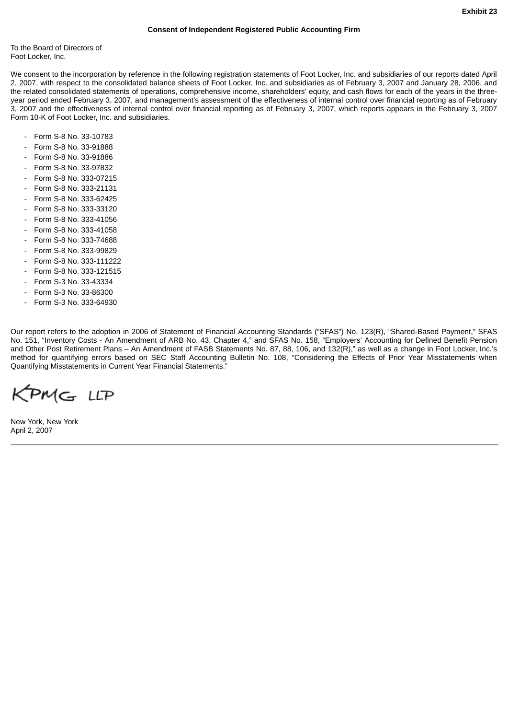To the Board of Directors of Foot Locker, Inc.

We consent to the incorporation by reference in the following registration statements of Foot Locker, Inc. and subsidiaries of our reports dated April 2, 2007, with respect to the consolidated balance sheets of Foot Locker, Inc. and subsidiaries as of February 3, 2007 and January 28, 2006, and the related consolidated statements of operations, comprehensive income, shareholders' equity, and cash flows for each of the years in the threeyear period ended February 3, 2007, and management's assessment of the effectiveness of internal control over financial reporting as of February 3, 2007 and the effectiveness of internal control over financial reporting as of February 3, 2007, which reports appears in the February 3, 2007 Form 10-K of Foot Locker, Inc. and subsidiaries.

- Form S-8 No. 33-10783
- Form S-8 No. 33-91888
- Form S-8 No. 33-91886
- Form S-8 No. 33-97832
- Form S-8 No. 333-07215
- Form S-8 No. 333-21131
- Form S-8 No. 333-62425
- Form S-8 No. 333-33120
- Form S-8 No. 333-41056
- Form S-8 No. 333-41058
- Form S-8 No. 333-74688
- Form S-8 No. 333-99829
- Form S-8 No. 333-111222
- Form S-8 No. 333-121515
- Form S-3 No. 33-43334
- Form S-3 No. 33-86300
- Form S-3 No. 333-64930

Our report refers to the adoption in 2006 of Statement of Financial Accounting Standards ("SFAS") No. 123(R), "Shared-Based Payment," SFAS No. 151, "Inventory Costs - An Amendment of ARB No. 43, Chapter 4," and SFAS No. 158, "Employers' Accounting for Defined Benefit Pension and Other Post Retirement Plans – An Amendment of FASB Statements No. 87, 88, 106, and 132(R)," as well as a change in Foot Locker, Inc.'s method for quantifying errors based on SEC Staff Accounting Bulletin No. 108, "Considering the Effects of Prior Year Misstatements when Quantifying Misstatements in Current Year Financial Statements."

PMG LLP

New York, New York April 2, 2007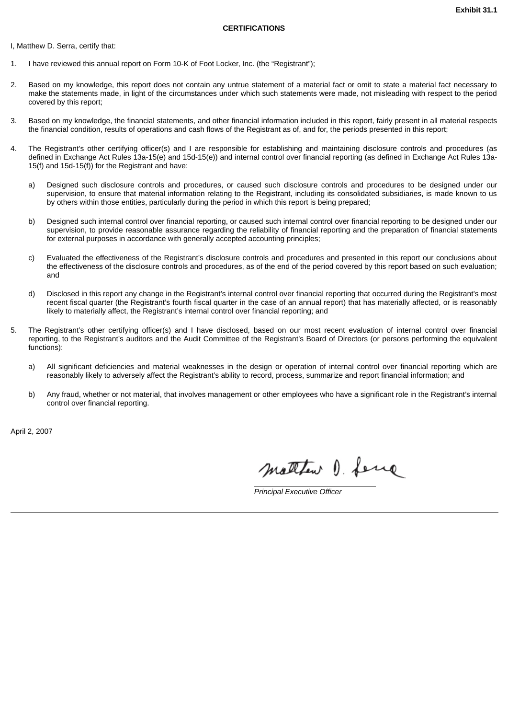#### **CERTIFICATIONS**

I, Matthew D. Serra, certify that:

- 1. I have reviewed this annual report on Form 10-K of Foot Locker, Inc. (the "Registrant");
- 2. Based on my knowledge, this report does not contain any untrue statement of a material fact or omit to state a material fact necessary to make the statements made, in light of the circumstances under which such statements were made, not misleading with respect to the period covered by this report;
- 3. Based on my knowledge, the financial statements, and other financial information included in this report, fairly present in all material respects the financial condition, results of operations and cash flows of the Registrant as of, and for, the periods presented in this report;
- 4. The Registrant's other certifying officer(s) and I are responsible for establishing and maintaining disclosure controls and procedures (as defined in Exchange Act Rules 13a-15(e) and 15d-15(e)) and internal control over financial reporting (as defined in Exchange Act Rules 13a-15(f) and 15d-15(f)) for the Registrant and have:
	- a) Designed such disclosure controls and procedures, or caused such disclosure controls and procedures to be designed under our supervision, to ensure that material information relating to the Registrant, including its consolidated subsidiaries, is made known to us by others within those entities, particularly during the period in which this report is being prepared;
	- b) Designed such internal control over financial reporting, or caused such internal control over financial reporting to be designed under our supervision, to provide reasonable assurance regarding the reliability of financial reporting and the preparation of financial statements for external purposes in accordance with generally accepted accounting principles;
	- c) Evaluated the effectiveness of the Registrant's disclosure controls and procedures and presented in this report our conclusions about the effectiveness of the disclosure controls and procedures, as of the end of the period covered by this report based on such evaluation; and
	- d) Disclosed in this report any change in the Registrant's internal control over financial reporting that occurred during the Registrant's most recent fiscal quarter (the Registrant's fourth fiscal quarter in the case of an annual report) that has materially affected, or is reasonably likely to materially affect, the Registrant's internal control over financial reporting; and
- 5. The Registrant's other certifying officer(s) and I have disclosed, based on our most recent evaluation of internal control over financial reporting, to the Registrant's auditors and the Audit Committee of the Registrant's Board of Directors (or persons performing the equivalent functions):
	- a) All significant deficiencies and material weaknesses in the design or operation of internal control over financial reporting which are reasonably likely to adversely affect the Registrant's ability to record, process, summarize and report financial information; and
	- b) Any fraud, whether or not material, that involves management or other employees who have a significant role in the Registrant's internal control over financial reporting.

April 2, 2007

*Principal Executive Officer*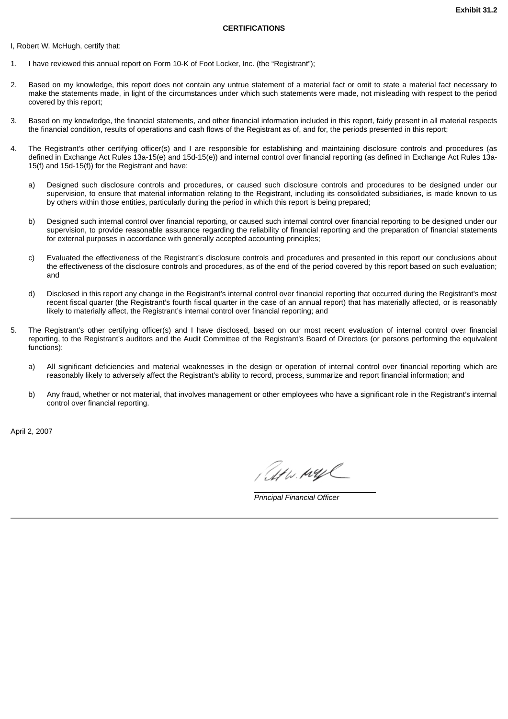#### **CERTIFICATIONS**

I, Robert W. McHugh, certify that:

- 1. I have reviewed this annual report on Form 10-K of Foot Locker, Inc. (the "Registrant");
- 2. Based on my knowledge, this report does not contain any untrue statement of a material fact or omit to state a material fact necessary to make the statements made, in light of the circumstances under which such statements were made, not misleading with respect to the period covered by this report;
- 3. Based on my knowledge, the financial statements, and other financial information included in this report, fairly present in all material respects the financial condition, results of operations and cash flows of the Registrant as of, and for, the periods presented in this report;
- 4. The Registrant's other certifying officer(s) and I are responsible for establishing and maintaining disclosure controls and procedures (as defined in Exchange Act Rules 13a-15(e) and 15d-15(e)) and internal control over financial reporting (as defined in Exchange Act Rules 13a-15(f) and 15d-15(f)) for the Registrant and have:
	- a) Designed such disclosure controls and procedures, or caused such disclosure controls and procedures to be designed under our supervision, to ensure that material information relating to the Registrant, including its consolidated subsidiaries, is made known to us by others within those entities, particularly during the period in which this report is being prepared;
	- b) Designed such internal control over financial reporting, or caused such internal control over financial reporting to be designed under our supervision, to provide reasonable assurance regarding the reliability of financial reporting and the preparation of financial statements for external purposes in accordance with generally accepted accounting principles;
	- c) Evaluated the effectiveness of the Registrant's disclosure controls and procedures and presented in this report our conclusions about the effectiveness of the disclosure controls and procedures, as of the end of the period covered by this report based on such evaluation; and
	- d) Disclosed in this report any change in the Registrant's internal control over financial reporting that occurred during the Registrant's most recent fiscal quarter (the Registrant's fourth fiscal quarter in the case of an annual report) that has materially affected, or is reasonably likely to materially affect, the Registrant's internal control over financial reporting; and
- 5. The Registrant's other certifying officer(s) and I have disclosed, based on our most recent evaluation of internal control over financial reporting, to the Registrant's auditors and the Audit Committee of the Registrant's Board of Directors (or persons performing the equivalent functions):
	- a) All significant deficiencies and material weaknesses in the design or operation of internal control over financial reporting which are reasonably likely to adversely affect the Registrant's ability to record, process, summarize and report financial information; and
	- b) Any fraud, whether or not material, that involves management or other employees who have a significant role in the Registrant's internal control over financial reporting.

April 2, 2007

ars well

*Principal Financial Officer*